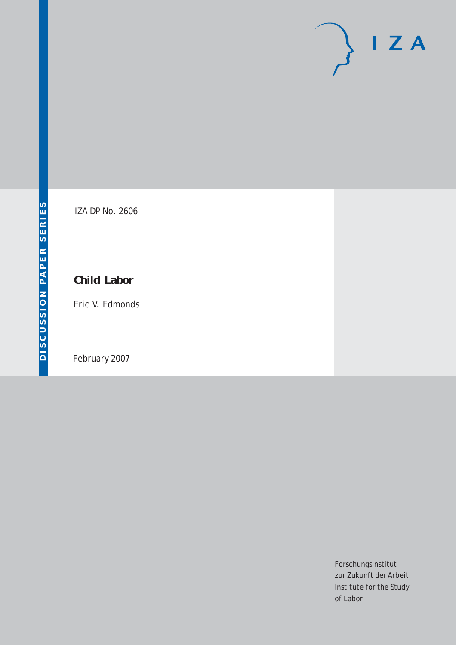# $I Z A$

IZA DP No. 2606

**Child Labor**

Eric V. Edmonds

February 2007

Forschungsinstitut zur Zukunft der Arbeit Institute for the Study of Labor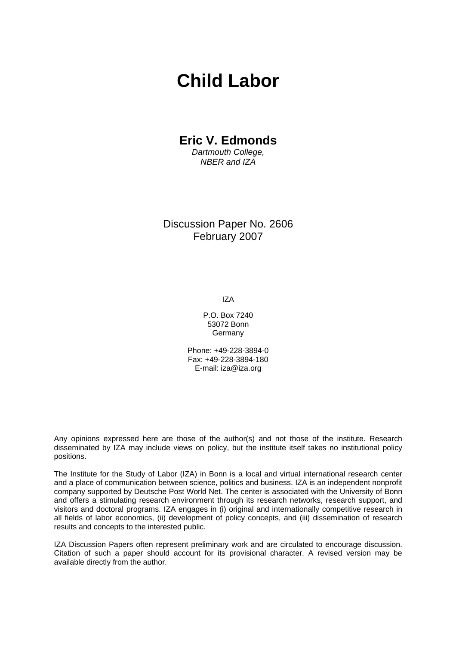## **Child Labor**

## **Eric V. Edmonds**

*Dartmouth College, NBER and IZA* 

Discussion Paper No. 2606 February 2007

IZA

P.O. Box 7240 53072 Bonn Germany

Phone: +49-228-3894-0 Fax: +49-228-3894-180 E-mail: [iza@iza.org](mailto:iza@iza.org)

Any opinions expressed here are those of the author(s) and not those of the institute. Research disseminated by IZA may include views on policy, but the institute itself takes no institutional policy positions.

The Institute for the Study of Labor (IZA) in Bonn is a local and virtual international research center and a place of communication between science, politics and business. IZA is an independent nonprofit company supported by Deutsche Post World Net. The center is associated with the University of Bonn and offers a stimulating research environment through its research networks, research support, and visitors and doctoral programs. IZA engages in (i) original and internationally competitive research in all fields of labor economics, (ii) development of policy concepts, and (iii) dissemination of research results and concepts to the interested public.

IZA Discussion Papers often represent preliminary work and are circulated to encourage discussion. Citation of such a paper should account for its provisional character. A revised version may be available directly from the author.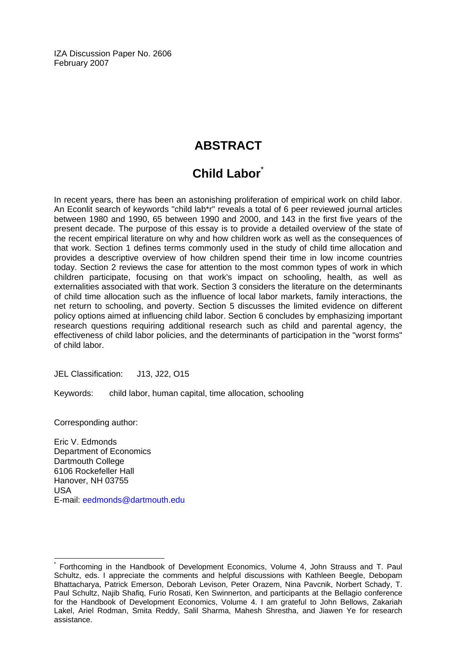IZA Discussion Paper No. 2606 February 2007

## **ABSTRACT**

## **Child Labor**[\\*](#page-2-0)

In recent years, there has been an astonishing proliferation of empirical work on child labor. An Econlit search of keywords "child lab\*r" reveals a total of 6 peer reviewed journal articles between 1980 and 1990, 65 between 1990 and 2000, and 143 in the first five years of the present decade. The purpose of this essay is to provide a detailed overview of the state of the recent empirical literature on why and how children work as well as the consequences of that work. Section 1 defines terms commonly used in the study of child time allocation and provides a descriptive overview of how children spend their time in low income countries today. Section 2 reviews the case for attention to the most common types of work in which children participate, focusing on that work's impact on schooling, health, as well as externalities associated with that work. Section 3 considers the literature on the determinants of child time allocation such as the influence of local labor markets, family interactions, the net return to schooling, and poverty. Section 5 discusses the limited evidence on different policy options aimed at influencing child labor. Section 6 concludes by emphasizing important research questions requiring additional research such as child and parental agency, the effectiveness of child labor policies, and the determinants of participation in the "worst forms" of child labor.

JEL Classification: J13, J22, O15

Keywords: child labor, human capital, time allocation, schooling

Corresponding author:

 $\overline{a}$ 

Eric V. Edmonds Department of Economics Dartmouth College 6106 Rockefeller Hall Hanover, NH 03755 USA E-mail: [eedmonds@dartmouth.edu](mailto:eedmonds@dartmouth.edu)

<span id="page-2-0"></span><sup>\*</sup> Forthcoming in the Handbook of Development Economics, Volume 4, John Strauss and T. Paul Schultz, eds. I appreciate the comments and helpful discussions with Kathleen Beegle, Debopam Bhattacharya, Patrick Emerson, Deborah Levison, Peter Orazem, Nina Pavcnik, Norbert Schady, T. Paul Schultz, Najib Shafiq, Furio Rosati, Ken Swinnerton, and participants at the Bellagio conference for the Handbook of Development Economics, Volume 4. I am grateful to John Bellows, Zakariah Lakel, Ariel Rodman, Smita Reddy, Salil Sharma, Mahesh Shrestha, and Jiawen Ye for research assistance.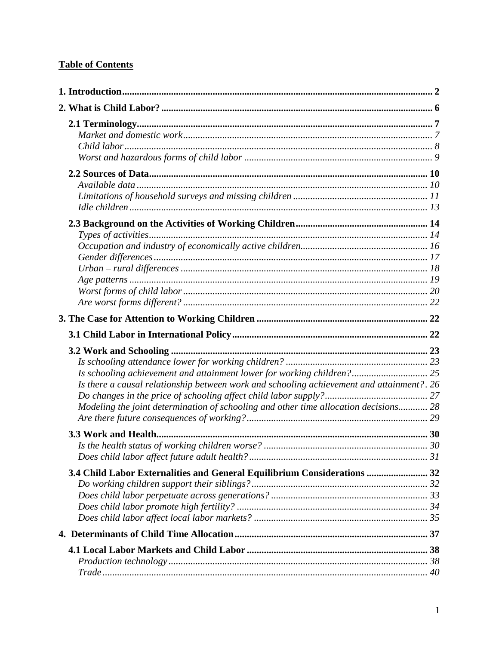### **Table of Contents**

| Is schooling achievement and attainment lower for working children? 25                    |  |
|-------------------------------------------------------------------------------------------|--|
| Is there a causal relationship between work and schooling achievement and attainment?. 26 |  |
|                                                                                           |  |
| Modeling the joint determination of schooling and other time allocation decisions 28      |  |
|                                                                                           |  |
|                                                                                           |  |
|                                                                                           |  |
|                                                                                           |  |
| 3.4 Child Labor Externalities and General Equilibrium Considerations  32                  |  |
|                                                                                           |  |
|                                                                                           |  |
|                                                                                           |  |
|                                                                                           |  |
|                                                                                           |  |
|                                                                                           |  |
|                                                                                           |  |
|                                                                                           |  |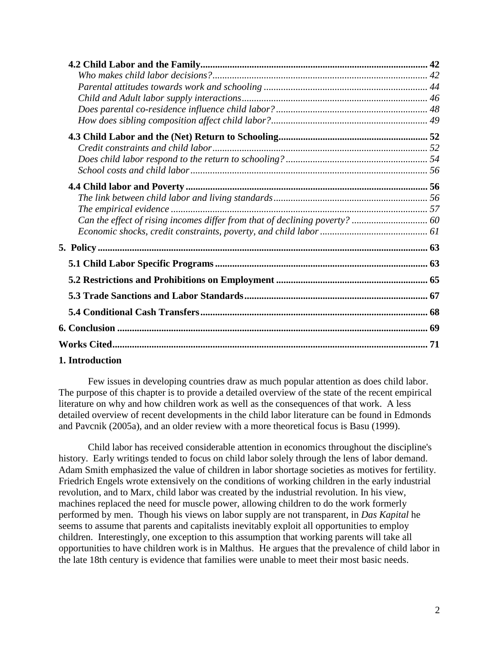#### **1. Introduction**

Few issues in developing countries draw as much popular attention as does child labor. The purpose of this chapter is to provide a detailed overview of the state of the recent empirical literature on why and how children work as well as the consequences of that work. A less detailed overview of recent developments in the child labor literature can be found in Edmonds and Pavcnik (2005a), and an older review with a more theoretical focus is Basu (1999).

Child labor has received considerable attention in economics throughout the discipline's history. Early writings tended to focus on child labor solely through the lens of labor demand. Adam Smith emphasized the value of children in labor shortage societies as motives for fertility. Friedrich Engels wrote extensively on the conditions of working children in the early industrial revolution, and to Marx, child labor was created by the industrial revolution. In his view, machines replaced the need for muscle power, allowing children to do the work formerly performed by men. Though his views on labor supply are not transparent, in *Das Kapital* he seems to assume that parents and capitalists inevitably exploit all opportunities to employ children. Interestingly, one exception to this assumption that working parents will take all opportunities to have children work is in Malthus. He argues that the prevalence of child labor in the late 18th century is evidence that families were unable to meet their most basic needs.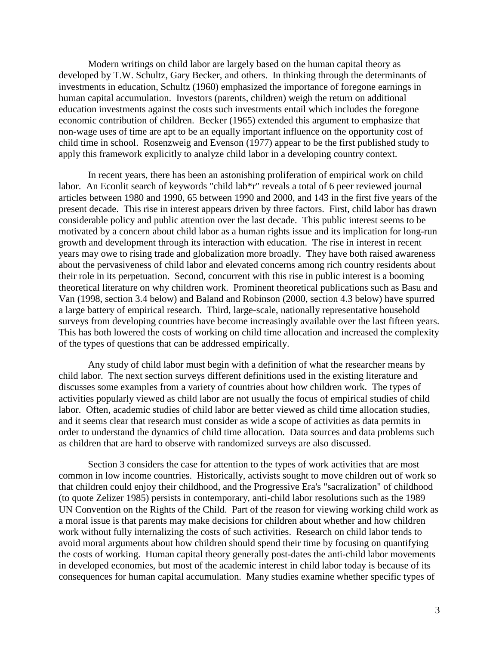Modern writings on child labor are largely based on the human capital theory as developed by T.W. Schultz, Gary Becker, and others. In thinking through the determinants of investments in education, Schultz (1960) emphasized the importance of foregone earnings in human capital accumulation. Investors (parents, children) weigh the return on additional education investments against the costs such investments entail which includes the foregone economic contribution of children. Becker (1965) extended this argument to emphasize that non-wage uses of time are apt to be an equally important influence on the opportunity cost of child time in school. Rosenzweig and Evenson (1977) appear to be the first published study to apply this framework explicitly to analyze child labor in a developing country context.

In recent years, there has been an astonishing proliferation of empirical work on child labor. An Econlit search of keywords "child lab\*r" reveals a total of 6 peer reviewed journal articles between 1980 and 1990, 65 between 1990 and 2000, and 143 in the first five years of the present decade. This rise in interest appears driven by three factors. First, child labor has drawn considerable policy and public attention over the last decade. This public interest seems to be motivated by a concern about child labor as a human rights issue and its implication for long-run growth and development through its interaction with education. The rise in interest in recent years may owe to rising trade and globalization more broadly. They have both raised awareness about the pervasiveness of child labor and elevated concerns among rich country residents about their role in its perpetuation. Second, concurrent with this rise in public interest is a booming theoretical literature on why children work. Prominent theoretical publications such as Basu and Van (1998, section 3.4 below) and Baland and Robinson (2000, section 4.3 below) have spurred a large battery of empirical research. Third, large-scale, nationally representative household surveys from developing countries have become increasingly available over the last fifteen years. This has both lowered the costs of working on child time allocation and increased the complexity of the types of questions that can be addressed empirically.

Any study of child labor must begin with a definition of what the researcher means by child labor. The next section surveys different definitions used in the existing literature and discusses some examples from a variety of countries about how children work. The types of activities popularly viewed as child labor are not usually the focus of empirical studies of child labor. Often, academic studies of child labor are better viewed as child time allocation studies, and it seems clear that research must consider as wide a scope of activities as data permits in order to understand the dynamics of child time allocation. Data sources and data problems such as children that are hard to observe with randomized surveys are also discussed.

Section 3 considers the case for attention to the types of work activities that are most common in low income countries. Historically, activists sought to move children out of work so that children could enjoy their childhood, and the Progressive Era's "sacralization" of childhood (to quote Zelizer 1985) persists in contemporary, anti-child labor resolutions such as the 1989 UN Convention on the Rights of the Child. Part of the reason for viewing working child work as a moral issue is that parents may make decisions for children about whether and how children work without fully internalizing the costs of such activities. Research on child labor tends to avoid moral arguments about how children should spend their time by focusing on quantifying the costs of working. Human capital theory generally post-dates the anti-child labor movements in developed economies, but most of the academic interest in child labor today is because of its consequences for human capital accumulation. Many studies examine whether specific types of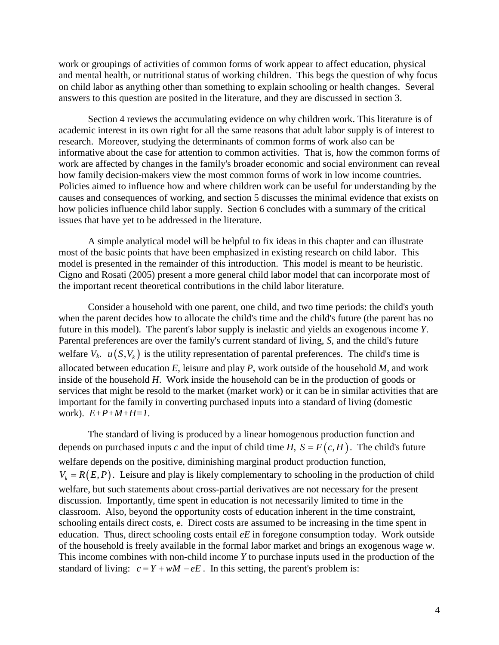work or groupings of activities of common forms of work appear to affect education, physical and mental health, or nutritional status of working children. This begs the question of why focus on child labor as anything other than something to explain schooling or health changes. Several answers to this question are posited in the literature, and they are discussed in section 3.

Section 4 reviews the accumulating evidence on why children work. This literature is of academic interest in its own right for all the same reasons that adult labor supply is of interest to research. Moreover, studying the determinants of common forms of work also can be informative about the case for attention to common activities. That is, how the common forms of work are affected by changes in the family's broader economic and social environment can reveal how family decision-makers view the most common forms of work in low income countries. Policies aimed to influence how and where children work can be useful for understanding by the causes and consequences of working, and section 5 discusses the minimal evidence that exists on how policies influence child labor supply. Section 6 concludes with a summary of the critical issues that have yet to be addressed in the literature.

A simple analytical model will be helpful to fix ideas in this chapter and can illustrate most of the basic points that have been emphasized in existing research on child labor. This model is presented in the remainder of this introduction. This model is meant to be heuristic. Cigno and Rosati (2005) present a more general child labor model that can incorporate most of the important recent theoretical contributions in the child labor literature.

Consider a household with one parent, one child, and two time periods: the child's youth when the parent decides how to allocate the child's time and the child's future (the parent has no future in this model). The parent's labor supply is inelastic and yields an exogenous income *Y*. Parental preferences are over the family's current standard of living, *S*, and the child's future welfare  $V_k$ .  $u(S, V_k)$  is the utility representation of parental preferences. The child's time is allocated between education *E*, leisure and play *P*, work outside of the household *M*, and work inside of the household *H*. Work inside the household can be in the production of goods or services that might be resold to the market (market work) or it can be in similar activities that are important for the family in converting purchased inputs into a standard of living (domestic work). *E+P+M+H=1*.

The standard of living is produced by a linear homogenous production function and depends on purchased inputs *c* and the input of child time *H*,  $S = F(c, H)$ . The child's future welfare depends on the positive, diminishing marginal product production function,  $V_k = R(E, P)$ . Leisure and play is likely complementary to schooling in the production of child welfare, but such statements about cross-partial derivatives are not necessary for the present discussion. Importantly, time spent in education is not necessarily limited to time in the classroom. Also, beyond the opportunity costs of education inherent in the time constraint, schooling entails direct costs, e. Direct costs are assumed to be increasing in the time spent in education. Thus, direct schooling costs entail *eE* in foregone consumption today. Work outside of the household is freely available in the formal labor market and brings an exogenous wage *w*. This income combines with non-child income *Y* to purchase inputs used in the production of the standard of living:  $c = Y + wM - eE$ . In this setting, the parent's problem is: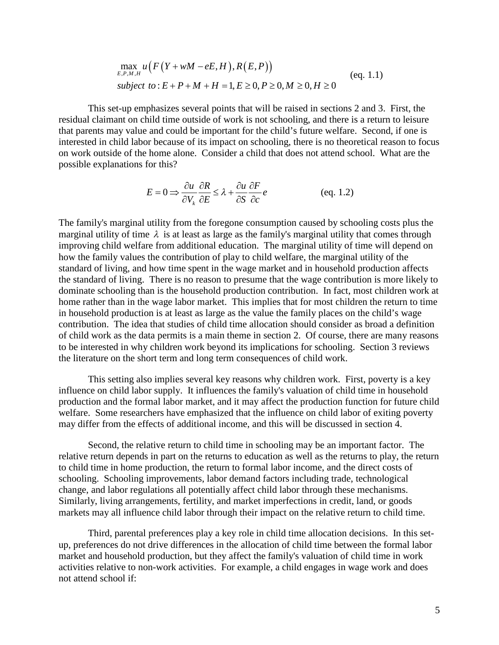$$
\max_{E,P,M,H} u(F(Y + wM - eE, H), R(E, P))
$$
  
\nsubject to:  $E + P + M + H = 1, E \ge 0, P \ge 0, M \ge 0, H \ge 0$  (eq. 1.1)

This set-up emphasizes several points that will be raised in sections 2 and 3. First, the residual claimant on child time outside of work is not schooling, and there is a return to leisure that parents may value and could be important for the child's future welfare. Second, if one is interested in child labor because of its impact on schooling, there is no theoretical reason to focus on work outside of the home alone. Consider a child that does not attend school. What are the possible explanations for this?

$$
E = 0 \Longrightarrow \frac{\partial u}{\partial V_k} \frac{\partial R}{\partial E} \le \lambda + \frac{\partial u}{\partial S} \frac{\partial F}{\partial c} e \qquad (eq. 1.2)
$$

The family's marginal utility from the foregone consumption caused by schooling costs plus the marginal utility of time  $\lambda$  is at least as large as the family's marginal utility that comes through improving child welfare from additional education. The marginal utility of time will depend on how the family values the contribution of play to child welfare, the marginal utility of the standard of living, and how time spent in the wage market and in household production affects the standard of living. There is no reason to presume that the wage contribution is more likely to dominate schooling than is the household production contribution. In fact, most children work at home rather than in the wage labor market. This implies that for most children the return to time in household production is at least as large as the value the family places on the child's wage contribution. The idea that studies of child time allocation should consider as broad a definition of child work as the data permits is a main theme in section 2. Of course, there are many reasons to be interested in why children work beyond its implications for schooling. Section 3 reviews the literature on the short term and long term consequences of child work.

This setting also implies several key reasons why children work. First, poverty is a key influence on child labor supply. It influences the family's valuation of child time in household production and the formal labor market, and it may affect the production function for future child welfare. Some researchers have emphasized that the influence on child labor of exiting poverty may differ from the effects of additional income, and this will be discussed in section 4.

Second, the relative return to child time in schooling may be an important factor. The relative return depends in part on the returns to education as well as the returns to play, the return to child time in home production, the return to formal labor income, and the direct costs of schooling. Schooling improvements, labor demand factors including trade, technological change, and labor regulations all potentially affect child labor through these mechanisms. Similarly, living arrangements, fertility, and market imperfections in credit, land, or goods markets may all influence child labor through their impact on the relative return to child time.

Third, parental preferences play a key role in child time allocation decisions. In this setup, preferences do not drive differences in the allocation of child time between the formal labor market and household production, but they affect the family's valuation of child time in work activities relative to non-work activities. For example, a child engages in wage work and does not attend school if: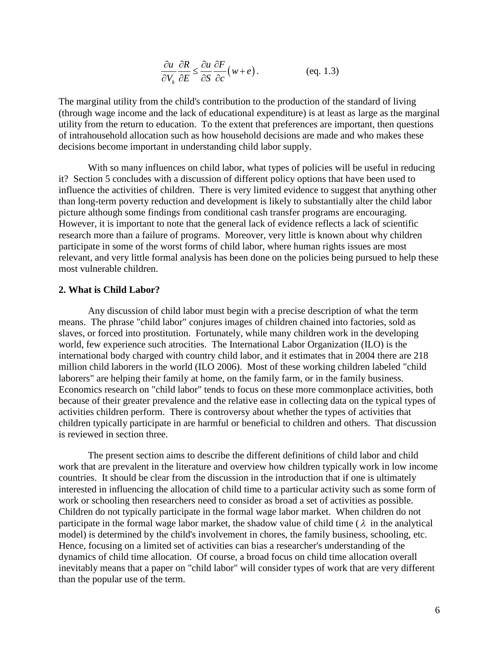$$
\frac{\partial u}{\partial V_k} \frac{\partial R}{\partial E} \le \frac{\partial u}{\partial S} \frac{\partial F}{\partial c} (w + e).
$$
 (eq. 1.3)

The marginal utility from the child's contribution to the production of the standard of living (through wage income and the lack of educational expenditure) is at least as large as the marginal utility from the return to education. To the extent that preferences are important, then questions of intrahousehold allocation such as how household decisions are made and who makes these decisions become important in understanding child labor supply.

With so many influences on child labor, what types of policies will be useful in reducing it? Section 5 concludes with a discussion of different policy options that have been used to influence the activities of children. There is very limited evidence to suggest that anything other than long-term poverty reduction and development is likely to substantially alter the child labor picture although some findings from conditional cash transfer programs are encouraging. However, it is important to note that the general lack of evidence reflects a lack of scientific research more than a failure of programs. Moreover, very little is known about why children participate in some of the worst forms of child labor, where human rights issues are most relevant, and very little formal analysis has been done on the policies being pursued to help these most vulnerable children.

#### **2. What is Child Labor?**

Any discussion of child labor must begin with a precise description of what the term means. The phrase "child labor" conjures images of children chained into factories, sold as slaves, or forced into prostitution. Fortunately, while many children work in the developing world, few experience such atrocities. The International Labor Organization (ILO) is the international body charged with country child labor, and it estimates that in 2004 there are 218 million child laborers in the world (ILO 2006). Most of these working children labeled "child laborers" are helping their family at home, on the family farm, or in the family business. Economics research on "child labor" tends to focus on these more commonplace activities, both because of their greater prevalence and the relative ease in collecting data on the typical types of activities children perform. There is controversy about whether the types of activities that children typically participate in are harmful or beneficial to children and others. That discussion is reviewed in section three.

The present section aims to describe the different definitions of child labor and child work that are prevalent in the literature and overview how children typically work in low income countries. It should be clear from the discussion in the introduction that if one is ultimately interested in influencing the allocation of child time to a particular activity such as some form of work or schooling then researchers need to consider as broad a set of activities as possible. Children do not typically participate in the formal wage labor market. When children do not participate in the formal wage labor market, the shadow value of child time ( $\lambda$  in the analytical model) is determined by the child's involvement in chores, the family business, schooling, etc. Hence, focusing on a limited set of activities can bias a researcher's understanding of the dynamics of child time allocation. Of course, a broad focus on child time allocation overall inevitably means that a paper on "child labor" will consider types of work that are very different than the popular use of the term.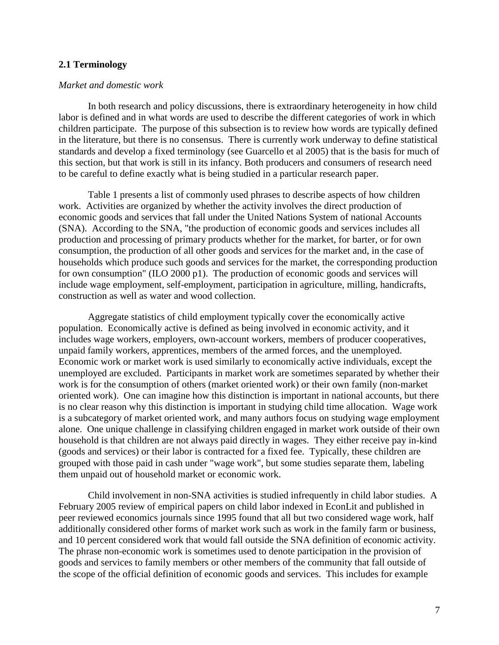#### **2.1 Terminology**

#### *Market and domestic work*

In both research and policy discussions, there is extraordinary heterogeneity in how child labor is defined and in what words are used to describe the different categories of work in which children participate. The purpose of this subsection is to review how words are typically defined in the literature, but there is no consensus. There is currently work underway to define statistical standards and develop a fixed terminology (see Guarcello et al 2005) that is the basis for much of this section, but that work is still in its infancy. Both producers and consumers of research need to be careful to define exactly what is being studied in a particular research paper.

Table 1 presents a list of commonly used phrases to describe aspects of how children work. Activities are organized by whether the activity involves the direct production of economic goods and services that fall under the United Nations System of national Accounts (SNA). According to the SNA, "the production of economic goods and services includes all production and processing of primary products whether for the market, for barter, or for own consumption, the production of all other goods and services for the market and, in the case of households which produce such goods and services for the market, the corresponding production for own consumption" (ILO 2000 p1). The production of economic goods and services will include wage employment, self-employment, participation in agriculture, milling, handicrafts, construction as well as water and wood collection.

Aggregate statistics of child employment typically cover the economically active population. Economically active is defined as being involved in economic activity, and it includes wage workers, employers, own-account workers, members of producer cooperatives, unpaid family workers, apprentices, members of the armed forces, and the unemployed. Economic work or market work is used similarly to economically active individuals, except the unemployed are excluded. Participants in market work are sometimes separated by whether their work is for the consumption of others (market oriented work) or their own family (non-market oriented work). One can imagine how this distinction is important in national accounts, but there is no clear reason why this distinction is important in studying child time allocation. Wage work is a subcategory of market oriented work, and many authors focus on studying wage employment alone. One unique challenge in classifying children engaged in market work outside of their own household is that children are not always paid directly in wages. They either receive pay in-kind (goods and services) or their labor is contracted for a fixed fee. Typically, these children are grouped with those paid in cash under "wage work", but some studies separate them, labeling them unpaid out of household market or economic work.

Child involvement in non-SNA activities is studied infrequently in child labor studies. A February 2005 review of empirical papers on child labor indexed in EconLit and published in peer reviewed economics journals since 1995 found that all but two considered wage work, half additionally considered other forms of market work such as work in the family farm or business, and 10 percent considered work that would fall outside the SNA definition of economic activity. The phrase non-economic work is sometimes used to denote participation in the provision of goods and services to family members or other members of the community that fall outside of the scope of the official definition of economic goods and services. This includes for example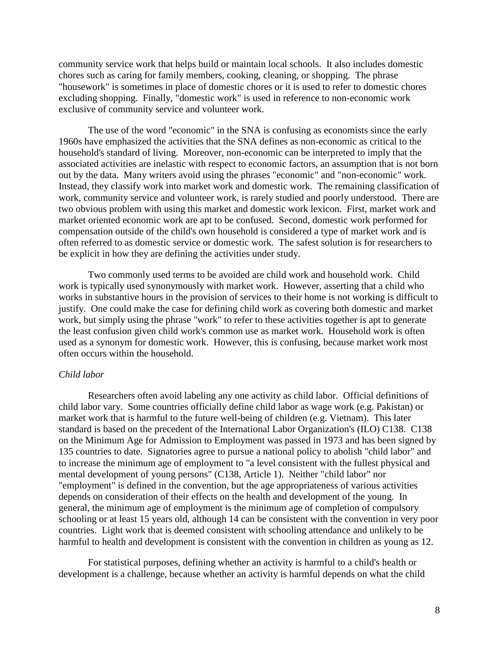community service work that helps build or maintain local schools. It also includes domestic chores such as caring for family members, cooking, cleaning, or shopping. The phrase "housework" is sometimes in place of domestic chores or it is used to refer to domestic chores excluding shopping. Finally, "domestic work" is used in reference to non-economic work exclusive of community service and volunteer work.

The use of the word "economic" in the SNA is confusing as economists since the early 1960s have emphasized the activities that the SNA defines as non-economic as critical to the household's standard of living. Moreover, non-economic can be interpreted to imply that the associated activities are inelastic with respect to economic factors, an assumption that is not born out by the data. Many writers avoid using the phrases "economic" and "non-economic" work. Instead, they classify work into market work and domestic work. The remaining classification of work, community service and volunteer work, is rarely studied and poorly understood. There are two obvious problem with using this market and domestic work lexicon. First, market work and market oriented economic work are apt to be confused. Second, domestic work performed for compensation outside of the child's own household is considered a type of market work and is often referred to as domestic service or domestic work. The safest solution is for researchers to be explicit in how they are defining the activities under study.

Two commonly used terms to be avoided are child work and household work. Child work is typically used synonymously with market work. However, asserting that a child who works in substantive hours in the provision of services to their home is not working is difficult to justify. One could make the case for defining child work as covering both domestic and market work, but simply using the phrase "work" to refer to these activities together is apt to generate the least confusion given child work's common use as market work. Household work is often used as a synonym for domestic work. However, this is confusing, because market work most often occurs within the household.

#### *Child labor*

Researchers often avoid labeling any one activity as child labor. Official definitions of child labor vary. Some countries officially define child labor as wage work (e.g. Pakistan) or market work that is harmful to the future well-being of children (e.g. Vietnam). This later standard is based on the precedent of the International Labor Organization's (ILO) C138. C138 on the Minimum Age for Admission to Employment was passed in 1973 and has been signed by 135 countries to date. Signatories agree to pursue a national policy to abolish "child labor" and to increase the minimum age of employment to "a level consistent with the fullest physical and mental development of young persons" (C138, Article 1). Neither "child labor" nor "employment" is defined in the convention, but the age appropriateness of various activities depends on consideration of their effects on the health and development of the young. In general, the minimum age of employment is the minimum age of completion of compulsory schooling or at least 15 years old, although 14 can be consistent with the convention in very poor countries. Light work that is deemed consistent with schooling attendance and unlikely to be harmful to health and development is consistent with the convention in children as young as 12.

For statistical purposes, defining whether an activity is harmful to a child's health or development is a challenge, because whether an activity is harmful depends on what the child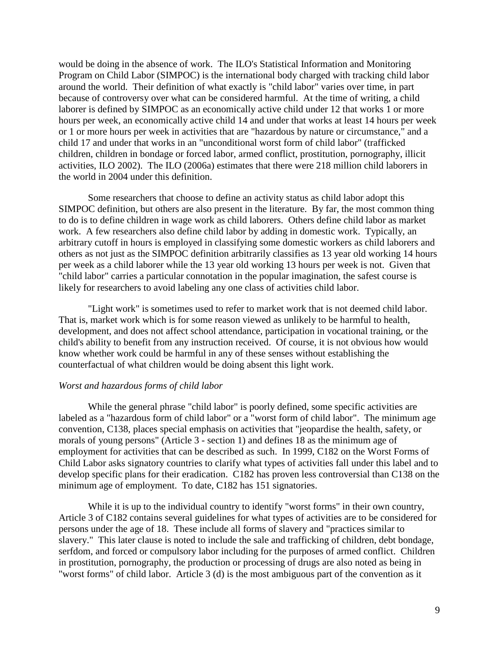would be doing in the absence of work. The ILO's Statistical Information and Monitoring Program on Child Labor (SIMPOC) is the international body charged with tracking child labor around the world. Their definition of what exactly is "child labor" varies over time, in part because of controversy over what can be considered harmful. At the time of writing, a child laborer is defined by SIMPOC as an economically active child under 12 that works 1 or more hours per week, an economically active child 14 and under that works at least 14 hours per week or 1 or more hours per week in activities that are "hazardous by nature or circumstance," and a child 17 and under that works in an "unconditional worst form of child labor" (trafficked children, children in bondage or forced labor, armed conflict, prostitution, pornography, illicit activities, ILO 2002). The ILO (2006a) estimates that there were 218 million child laborers in the world in 2004 under this definition.

Some researchers that choose to define an activity status as child labor adopt this SIMPOC definition, but others are also present in the literature. By far, the most common thing to do is to define children in wage work as child laborers. Others define child labor as market work. A few researchers also define child labor by adding in domestic work. Typically, an arbitrary cutoff in hours is employed in classifying some domestic workers as child laborers and others as not just as the SIMPOC definition arbitrarily classifies as 13 year old working 14 hours per week as a child laborer while the 13 year old working 13 hours per week is not. Given that "child labor" carries a particular connotation in the popular imagination, the safest course is likely for researchers to avoid labeling any one class of activities child labor.

"Light work" is sometimes used to refer to market work that is not deemed child labor. That is, market work which is for some reason viewed as unlikely to be harmful to health, development, and does not affect school attendance, participation in vocational training, or the child's ability to benefit from any instruction received. Of course, it is not obvious how would know whether work could be harmful in any of these senses without establishing the counterfactual of what children would be doing absent this light work.

#### *Worst and hazardous forms of child labor*

While the general phrase "child labor" is poorly defined, some specific activities are labeled as a "hazardous form of child labor" or a "worst form of child labor". The minimum age convention, C138, places special emphasis on activities that "jeopardise the health, safety, or morals of young persons" (Article 3 - section 1) and defines 18 as the minimum age of employment for activities that can be described as such. In 1999, C182 on the Worst Forms of Child Labor asks signatory countries to clarify what types of activities fall under this label and to develop specific plans for their eradication. C182 has proven less controversial than C138 on the minimum age of employment. To date, C182 has 151 signatories.

While it is up to the individual country to identify "worst forms" in their own country, Article 3 of C182 contains several guidelines for what types of activities are to be considered for persons under the age of 18. These include all forms of slavery and "practices similar to slavery." This later clause is noted to include the sale and trafficking of children, debt bondage, serfdom, and forced or compulsory labor including for the purposes of armed conflict. Children in prostitution, pornography, the production or processing of drugs are also noted as being in "worst forms" of child labor. Article 3 (d) is the most ambiguous part of the convention as it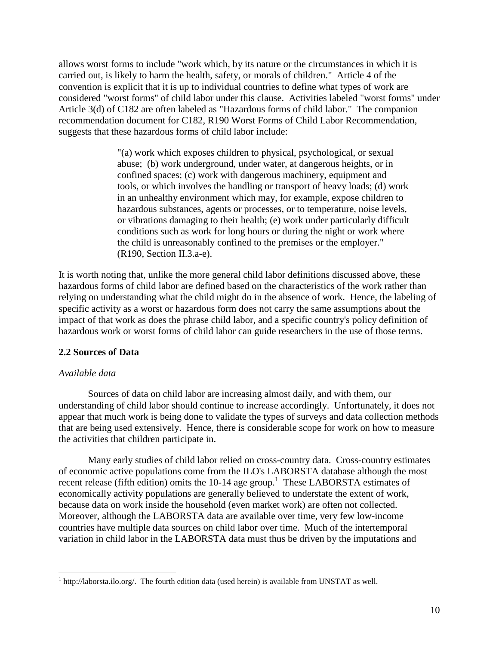allows worst forms to include "work which, by its nature or the circumstances in which it is carried out, is likely to harm the health, safety, or morals of children." Article 4 of the convention is explicit that it is up to individual countries to define what types of work are considered "worst forms" of child labor under this clause. Activities labeled "worst forms" under Article 3(d) of C182 are often labeled as "Hazardous forms of child labor." The companion recommendation document for C182, R190 Worst Forms of Child Labor Recommendation, suggests that these hazardous forms of child labor include:

> "(a) work which exposes children to physical, psychological, or sexual abuse; (b) work underground, under water, at dangerous heights, or in confined spaces; (c) work with dangerous machinery, equipment and tools, or which involves the handling or transport of heavy loads; (d) work in an unhealthy environment which may, for example, expose children to hazardous substances, agents or processes, or to temperature, noise levels, or vibrations damaging to their health; (e) work under particularly difficult conditions such as work for long hours or during the night or work where the child is unreasonably confined to the premises or the employer." (R190, Section II.3.a-e).

It is worth noting that, unlike the more general child labor definitions discussed above, these hazardous forms of child labor are defined based on the characteristics of the work rather than relying on understanding what the child might do in the absence of work. Hence, the labeling of specific activity as a worst or hazardous form does not carry the same assumptions about the impact of that work as does the phrase child labor, and a specific country's policy definition of hazardous work or worst forms of child labor can guide researchers in the use of those terms.

#### **2.2 Sources of Data**

#### *Available data*

Sources of data on child labor are increasing almost daily, and with them, our understanding of child labor should continue to increase accordingly. Unfortunately, it does not appear that much work is being done to validate the types of surveys and data collection methods that are being used extensively. Hence, there is considerable scope for work on how to measure the activities that children participate in.

Many early studies of child labor relied on cross-country data. Cross-country estimates of economic active populations come from the ILO's LABORSTA database although the most recent release (fifth edition) omits the  $10-14$  age group.<sup>1</sup> These LABORSTA estimates of economically activity populations are generally believed to understate the extent of work, because data on work inside the household (even market work) are often not collected. Moreover, although the LABORSTA data are available over time, very few low-income countries have multiple data sources on child labor over time. Much of the intertemporal variation in child labor in the LABORSTA data must thus be driven by the imputations and

 $1$  http://laborsta.ilo.org/. The fourth edition data (used herein) is available from UNSTAT as well.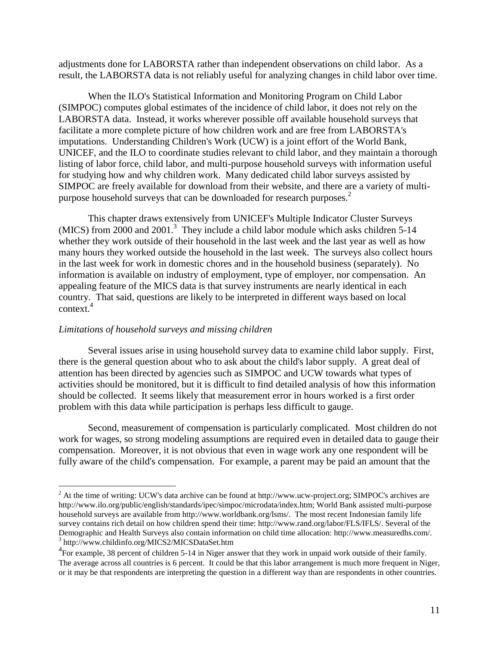adjustments done for LABORSTA rather than independent observations on child labor. As a result, the LABORSTA data is not reliably useful for analyzing changes in child labor over time.

When the ILO's Statistical Information and Monitoring Program on Child Labor (SIMPOC) computes global estimates of the incidence of child labor, it does not rely on the LABORSTA data. Instead, it works wherever possible off available household surveys that facilitate a more complete picture of how children work and are free from LABORSTA's imputations. Understanding Children's Work (UCW) is a joint effort of the World Bank, UNICEF, and the ILO to coordinate studies relevant to child labor, and they maintain a thorough listing of labor force, child labor, and multi-purpose household surveys with information useful for studying how and why children work. Many dedicated child labor surveys assisted by SIMPOC are freely available for download from their website, and there are a variety of multipurpose household surveys that can be downloaded for research purposes.<sup>2</sup>

This chapter draws extensively from UNICEF's Multiple Indicator Cluster Surveys (MICS) from 2000 and 2001.<sup>3</sup> They include a child labor module which asks children 5-14 whether they work outside of their household in the last week and the last year as well as how many hours they worked outside the household in the last week. The surveys also collect hours in the last week for work in domestic chores and in the household business (separately). No information is available on industry of employment, type of employer, nor compensation. An appealing feature of the MICS data is that survey instruments are nearly identical in each country. That said, questions are likely to be interpreted in different ways based on local  $context.<sup>4</sup>$ 

#### *Limitations of household surveys and missing children*

Several issues arise in using household survey data to examine child labor supply. First, there is the general question about who to ask about the child's labor supply. A great deal of attention has been directed by agencies such as SIMPOC and UCW towards what types of activities should be monitored, but it is difficult to find detailed analysis of how this information should be collected. It seems likely that measurement error in hours worked is a first order problem with this data while participation is perhaps less difficult to gauge.

Second, measurement of compensation is particularly complicated. Most children do not work for wages, so strong modeling assumptions are required even in detailed data to gauge their compensation. Moreover, it is not obvious that even in wage work any one respondent will be fully aware of the child's compensation. For example, a parent may be paid an amount that the

<sup>&</sup>lt;sup>2</sup> At the time of writing: UCW's data archive can be found at http://www.ucw-project.org; SIMPOC's archives are http://www.ilo.org/public/english/standards/ipec/simpoc/microdata/index.htm; World Bank assisted multi-purpose household surveys are available from http://www.worldbank.org/lsms/. The most recent Indonesian family life survey contains rich detail on how children spend their time: http://www.rand.org/labor/FLS/IFLS/. Several of the Demographic and Health Surveys also contain information on child time allocation: http://www.measuredhs.com/. 3 http://www.childinfo.org/MICS2/MICSDataSet.htm

<sup>&</sup>lt;sup>4</sup> For example, 38 percent of children 5-14 in Niger answer that they work in unpaid work outside of their family. The average across all countries is 6 percent. It could be that this labor arrangement is much more frequent in Niger, or it may be that respondents are interpreting the question in a different way than are respondents in other countries.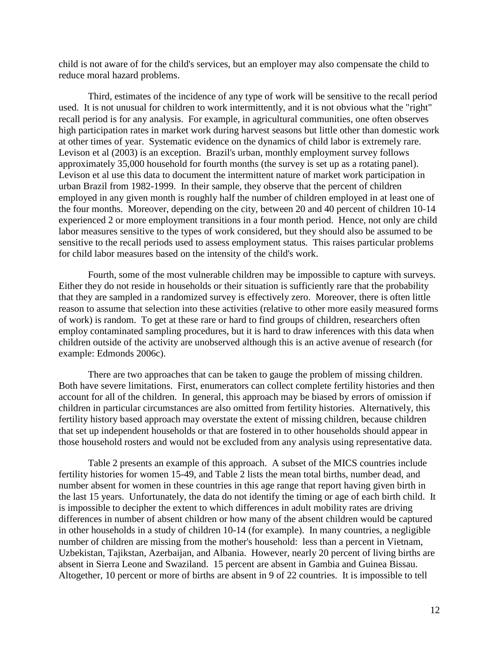child is not aware of for the child's services, but an employer may also compensate the child to reduce moral hazard problems.

Third, estimates of the incidence of any type of work will be sensitive to the recall period used. It is not unusual for children to work intermittently, and it is not obvious what the "right" recall period is for any analysis. For example, in agricultural communities, one often observes high participation rates in market work during harvest seasons but little other than domestic work at other times of year. Systematic evidence on the dynamics of child labor is extremely rare. Levison et al (2003) is an exception. Brazil's urban, monthly employment survey follows approximately 35,000 household for fourth months (the survey is set up as a rotating panel). Levison et al use this data to document the intermittent nature of market work participation in urban Brazil from 1982-1999. In their sample, they observe that the percent of children employed in any given month is roughly half the number of children employed in at least one of the four months. Moreover, depending on the city, between 20 and 40 percent of children 10-14 experienced 2 or more employment transitions in a four month period. Hence, not only are child labor measures sensitive to the types of work considered, but they should also be assumed to be sensitive to the recall periods used to assess employment status. This raises particular problems for child labor measures based on the intensity of the child's work.

Fourth, some of the most vulnerable children may be impossible to capture with surveys. Either they do not reside in households or their situation is sufficiently rare that the probability that they are sampled in a randomized survey is effectively zero. Moreover, there is often little reason to assume that selection into these activities (relative to other more easily measured forms of work) is random. To get at these rare or hard to find groups of children, researchers often employ contaminated sampling procedures, but it is hard to draw inferences with this data when children outside of the activity are unobserved although this is an active avenue of research (for example: Edmonds 2006c).

There are two approaches that can be taken to gauge the problem of missing children. Both have severe limitations. First, enumerators can collect complete fertility histories and then account for all of the children. In general, this approach may be biased by errors of omission if children in particular circumstances are also omitted from fertility histories. Alternatively, this fertility history based approach may overstate the extent of missing children, because children that set up independent households or that are fostered in to other households should appear in those household rosters and would not be excluded from any analysis using representative data.

Table 2 presents an example of this approach. A subset of the MICS countries include fertility histories for women 15-49, and Table 2 lists the mean total births, number dead, and number absent for women in these countries in this age range that report having given birth in the last 15 years. Unfortunately, the data do not identify the timing or age of each birth child. It is impossible to decipher the extent to which differences in adult mobility rates are driving differences in number of absent children or how many of the absent children would be captured in other households in a study of children 10-14 (for example). In many countries, a negligible number of children are missing from the mother's household: less than a percent in Vietnam, Uzbekistan, Tajikstan, Azerbaijan, and Albania. However, nearly 20 percent of living births are absent in Sierra Leone and Swaziland. 15 percent are absent in Gambia and Guinea Bissau. Altogether, 10 percent or more of births are absent in 9 of 22 countries. It is impossible to tell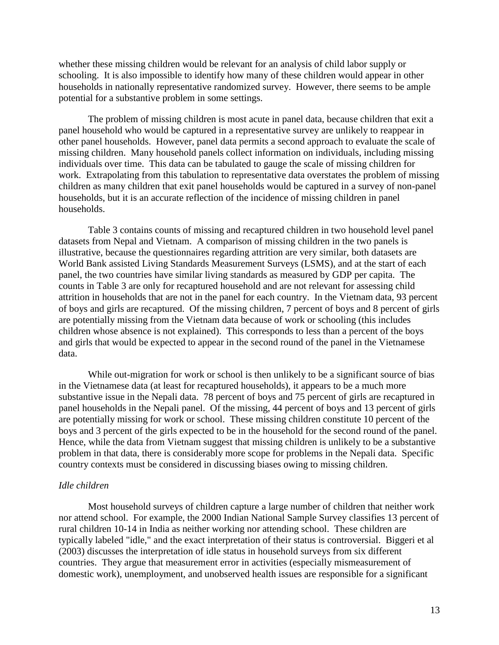whether these missing children would be relevant for an analysis of child labor supply or schooling. It is also impossible to identify how many of these children would appear in other households in nationally representative randomized survey. However, there seems to be ample potential for a substantive problem in some settings.

The problem of missing children is most acute in panel data, because children that exit a panel household who would be captured in a representative survey are unlikely to reappear in other panel households. However, panel data permits a second approach to evaluate the scale of missing children. Many household panels collect information on individuals, including missing individuals over time. This data can be tabulated to gauge the scale of missing children for work. Extrapolating from this tabulation to representative data overstates the problem of missing children as many children that exit panel households would be captured in a survey of non-panel households, but it is an accurate reflection of the incidence of missing children in panel households.

Table 3 contains counts of missing and recaptured children in two household level panel datasets from Nepal and Vietnam. A comparison of missing children in the two panels is illustrative, because the questionnaires regarding attrition are very similar, both datasets are World Bank assisted Living Standards Measurement Surveys (LSMS), and at the start of each panel, the two countries have similar living standards as measured by GDP per capita. The counts in Table 3 are only for recaptured household and are not relevant for assessing child attrition in households that are not in the panel for each country. In the Vietnam data, 93 percent of boys and girls are recaptured. Of the missing children, 7 percent of boys and 8 percent of girls are potentially missing from the Vietnam data because of work or schooling (this includes children whose absence is not explained). This corresponds to less than a percent of the boys and girls that would be expected to appear in the second round of the panel in the Vietnamese data.

While out-migration for work or school is then unlikely to be a significant source of bias in the Vietnamese data (at least for recaptured households), it appears to be a much more substantive issue in the Nepali data. 78 percent of boys and 75 percent of girls are recaptured in panel households in the Nepali panel. Of the missing, 44 percent of boys and 13 percent of girls are potentially missing for work or school. These missing children constitute 10 percent of the boys and 3 percent of the girls expected to be in the household for the second round of the panel. Hence, while the data from Vietnam suggest that missing children is unlikely to be a substantive problem in that data, there is considerably more scope for problems in the Nepali data. Specific country contexts must be considered in discussing biases owing to missing children.

#### *Idle children*

Most household surveys of children capture a large number of children that neither work nor attend school. For example, the 2000 Indian National Sample Survey classifies 13 percent of rural children 10-14 in India as neither working nor attending school. These children are typically labeled "idle," and the exact interpretation of their status is controversial. Biggeri et al (2003) discusses the interpretation of idle status in household surveys from six different countries. They argue that measurement error in activities (especially mismeasurement of domestic work), unemployment, and unobserved health issues are responsible for a significant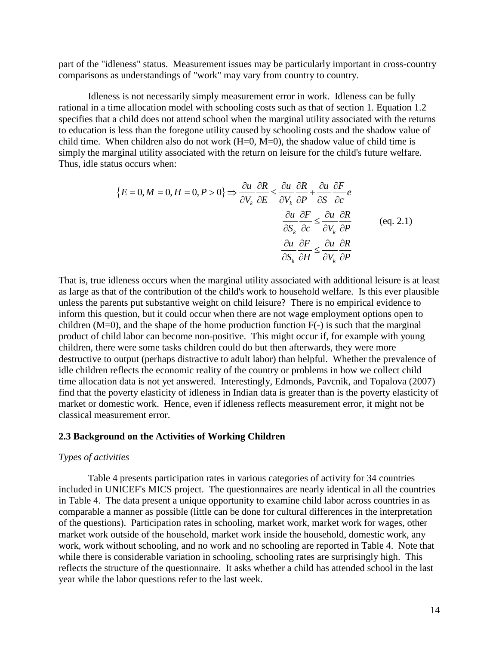part of the "idleness" status. Measurement issues may be particularly important in cross-country comparisons as understandings of "work" may vary from country to country.

Idleness is not necessarily simply measurement error in work. Idleness can be fully rational in a time allocation model with schooling costs such as that of section 1. Equation 1.2 specifies that a child does not attend school when the marginal utility associated with the returns to education is less than the foregone utility caused by schooling costs and the shadow value of child time. When children also do not work  $(H=0, M=0)$ , the shadow value of child time is simply the marginal utility associated with the return on leisure for the child's future welfare. Thus, idle status occurs when:

$$
\{E = 0, M = 0, H = 0, P > 0\} \Rightarrow \frac{\partial u}{\partial V_k} \frac{\partial R}{\partial E} \le \frac{\partial u}{\partial V_k} \frac{\partial R}{\partial P} + \frac{\partial u}{\partial S} \frac{\partial F}{\partial c} e
$$

$$
\frac{\partial u}{\partial S_k} \frac{\partial F}{\partial c} \le \frac{\partial u}{\partial V_k} \frac{\partial R}{\partial P}
$$

$$
\frac{\partial u}{\partial S_k} \frac{\partial F}{\partial H} \le \frac{\partial u}{\partial V_k} \frac{\partial R}{\partial P}
$$
(eq. 2.1)

That is, true idleness occurs when the marginal utility associated with additional leisure is at least as large as that of the contribution of the child's work to household welfare. Is this ever plausible unless the parents put substantive weight on child leisure? There is no empirical evidence to inform this question, but it could occur when there are not wage employment options open to children (M=0), and the shape of the home production function  $F(-)$  is such that the marginal product of child labor can become non-positive. This might occur if, for example with young children, there were some tasks children could do but then afterwards, they were more destructive to output (perhaps distractive to adult labor) than helpful. Whether the prevalence of idle children reflects the economic reality of the country or problems in how we collect child time allocation data is not yet answered. Interestingly, Edmonds, Pavcnik, and Topalova (2007) find that the poverty elasticity of idleness in Indian data is greater than is the poverty elasticity of market or domestic work. Hence, even if idleness reflects measurement error, it might not be classical measurement error.

#### **2.3 Background on the Activities of Working Children**

#### *Types of activities*

Table 4 presents participation rates in various categories of activity for 34 countries included in UNICEF's MICS project. The questionnaires are nearly identical in all the countries in Table 4. The data present a unique opportunity to examine child labor across countries in as comparable a manner as possible (little can be done for cultural differences in the interpretation of the questions). Participation rates in schooling, market work, market work for wages, other market work outside of the household, market work inside the household, domestic work, any work, work without schooling, and no work and no schooling are reported in Table 4. Note that while there is considerable variation in schooling, schooling rates are surprisingly high. This reflects the structure of the questionnaire. It asks whether a child has attended school in the last year while the labor questions refer to the last week.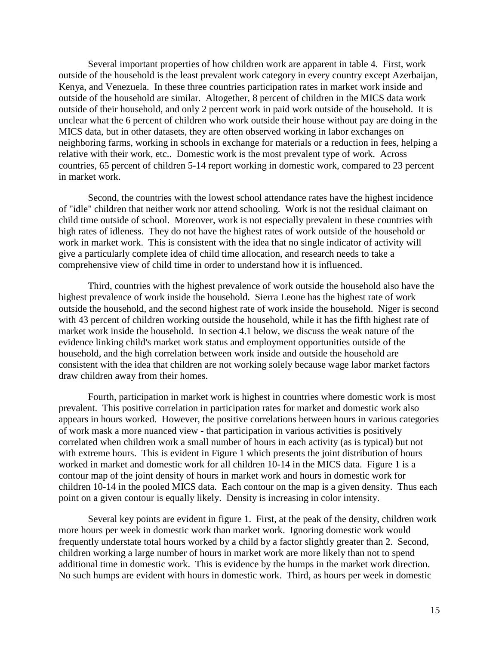Several important properties of how children work are apparent in table 4. First, work outside of the household is the least prevalent work category in every country except Azerbaijan, Kenya, and Venezuela. In these three countries participation rates in market work inside and outside of the household are similar. Altogether, 8 percent of children in the MICS data work outside of their household, and only 2 percent work in paid work outside of the household. It is unclear what the 6 percent of children who work outside their house without pay are doing in the MICS data, but in other datasets, they are often observed working in labor exchanges on neighboring farms, working in schools in exchange for materials or a reduction in fees, helping a relative with their work, etc.. Domestic work is the most prevalent type of work. Across countries, 65 percent of children 5-14 report working in domestic work, compared to 23 percent in market work.

Second, the countries with the lowest school attendance rates have the highest incidence of "idle" children that neither work nor attend schooling. Work is not the residual claimant on child time outside of school. Moreover, work is not especially prevalent in these countries with high rates of idleness. They do not have the highest rates of work outside of the household or work in market work. This is consistent with the idea that no single indicator of activity will give a particularly complete idea of child time allocation, and research needs to take a comprehensive view of child time in order to understand how it is influenced.

Third, countries with the highest prevalence of work outside the household also have the highest prevalence of work inside the household. Sierra Leone has the highest rate of work outside the household, and the second highest rate of work inside the household. Niger is second with 43 percent of children working outside the household, while it has the fifth highest rate of market work inside the household. In section 4.1 below, we discuss the weak nature of the evidence linking child's market work status and employment opportunities outside of the household, and the high correlation between work inside and outside the household are consistent with the idea that children are not working solely because wage labor market factors draw children away from their homes.

Fourth, participation in market work is highest in countries where domestic work is most prevalent. This positive correlation in participation rates for market and domestic work also appears in hours worked. However, the positive correlations between hours in various categories of work mask a more nuanced view - that participation in various activities is positively correlated when children work a small number of hours in each activity (as is typical) but not with extreme hours. This is evident in Figure 1 which presents the joint distribution of hours worked in market and domestic work for all children 10-14 in the MICS data. Figure 1 is a contour map of the joint density of hours in market work and hours in domestic work for children 10-14 in the pooled MICS data. Each contour on the map is a given density. Thus each point on a given contour is equally likely. Density is increasing in color intensity.

Several key points are evident in figure 1. First, at the peak of the density, children work more hours per week in domestic work than market work. Ignoring domestic work would frequently understate total hours worked by a child by a factor slightly greater than 2. Second, children working a large number of hours in market work are more likely than not to spend additional time in domestic work. This is evidence by the humps in the market work direction. No such humps are evident with hours in domestic work. Third, as hours per week in domestic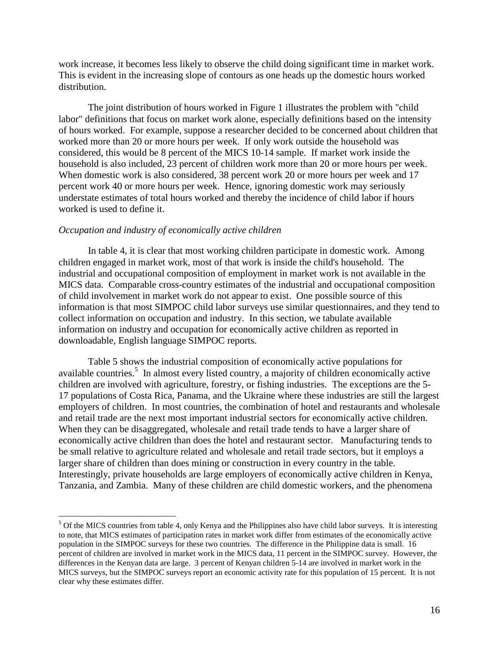work increase, it becomes less likely to observe the child doing significant time in market work. This is evident in the increasing slope of contours as one heads up the domestic hours worked distribution.

The joint distribution of hours worked in Figure 1 illustrates the problem with "child labor" definitions that focus on market work alone, especially definitions based on the intensity of hours worked. For example, suppose a researcher decided to be concerned about children that worked more than 20 or more hours per week. If only work outside the household was considered, this would be 8 percent of the MICS 10-14 sample. If market work inside the household is also included, 23 percent of children work more than 20 or more hours per week. When domestic work is also considered, 38 percent work 20 or more hours per week and 17 percent work 40 or more hours per week. Hence, ignoring domestic work may seriously understate estimates of total hours worked and thereby the incidence of child labor if hours worked is used to define it.

#### *Occupation and industry of economically active children*

In table 4, it is clear that most working children participate in domestic work. Among children engaged in market work, most of that work is inside the child's household. The industrial and occupational composition of employment in market work is not available in the MICS data. Comparable cross-country estimates of the industrial and occupational composition of child involvement in market work do not appear to exist. One possible source of this information is that most SIMPOC child labor surveys use similar questionnaires, and they tend to collect information on occupation and industry. In this section, we tabulate available information on industry and occupation for economically active children as reported in downloadable, English language SIMPOC reports.

Table 5 shows the industrial composition of economically active populations for available countries.<sup>5</sup> In almost every listed country, a majority of children economically active children are involved with agriculture, forestry, or fishing industries. The exceptions are the 5- 17 populations of Costa Rica, Panama, and the Ukraine where these industries are still the largest employers of children. In most countries, the combination of hotel and restaurants and wholesale and retail trade are the next most important industrial sectors for economically active children. When they can be disaggregated, wholesale and retail trade tends to have a larger share of economically active children than does the hotel and restaurant sector. Manufacturing tends to be small relative to agriculture related and wholesale and retail trade sectors, but it employs a larger share of children than does mining or construction in every country in the table. Interestingly, private households are large employers of economically active children in Kenya, Tanzania, and Zambia. Many of these children are child domestic workers, and the phenomena

 $<sup>5</sup>$  Of the MICS countries from table 4, only Kenya and the Philippines also have child labor surveys. It is interesting</sup> to note, that MICS estimates of participation rates in market work differ from estimates of the economically active population in the SIMPOC surveys for these two countries. The difference in the Philippine data is small. 16 percent of children are involved in market work in the MICS data, 11 percent in the SIMPOC survey. However, the differences in the Kenyan data are large. 3 percent of Kenyan children 5-14 are involved in market work in the MICS surveys, but the SIMPOC surveys report an economic activity rate for this population of 15 percent. It is not clear why these estimates differ.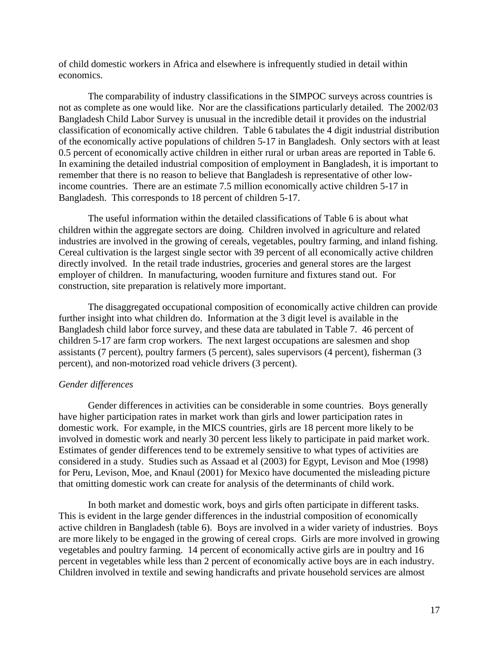of child domestic workers in Africa and elsewhere is infrequently studied in detail within economics.

The comparability of industry classifications in the SIMPOC surveys across countries is not as complete as one would like. Nor are the classifications particularly detailed. The 2002/03 Bangladesh Child Labor Survey is unusual in the incredible detail it provides on the industrial classification of economically active children. Table 6 tabulates the 4 digit industrial distribution of the economically active populations of children 5-17 in Bangladesh. Only sectors with at least 0.5 percent of economically active children in either rural or urban areas are reported in Table 6. In examining the detailed industrial composition of employment in Bangladesh, it is important to remember that there is no reason to believe that Bangladesh is representative of other lowincome countries. There are an estimate 7.5 million economically active children 5-17 in Bangladesh. This corresponds to 18 percent of children 5-17.

The useful information within the detailed classifications of Table 6 is about what children within the aggregate sectors are doing. Children involved in agriculture and related industries are involved in the growing of cereals, vegetables, poultry farming, and inland fishing. Cereal cultivation is the largest single sector with 39 percent of all economically active children directly involved. In the retail trade industries, groceries and general stores are the largest employer of children. In manufacturing, wooden furniture and fixtures stand out. For construction, site preparation is relatively more important.

The disaggregated occupational composition of economically active children can provide further insight into what children do. Information at the 3 digit level is available in the Bangladesh child labor force survey, and these data are tabulated in Table 7. 46 percent of children 5-17 are farm crop workers. The next largest occupations are salesmen and shop assistants (7 percent), poultry farmers (5 percent), sales supervisors (4 percent), fisherman (3 percent), and non-motorized road vehicle drivers (3 percent).

#### *Gender differences*

Gender differences in activities can be considerable in some countries. Boys generally have higher participation rates in market work than girls and lower participation rates in domestic work. For example, in the MICS countries, girls are 18 percent more likely to be involved in domestic work and nearly 30 percent less likely to participate in paid market work. Estimates of gender differences tend to be extremely sensitive to what types of activities are considered in a study. Studies such as Assaad et al (2003) for Egypt, Levison and Moe (1998) for Peru, Levison, Moe, and Knaul (2001) for Mexico have documented the misleading picture that omitting domestic work can create for analysis of the determinants of child work.

In both market and domestic work, boys and girls often participate in different tasks. This is evident in the large gender differences in the industrial composition of economically active children in Bangladesh (table 6). Boys are involved in a wider variety of industries. Boys are more likely to be engaged in the growing of cereal crops. Girls are more involved in growing vegetables and poultry farming. 14 percent of economically active girls are in poultry and 16 percent in vegetables while less than 2 percent of economically active boys are in each industry. Children involved in textile and sewing handicrafts and private household services are almost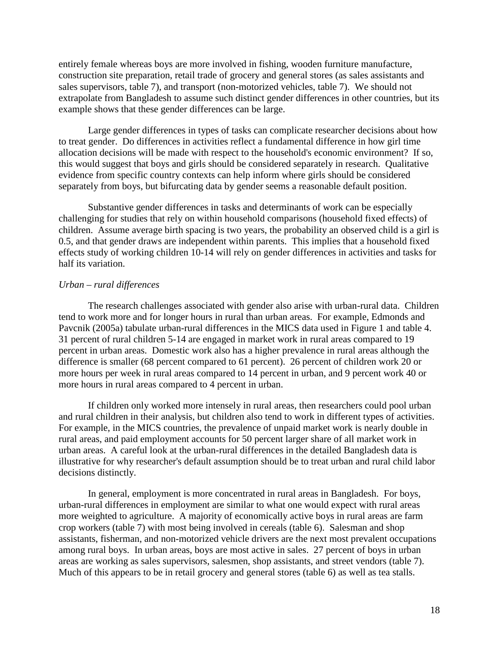entirely female whereas boys are more involved in fishing, wooden furniture manufacture, construction site preparation, retail trade of grocery and general stores (as sales assistants and sales supervisors, table 7), and transport (non-motorized vehicles, table 7). We should not extrapolate from Bangladesh to assume such distinct gender differences in other countries, but its example shows that these gender differences can be large.

Large gender differences in types of tasks can complicate researcher decisions about how to treat gender. Do differences in activities reflect a fundamental difference in how girl time allocation decisions will be made with respect to the household's economic environment? If so, this would suggest that boys and girls should be considered separately in research. Qualitative evidence from specific country contexts can help inform where girls should be considered separately from boys, but bifurcating data by gender seems a reasonable default position.

Substantive gender differences in tasks and determinants of work can be especially challenging for studies that rely on within household comparisons (household fixed effects) of children. Assume average birth spacing is two years, the probability an observed child is a girl is 0.5, and that gender draws are independent within parents. This implies that a household fixed effects study of working children 10-14 will rely on gender differences in activities and tasks for half its variation.

#### *Urban –rural differences*

The research challenges associated with gender also arise with urban-rural data. Children tend to work more and for longer hours in rural than urban areas. For example, Edmonds and Pavcnik (2005a) tabulate urban-rural differences in the MICS data used in Figure 1 and table 4. 31 percent of rural children 5-14 are engaged in market work in rural areas compared to 19 percent in urban areas. Domestic work also has a higher prevalence in rural areas although the difference is smaller (68 percent compared to 61 percent). 26 percent of children work 20 or more hours per week in rural areas compared to 14 percent in urban, and 9 percent work 40 or more hours in rural areas compared to 4 percent in urban.

If children only worked more intensely in rural areas, then researchers could pool urban and rural children in their analysis, but children also tend to work in different types of activities. For example, in the MICS countries, the prevalence of unpaid market work is nearly double in rural areas, and paid employment accounts for 50 percent larger share of all market work in urban areas. A careful look at the urban-rural differences in the detailed Bangladesh data is illustrative for why researcher's default assumption should be to treat urban and rural child labor decisions distinctly.

In general, employment is more concentrated in rural areas in Bangladesh. For boys, urban-rural differences in employment are similar to what one would expect with rural areas more weighted to agriculture. A majority of economically active boys in rural areas are farm crop workers (table 7) with most being involved in cereals (table 6). Salesman and shop assistants, fisherman, and non-motorized vehicle drivers are the next most prevalent occupations among rural boys. In urban areas, boys are most active in sales. 27 percent of boys in urban areas are working as sales supervisors, salesmen, shop assistants, and street vendors (table 7). Much of this appears to be in retail grocery and general stores (table 6) as well as tea stalls.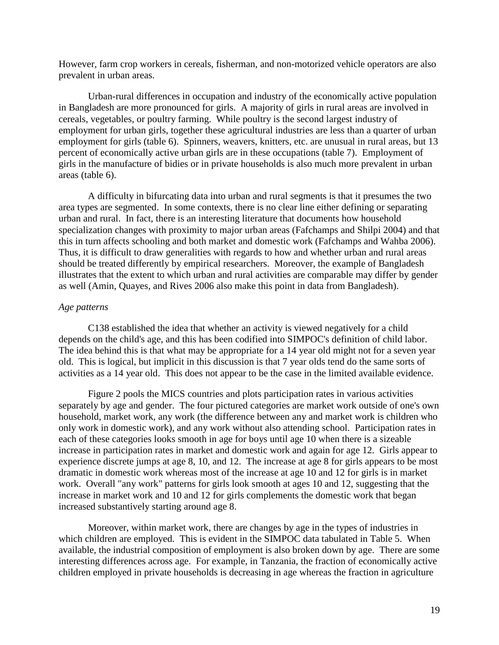However, farm crop workers in cereals, fisherman, and non-motorized vehicle operators are also prevalent in urban areas.

Urban-rural differences in occupation and industry of the economically active population in Bangladesh are more pronounced for girls. A majority of girls in rural areas are involved in cereals, vegetables, or poultry farming. While poultry is the second largest industry of employment for urban girls, together these agricultural industries are less than a quarter of urban employment for girls (table 6). Spinners, weavers, knitters, etc. are unusual in rural areas, but 13 percent of economically active urban girls are in these occupations (table 7). Employment of girls in the manufacture of bidies or in private households is also much more prevalent in urban areas (table 6).

A difficulty in bifurcating data into urban and rural segments is that it presumes the two area types are segmented. In some contexts, there is no clear line either defining or separating urban and rural. In fact, there is an interesting literature that documents how household specialization changes with proximity to major urban areas (Fafchamps and Shilpi 2004) and that this in turn affects schooling and both market and domestic work (Fafchamps and Wahba 2006). Thus, it is difficult to draw generalities with regards to how and whether urban and rural areas should be treated differently by empirical researchers. Moreover, the example of Bangladesh illustrates that the extent to which urban and rural activities are comparable may differ by gender as well (Amin, Quayes, and Rives 2006 also make this point in data from Bangladesh).

#### *Age patterns*

C138 established the idea that whether an activity is viewed negatively for a child depends on the child's age, and this has been codified into SIMPOC's definition of child labor. The idea behind this is that what may be appropriate for a 14 year old might not for a seven year old. This is logical, but implicit in this discussion is that 7 year olds tend do the same sorts of activities as a 14 year old. This does not appear to be the case in the limited available evidence.

Figure 2 pools the MICS countries and plots participation rates in various activities separately by age and gender. The four pictured categories are market work outside of one's own household, market work, any work (the difference between any and market work is children who only work in domestic work), and any work without also attending school. Participation rates in each of these categories looks smooth in age for boys until age 10 when there is a sizeable increase in participation rates in market and domestic work and again for age 12. Girls appear to experience discrete jumps at age 8, 10, and 12. The increase at age 8 for girls appears to be most dramatic in domestic work whereas most of the increase at age 10 and 12 for girls is in market work. Overall "any work" patterns for girls look smooth at ages 10 and 12, suggesting that the increase in market work and 10 and 12 for girls complements the domestic work that began increased substantively starting around age 8.

Moreover, within market work, there are changes by age in the types of industries in which children are employed. This is evident in the SIMPOC data tabulated in Table 5. When available, the industrial composition of employment is also broken down by age. There are some interesting differences across age. For example, in Tanzania, the fraction of economically active children employed in private households is decreasing in age whereas the fraction in agriculture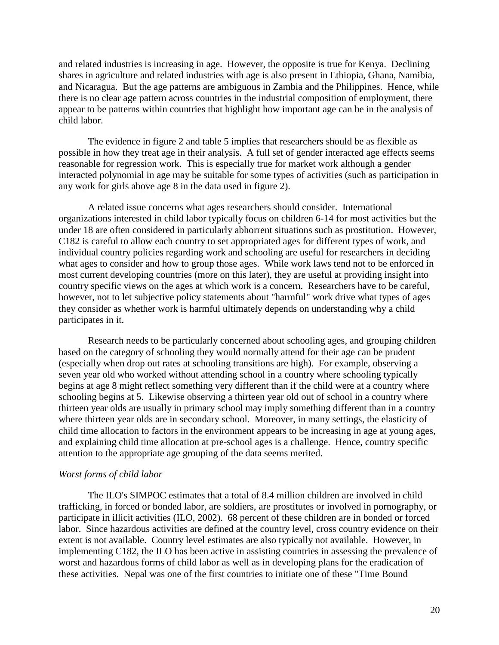and related industries is increasing in age. However, the opposite is true for Kenya. Declining shares in agriculture and related industries with age is also present in Ethiopia, Ghana, Namibia, and Nicaragua. But the age patterns are ambiguous in Zambia and the Philippines. Hence, while there is no clear age pattern across countries in the industrial composition of employment, there appear to be patterns within countries that highlight how important age can be in the analysis of child labor.

The evidence in figure 2 and table 5 implies that researchers should be as flexible as possible in how they treat age in their analysis. A full set of gender interacted age effects seems reasonable for regression work. This is especially true for market work although a gender interacted polynomial in age may be suitable for some types of activities (such as participation in any work for girls above age 8 in the data used in figure 2).

A related issue concerns what ages researchers should consider. International organizations interested in child labor typically focus on children 6-14 for most activities but the under 18 are often considered in particularly abhorrent situations such as prostitution. However, C182 is careful to allow each country to set appropriated ages for different types of work, and individual country policies regarding work and schooling are useful for researchers in deciding what ages to consider and how to group those ages. While work laws tend not to be enforced in most current developing countries (more on this later), they are useful at providing insight into country specific views on the ages at which work is a concern. Researchers have to be careful, however, not to let subjective policy statements about "harmful" work drive what types of ages they consider as whether work is harmful ultimately depends on understanding why a child participates in it.

Research needs to be particularly concerned about schooling ages, and grouping children based on the category of schooling they would normally attend for their age can be prudent (especially when drop out rates at schooling transitions are high). For example, observing a seven year old who worked without attending school in a country where schooling typically begins at age 8 might reflect something very different than if the child were at a country where schooling begins at 5. Likewise observing a thirteen year old out of school in a country where thirteen year olds are usually in primary school may imply something different than in a country where thirteen year olds are in secondary school. Moreover, in many settings, the elasticity of child time allocation to factors in the environment appears to be increasing in age at young ages, and explaining child time allocation at pre-school ages is a challenge. Hence, country specific attention to the appropriate age grouping of the data seems merited.

#### *Worst forms of child labor*

The ILO's SIMPOC estimates that a total of 8.4 million children are involved in child trafficking, in forced or bonded labor, are soldiers, are prostitutes or involved in pornography, or participate in illicit activities (ILO, 2002). 68 percent of these children are in bonded or forced labor. Since hazardous activities are defined at the country level, cross country evidence on their extent is not available. Country level estimates are also typically not available. However, in implementing C182, the ILO has been active in assisting countries in assessing the prevalence of worst and hazardous forms of child labor as well as in developing plans for the eradication of these activities. Nepal was one of the first countries to initiate one of these "Time Bound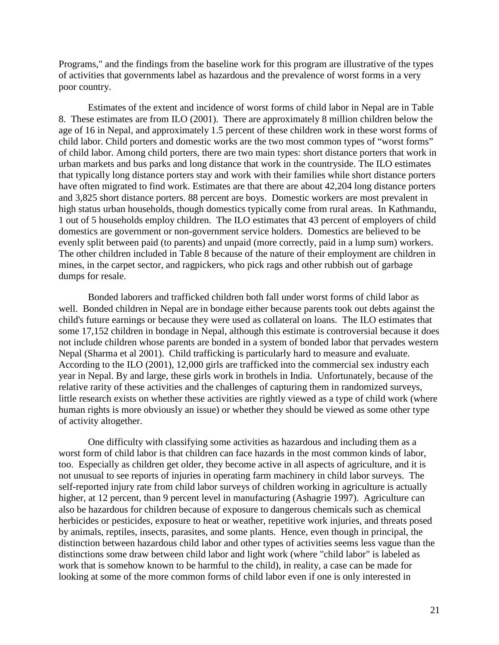Programs," and the findings from the baseline work for this program are illustrative of the types of activities that governments label as hazardous and the prevalence of worst forms in a very poor country.

Estimates of the extent and incidence of worst forms of child labor in Nepal are in Table 8. These estimates are from ILO (2001). There are approximately 8 million children below the age of 16 in Nepal, and approximately 1.5 percent of these children work in these worst forms of child labor. Child porters and domestic works are the two most common types of "worst forms" of child labor. Among child porters, there are two main types: short distance porters that work in urban markets and bus parks and long distance that work in the countryside. The ILO estimates that typically long distance porters stay and work with their families while short distance porters have often migrated to find work. Estimates are that there are about 42,204 long distance porters and 3,825 short distance porters. 88 percent are boys. Domestic workers are most prevalent in high status urban households, though domestics typically come from rural areas. In Kathmandu, 1 out of 5 households employ children. The ILO estimates that 43 percent of employers of child domestics are government or non-government service holders. Domestics are believed to be evenly split between paid (to parents) and unpaid (more correctly, paid in a lump sum) workers. The other children included in Table 8 because of the nature of their employment are children in mines, in the carpet sector, and ragpickers, who pick rags and other rubbish out of garbage dumps for resale.

Bonded laborers and trafficked children both fall under worst forms of child labor as well. Bonded children in Nepal are in bondage either because parents took out debts against the child's future earnings or because they were used as collateral on loans. The ILO estimates that some 17,152 children in bondage in Nepal, although this estimate is controversial because it does not include children whose parents are bonded in a system of bonded labor that pervades western Nepal (Sharma et al 2001). Child trafficking is particularly hard to measure and evaluate. According to the ILO (2001), 12,000 girls are trafficked into the commercial sex industry each year in Nepal. By and large, these girls work in brothels in India. Unfortunately, because of the relative rarity of these activities and the challenges of capturing them in randomized surveys, little research exists on whether these activities are rightly viewed as a type of child work (where human rights is more obviously an issue) or whether they should be viewed as some other type of activity altogether.

One difficulty with classifying some activities as hazardous and including them as a worst form of child labor is that children can face hazards in the most common kinds of labor, too. Especially as children get older, they become active in all aspects of agriculture, and it is not unusual to see reports of injuries in operating farm machinery in child labor surveys. The self-reported injury rate from child labor surveys of children working in agriculture is actually higher, at 12 percent, than 9 percent level in manufacturing (Ashagrie 1997). Agriculture can also be hazardous for children because of exposure to dangerous chemicals such as chemical herbicides or pesticides, exposure to heat or weather, repetitive work injuries, and threats posed by animals, reptiles, insects, parasites, and some plants. Hence, even though in principal, the distinction between hazardous child labor and other types of activities seems less vague than the distinctions some draw between child labor and light work (where "child labor" is labeled as work that is somehow known to be harmful to the child), in reality, a case can be made for looking at some of the more common forms of child labor even if one is only interested in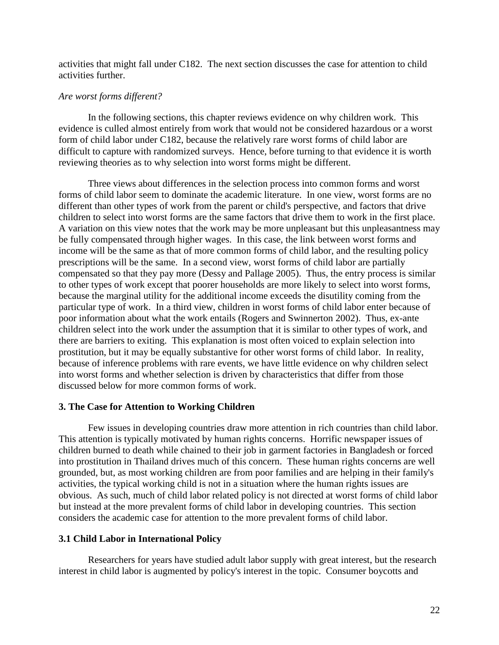activities that might fall under C182. The next section discusses the case for attention to child activities further.

#### *Are worst forms different?*

In the following sections, this chapter reviews evidence on why children work. This evidence is culled almost entirely from work that would not be considered hazardous or a worst form of child labor under C182, because the relatively rare worst forms of child labor are difficult to capture with randomized surveys. Hence, before turning to that evidence it is worth reviewing theories as to why selection into worst forms might be different.

Three views about differences in the selection process into common forms and worst forms of child labor seem to dominate the academic literature. In one view, worst forms are no different than other types of work from the parent or child's perspective, and factors that drive children to select into worst forms are the same factors that drive them to work in the first place. A variation on this view notes that the work may be more unpleasant but this unpleasantness may be fully compensated through higher wages. In this case, the link between worst forms and income will be the same as that of more common forms of child labor, and the resulting policy prescriptions will be the same. In a second view, worst forms of child labor are partially compensated so that they pay more (Dessy and Pallage 2005). Thus, the entry process is similar to other types of work except that poorer households are more likely to select into worst forms, because the marginal utility for the additional income exceeds the disutility coming from the particular type of work. In a third view, children in worst forms of child labor enter because of poor information about what the work entails (Rogers and Swinnerton 2002). Thus, ex-ante children select into the work under the assumption that it is similar to other types of work, and there are barriers to exiting. This explanation is most often voiced to explain selection into prostitution, but it may be equally substantive for other worst forms of child labor. In reality, because of inference problems with rare events, we have little evidence on why children select into worst forms and whether selection is driven by characteristics that differ from those discussed below for more common forms of work.

#### **3. The Case for Attention to Working Children**

Few issues in developing countries draw more attention in rich countries than child labor. This attention is typically motivated by human rights concerns. Horrific newspaper issues of children burned to death while chained to their job in garment factories in Bangladesh or forced into prostitution in Thailand drives much of this concern. These human rights concerns are well grounded, but, as most working children are from poor families and are helping in their family's activities, the typical working child is not in a situation where the human rights issues are obvious. As such, much of child labor related policy is not directed at worst forms of child labor but instead at the more prevalent forms of child labor in developing countries. This section considers the academic case for attention to the more prevalent forms of child labor.

#### **3.1 Child Labor in International Policy**

Researchers for years have studied adult labor supply with great interest, but the research interest in child labor is augmented by policy's interest in the topic. Consumer boycotts and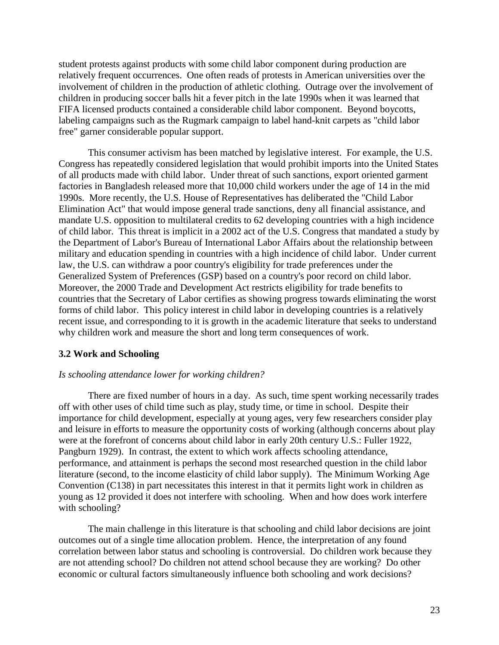student protests against products with some child labor component during production are relatively frequent occurrences. One often reads of protests in American universities over the involvement of children in the production of athletic clothing. Outrage over the involvement of children in producing soccer balls hit a fever pitch in the late 1990s when it was learned that FIFA licensed products contained a considerable child labor component. Beyond boycotts, labeling campaigns such as the Rugmark campaign to label hand-knit carpets as "child labor free" garner considerable popular support.

This consumer activism has been matched by legislative interest. For example, the U.S. Congress has repeatedly considered legislation that would prohibit imports into the United States of all products made with child labor. Under threat of such sanctions, export oriented garment factories in Bangladesh released more that 10,000 child workers under the age of 14 in the mid 1990s. More recently, the U.S. House of Representatives has deliberated the "Child Labor Elimination Act" that would impose general trade sanctions, deny all financial assistance, and mandate U.S. opposition to multilateral credits to 62 developing countries with a high incidence of child labor. This threat is implicit in a 2002 act of the U.S. Congress that mandated a study by the Department of Labor's Bureau of International Labor Affairs about the relationship between military and education spending in countries with a high incidence of child labor. Under current law, the U.S. can withdraw a poor country's eligibility for trade preferences under the Generalized System of Preferences (GSP) based on a country's poor record on child labor. Moreover, the 2000 Trade and Development Act restricts eligibility for trade benefits to countries that the Secretary of Labor certifies as showing progress towards eliminating the worst forms of child labor. This policy interest in child labor in developing countries is a relatively recent issue, and corresponding to it is growth in the academic literature that seeks to understand why children work and measure the short and long term consequences of work.

#### **3.2 Work and Schooling**

#### *Is schooling attendance lower for working children?*

There are fixed number of hours in a day. As such, time spent working necessarily trades off with other uses of child time such as play, study time, or time in school. Despite their importance for child development, especially at young ages, very few researchers consider play and leisure in efforts to measure the opportunity costs of working (although concerns about play were at the forefront of concerns about child labor in early 20th century U.S.: Fuller 1922, Pangburn 1929). In contrast, the extent to which work affects schooling attendance, performance, and attainment is perhaps the second most researched question in the child labor literature (second, to the income elasticity of child labor supply). The Minimum Working Age Convention (C138) in part necessitates this interest in that it permits light work in children as young as 12 provided it does not interfere with schooling. When and how does work interfere with schooling?

The main challenge in this literature is that schooling and child labor decisions are joint outcomes out of a single time allocation problem. Hence, the interpretation of any found correlation between labor status and schooling is controversial. Do children work because they are not attending school? Do children not attend school because they are working? Do other economic or cultural factors simultaneously influence both schooling and work decisions?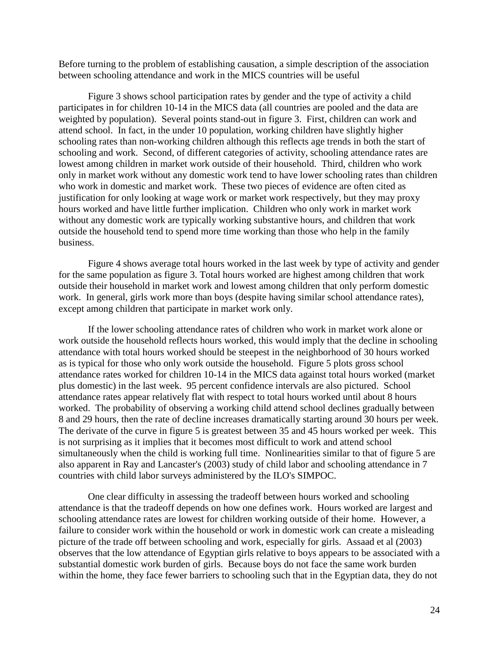Before turning to the problem of establishing causation, a simple description of the association between schooling attendance and work in the MICS countries will be useful

Figure 3 shows school participation rates by gender and the type of activity a child participates in for children 10-14 in the MICS data (all countries are pooled and the data are weighted by population). Several points stand-out in figure 3. First, children can work and attend school. In fact, in the under 10 population, working children have slightly higher schooling rates than non-working children although this reflects age trends in both the start of schooling and work. Second, of different categories of activity, schooling attendance rates are lowest among children in market work outside of their household. Third, children who work only in market work without any domestic work tend to have lower schooling rates than children who work in domestic and market work. These two pieces of evidence are often cited as justification for only looking at wage work or market work respectively, but they may proxy hours worked and have little further implication. Children who only work in market work without any domestic work are typically working substantive hours, and children that work outside the household tend to spend more time working than those who help in the family business.

Figure 4 shows average total hours worked in the last week by type of activity and gender for the same population as figure 3. Total hours worked are highest among children that work outside their household in market work and lowest among children that only perform domestic work. In general, girls work more than boys (despite having similar school attendance rates), except among children that participate in market work only.

If the lower schooling attendance rates of children who work in market work alone or work outside the household reflects hours worked, this would imply that the decline in schooling attendance with total hours worked should be steepest in the neighborhood of 30 hours worked as is typical for those who only work outside the household. Figure 5 plots gross school attendance rates worked for children 10-14 in the MICS data against total hours worked (market plus domestic) in the last week. 95 percent confidence intervals are also pictured. School attendance rates appear relatively flat with respect to total hours worked until about 8 hours worked. The probability of observing a working child attend school declines gradually between 8 and 29 hours, then the rate of decline increases dramatically starting around 30 hours per week. The derivate of the curve in figure 5 is greatest between 35 and 45 hours worked per week. This is not surprising as it implies that it becomes most difficult to work and attend school simultaneously when the child is working full time. Nonlinearities similar to that of figure 5 are also apparent in Ray and Lancaster's (2003) study of child labor and schooling attendance in 7 countries with child labor surveys administered by the ILO's SIMPOC.

One clear difficulty in assessing the tradeoff between hours worked and schooling attendance is that the tradeoff depends on how one defines work. Hours worked are largest and schooling attendance rates are lowest for children working outside of their home. However, a failure to consider work within the household or work in domestic work can create a misleading picture of the trade off between schooling and work, especially for girls. Assaad et al (2003) observes that the low attendance of Egyptian girls relative to boys appears to be associated with a substantial domestic work burden of girls. Because boys do not face the same work burden within the home, they face fewer barriers to schooling such that in the Egyptian data, they do not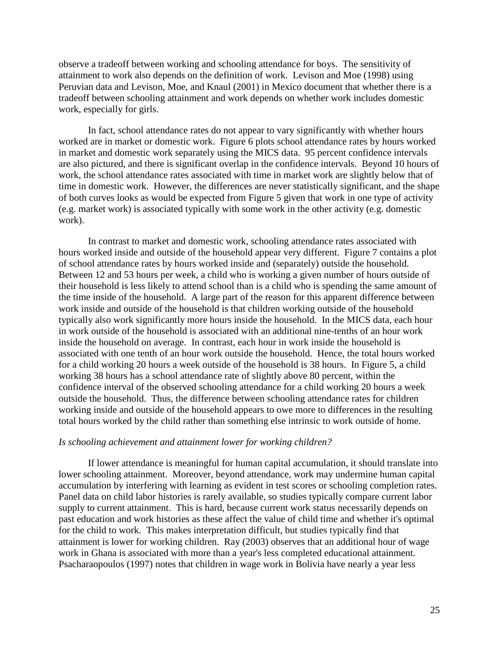observe a tradeoff between working and schooling attendance for boys. The sensitivity of attainment to work also depends on the definition of work. Levison and Moe (1998) using Peruvian data and Levison, Moe, and Knaul (2001) in Mexico document that whether there is a tradeoff between schooling attainment and work depends on whether work includes domestic work, especially for girls.

In fact, school attendance rates do not appear to vary significantly with whether hours worked are in market or domestic work. Figure 6 plots school attendance rates by hours worked in market and domestic work separately using the MICS data. 95 percent confidence intervals are also pictured, and there is significant overlap in the confidence intervals. Beyond 10 hours of work, the school attendance rates associated with time in market work are slightly below that of time in domestic work. However, the differences are never statistically significant, and the shape of both curves looks as would be expected from Figure 5 given that work in one type of activity (e.g. market work) is associated typically with some work in the other activity (e.g. domestic work).

In contrast to market and domestic work, schooling attendance rates associated with hours worked inside and outside of the household appear very different. Figure 7 contains a plot of school attendance rates by hours worked inside and (separately) outside the household. Between 12 and 53 hours per week, a child who is working a given number of hours outside of their household is less likely to attend school than is a child who is spending the same amount of the time inside of the household. A large part of the reason for this apparent difference between work inside and outside of the household is that children working outside of the household typically also work significantly more hours inside the household. In the MICS data, each hour in work outside of the household is associated with an additional nine-tenths of an hour work inside the household on average. In contrast, each hour in work inside the household is associated with one tenth of an hour work outside the household. Hence, the total hours worked for a child working 20 hours a week outside of the household is 38 hours. In Figure 5, a child working 38 hours has a school attendance rate of slightly above 80 percent, within the confidence interval of the observed schooling attendance for a child working 20 hours a week outside the household. Thus, the difference between schooling attendance rates for children working inside and outside of the household appears to owe more to differences in the resulting total hours worked by the child rather than something else intrinsic to work outside of home.

#### *Is schooling achievement and attainment lower for working children?*

If lower attendance is meaningful for human capital accumulation, it should translate into lower schooling attainment. Moreover, beyond attendance, work may undermine human capital accumulation by interfering with learning as evident in test scores or schooling completion rates. Panel data on child labor histories is rarely available, so studies typically compare current labor supply to current attainment. This is hard, because current work status necessarily depends on past education and work histories as these affect the value of child time and whether it's optimal for the child to work. This makes interpretation difficult, but studies typically find that attainment is lower for working children. Ray (2003) observes that an additional hour of wage work in Ghana is associated with more than a year's less completed educational attainment. Psacharaopoulos (1997) notes that children in wage work in Bolivia have nearly a year less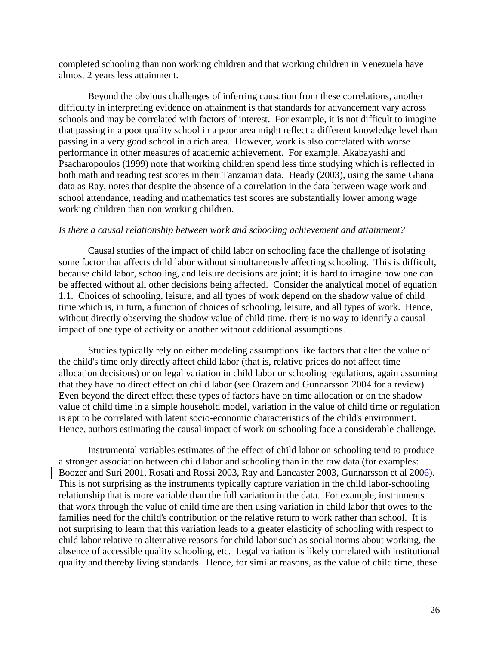completed schooling than non working children and that working children in Venezuela have almost 2 years less attainment.

Beyond the obvious challenges of inferring causation from these correlations, another difficulty in interpreting evidence on attainment is that standards for advancement vary across schools and may be correlated with factors of interest. For example, it is not difficult to imagine that passing in a poor quality school in a poor area might reflect a different knowledge level than passing in a very good school in a rich area. However, work is also correlated with worse performance in other measures of academic achievement. For example, Akabayashi and Psacharopoulos (1999) note that working children spend less time studying which is reflected in both math and reading test scores in their Tanzanian data. Heady (2003), using the same Ghana data as Ray, notes that despite the absence of a correlation in the data between wage work and school attendance, reading and mathematics test scores are substantially lower among wage working children than non working children.

#### *Is there a causal relationship between work and schooling achievement and attainment?*

Causal studies of the impact of child labor on schooling face the challenge of isolating some factor that affects child labor without simultaneously affecting schooling. This is difficult, because child labor, schooling, and leisure decisions are joint; it is hard to imagine how one can be affected without all other decisions being affected. Consider the analytical model of equation 1.1. Choices of schooling, leisure, and all types of work depend on the shadow value of child time which is, in turn, a function of choices of schooling, leisure, and all types of work. Hence, without directly observing the shadow value of child time, there is no way to identify a causal impact of one type of activity on another without additional assumptions.

Studies typically rely on either modeling assumptions like factors that alter the value of the child's time only directly affect child labor (that is, relative prices do not affect time allocation decisions) or on legal variation in child labor or schooling regulations, again assuming that they have no direct effect on child labor (see Orazem and Gunnarsson 2004 for a review). Even beyond the direct effect these types of factors have on time allocation or on the shadow value of child time in a simple household model, variation in the value of child time or regulation is apt to be correlated with latent socio-economic characteristics of the child's environment. Hence, authors estimating the causal impact of work on schooling face a considerable challenge.

Instrumental variables estimates of the effect of child labor on schooling tend to produce a stronger association between child labor and schooling than in the raw data (for examples: Boozer and Suri 2001, Rosati and Rossi 2003, Ray and Lancaster 2003, Gunnarsson et al 2006). This is not surprising as the instruments typically capture variation in the child labor-schooling relationship that is more variable than the full variation in the data. For example, instruments that work through the value of child time are then using variation in child labor that owes to the families need for the child's contribution or the relative return to work rather than school. It is not surprising to learn that this variation leads to a greater elasticity of schooling with respect to child labor relative to alternative reasons for child labor such as social norms about working, the absence of accessible quality schooling, etc. Legal variation is likely correlated with institutional quality and thereby living standards. Hence, for similar reasons, as the value of child time, these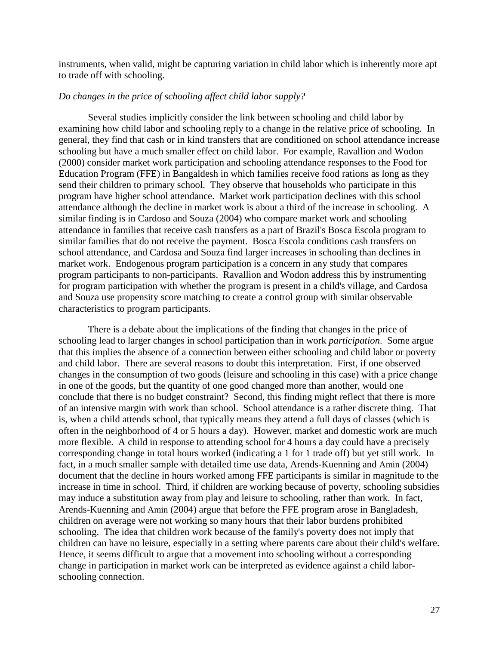instruments, when valid, might be capturing variation in child labor which is inherently more apt to trade off with schooling.

#### *Do changes in the price of schooling affect child labor supply?*

Several studies implicitly consider the link between schooling and child labor by examining how child labor and schooling reply to a change in the relative price of schooling. In general, they find that cash or in kind transfers that are conditioned on school attendance increase schooling but have a much smaller effect on child labor. For example, Ravallion and Wodon (2000) consider market work participation and schooling attendance responses to the Food for Education Program (FFE) in Bangaldesh in which families receive food rations as long as they send their children to primary school. They observe that households who participate in this program have higher school attendance. Market work participation declines with this school attendance although the decline in market work is about a third of the increase in schooling. A similar finding is in Cardoso and Souza (2004) who compare market work and schooling attendance in families that receive cash transfers as a part of Brazil's Bosca Escola program to similar families that do not receive the payment. Bosca Escola conditions cash transfers on school attendance, and Cardosa and Souza find larger increases in schooling than declines in market work. Endogenous program participation is a concern in any study that compares program participants to non-participants. Ravallion and Wodon address this by instrumenting for program participation with whether the program is present in a child's village, and Cardosa and Souza use propensity score matching to create a control group with similar observable characteristics to program participants.

There is a debate about the implications of the finding that changes in the price of schooling lead to larger changes in school participation than in work *participation*. Some argue that this implies the absence of a connection between either schooling and child labor or poverty and child labor. There are several reasons to doubt this interpretation. First, if one observed changes in the consumption of two goods (leisure and schooling in this case) with a price change in one of the goods, but the quantity of one good changed more than another, would one conclude that there is no budget constraint? Second, this finding might reflect that there is more of an intensive margin with work than school. School attendance is a rather discrete thing. That is, when a child attends school, that typically means they attend a full days of classes (which is often in the neighborhood of 4 or 5 hours a day). However, market and domestic work are much more flexible. A child in response to attending school for 4 hours a day could have a precisely corresponding change in total hours worked (indicating a 1 for 1 trade off) but yet still work. In fact, in a much smaller sample with detailed time use data, Arends-Kuenning and Amin (2004) document that the decline in hours worked among FFE participants is similar in magnitude to the increase in time in school. Third, if children are working because of poverty, schooling subsidies may induce a substitution away from play and leisure to schooling, rather than work. In fact, Arends-Kuenning and Amin (2004) argue that before the FFE program arose in Bangladesh, children on average were not working so many hours that their labor burdens prohibited schooling. The idea that children work because of the family's poverty does not imply that children can have no leisure, especially in a setting where parents care about their child's welfare. Hence, it seems difficult to argue that a movement into schooling without a corresponding change in participation in market work can be interpreted as evidence against a child laborschooling connection.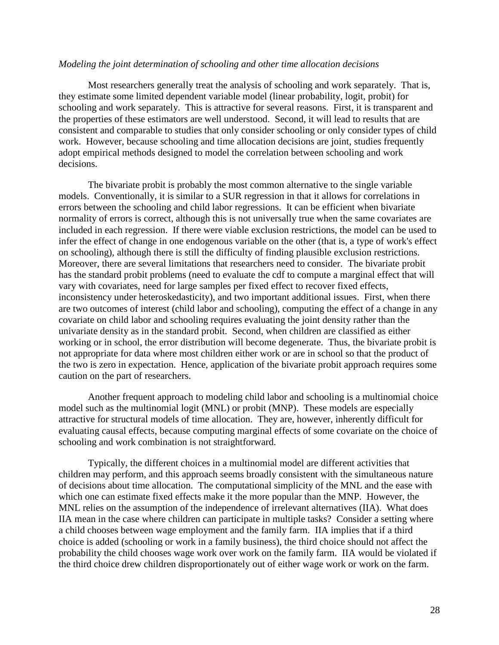#### *Modeling the joint determination of schooling and other time allocation decisions*

Most researchers generally treat the analysis of schooling and work separately. That is, they estimate some limited dependent variable model (linear probability, logit, probit) for schooling and work separately. This is attractive for several reasons. First, it is transparent and the properties of these estimators are well understood. Second, it will lead to results that are consistent and comparable to studies that only consider schooling or only consider types of child work. However, because schooling and time allocation decisions are joint, studies frequently adopt empirical methods designed to model the correlation between schooling and work decisions.

The bivariate probit is probably the most common alternative to the single variable models. Conventionally, it is similar to a SUR regression in that it allows for correlations in errors between the schooling and child labor regressions. It can be efficient when bivariate normality of errors is correct, although this is not universally true when the same covariates are included in each regression. If there were viable exclusion restrictions, the model can be used to infer the effect of change in one endogenous variable on the other (that is, a type of work's effect on schooling), although there is still the difficulty of finding plausible exclusion restrictions. Moreover, there are several limitations that researchers need to consider. The bivariate probit has the standard probit problems (need to evaluate the cdf to compute a marginal effect that will vary with covariates, need for large samples per fixed effect to recover fixed effects, inconsistency under heteroskedasticity), and two important additional issues. First, when there are two outcomes of interest (child labor and schooling), computing the effect of a change in any covariate on child labor and schooling requires evaluating the joint density rather than the univariate density as in the standard probit. Second, when children are classified as either working or in school, the error distribution will become degenerate. Thus, the bivariate probit is not appropriate for data where most children either work or are in school so that the product of the two is zero in expectation. Hence, application of the bivariate probit approach requires some caution on the part of researchers.

Another frequent approach to modeling child labor and schooling is a multinomial choice model such as the multinomial logit (MNL) or probit (MNP). These models are especially attractive for structural models of time allocation. They are, however, inherently difficult for evaluating causal effects, because computing marginal effects of some covariate on the choice of schooling and work combination is not straightforward.

Typically, the different choices in a multinomial model are different activities that children may perform, and this approach seems broadly consistent with the simultaneous nature of decisions about time allocation. The computational simplicity of the MNL and the ease with which one can estimate fixed effects make it the more popular than the MNP. However, the MNL relies on the assumption of the independence of irrelevant alternatives (IIA). What does IIA mean in the case where children can participate in multiple tasks? Consider a setting where a child chooses between wage employment and the family farm. IIA implies that if a third choice is added (schooling or work in a family business), the third choice should not affect the probability the child chooses wage work over work on the family farm. IIA would be violated if the third choice drew children disproportionately out of either wage work or work on the farm.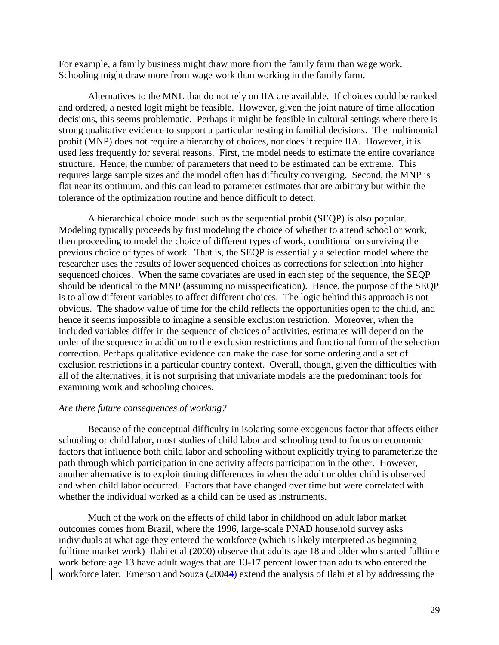For example, a family business might draw more from the family farm than wage work. Schooling might draw more from wage work than working in the family farm.

Alternatives to the MNL that do not rely on IIA are available. If choices could be ranked and ordered, a nested logit might be feasible. However, given the joint nature of time allocation decisions, this seems problematic. Perhaps it might be feasible in cultural settings where there is strong qualitative evidence to support a particular nesting in familial decisions. The multinomial probit (MNP) does not require a hierarchy of choices, nor does it require IIA. However, it is used less frequently for several reasons. First, the model needs to estimate the entire covariance structure. Hence, the number of parameters that need to be estimated can be extreme. This requires large sample sizes and the model often has difficulty converging. Second, the MNP is flat near its optimum, and this can lead to parameter estimates that are arbitrary but within the tolerance of the optimization routine and hence difficult to detect.

A hierarchical choice model such as the sequential probit (SEQP) is also popular. Modeling typically proceeds by first modeling the choice of whether to attend school or work, then proceeding to model the choice of different types of work, conditional on surviving the previous choice of types of work. That is, the SEQP is essentially a selection model where the researcher uses the results of lower sequenced choices as corrections for selection into higher sequenced choices. When the same covariates are used in each step of the sequence, the SEQP should be identical to the MNP (assuming no misspecification). Hence, the purpose of the SEQP is to allow different variables to affect different choices. The logic behind this approach is not obvious. The shadow value of time for the child reflects the opportunities open to the child, and hence it seems impossible to imagine a sensible exclusion restriction. Moreover, when the included variables differ in the sequence of choices of activities, estimates will depend on the order of the sequence in addition to the exclusion restrictions and functional form of the selection correction. Perhaps qualitative evidence can make the case for some ordering and a set of exclusion restrictions in a particular country context. Overall, though, given the difficulties with all of the alternatives, it is not surprising that univariate models are the predominant tools for examining work and schooling choices.

#### *Are there future consequences of working?*

Because of the conceptual difficulty in isolating some exogenous factor that affects either schooling or child labor, most studies of child labor and schooling tend to focus on economic factors that influence both child labor and schooling without explicitly trying to parameterize the path through which participation in one activity affects participation in the other. However, another alternative is to exploit timing differences in when the adult or older child is observed and when child labor occurred. Factors that have changed over time but were correlated with whether the individual worked as a child can be used as instruments.

Much of the work on the effects of child labor in childhood on adult labor market outcomes comes from Brazil, where the 1996, large-scale PNAD household survey asks individuals at what age they entered the workforce (which is likely interpreted as beginning fulltime market work) Ilahi et al (2000) observe that adults age 18 and older who started fulltime work before age 13 have adult wages that are 13-17 percent lower than adults who entered the workforce later. Emerson and Souza (20044) extend the analysis of Ilahi et al by addressing the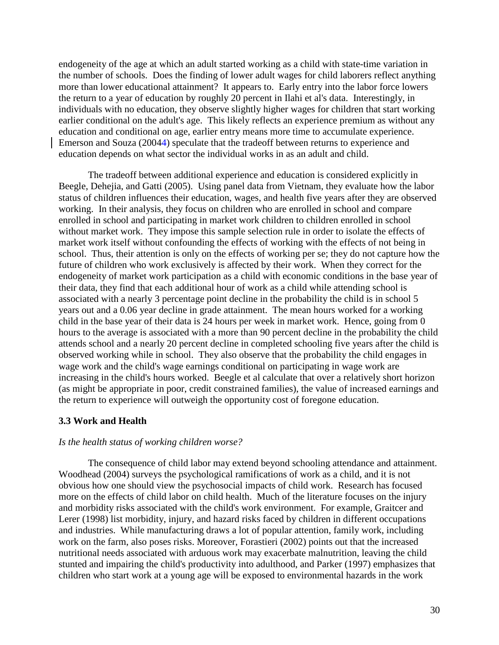endogeneity of the age at which an adult started working as a child with state-time variation in the number of schools. Does the finding of lower adult wages for child laborers reflect anything more than lower educational attainment? It appears to. Early entry into the labor force lowers the return to a year of education by roughly 20 percent in Ilahi et al's data. Interestingly, in individuals with no education, they observe slightly higher wages for children that start working earlier conditional on the adult's age. This likely reflects an experience premium as without any education and conditional on age, earlier entry means more time to accumulate experience. Emerson and Souza (20044) speculate that the tradeoff between returns to experience and education depends on what sector the individual works in as an adult and child.

The tradeoff between additional experience and education is considered explicitly in Beegle, Dehejia, and Gatti (2005). Using panel data from Vietnam, they evaluate how the labor status of children influences their education, wages, and health five years after they are observed working. In their analysis, they focus on children who are enrolled in school and compare enrolled in school and participating in market work children to children enrolled in school without market work. They impose this sample selection rule in order to isolate the effects of market work itself without confounding the effects of working with the effects of not being in school. Thus, their attention is only on the effects of working per se; they do not capture how the future of children who work exclusively is affected by their work. When they correct for the endogeneity of market work participation as a child with economic conditions in the base year of their data, they find that each additional hour of work as a child while attending school is associated with a nearly 3 percentage point decline in the probability the child is in school 5 years out and a 0.06 year decline in grade attainment. The mean hours worked for a working child in the base year of their data is 24 hours per week in market work. Hence, going from 0 hours to the average is associated with a more than 90 percent decline in the probability the child attends school and a nearly 20 percent decline in completed schooling five years after the child is observed working while in school. They also observe that the probability the child engages in wage work and the child's wage earnings conditional on participating in wage work are increasing in the child's hours worked. Beegle et al calculate that over a relatively short horizon (as might be appropriate in poor, credit constrained families), the value of increased earnings and the return to experience will outweigh the opportunity cost of foregone education.

#### **3.3 Work and Health**

#### *Is the health status of working children worse?*

The consequence of child labor may extend beyond schooling attendance and attainment. Woodhead (2004) surveys the psychological ramifications of work as a child, and it is not obvious how one should view the psychosocial impacts of child work. Research has focused more on the effects of child labor on child health. Much of the literature focuses on the injury and morbidity risks associated with the child's work environment. For example, Graitcer and Lerer (1998) list morbidity, injury, and hazard risks faced by children in different occupations and industries. While manufacturing draws a lot of popular attention, family work, including work on the farm, also poses risks. Moreover, Forastieri (2002) points out that the increased nutritional needs associated with arduous work may exacerbate malnutrition, leaving the child stunted and impairing the child's productivity into adulthood, and Parker (1997) emphasizes that children who start work at a young age will be exposed to environmental hazards in the work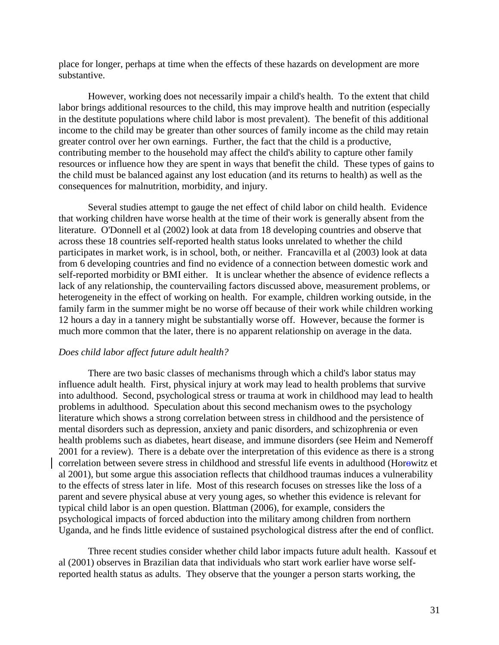place for longer, perhaps at time when the effects of these hazards on development are more substantive.

However, working does not necessarily impair a child's health. To the extent that child labor brings additional resources to the child, this may improve health and nutrition (especially in the destitute populations where child labor is most prevalent). The benefit of this additional income to the child may be greater than other sources of family income as the child may retain greater control over her own earnings. Further, the fact that the child is a productive, contributing member to the household may affect the child's ability to capture other family resources or influence how they are spent in ways that benefit the child. These types of gains to the child must be balanced against any lost education (and its returns to health) as well as the consequences for malnutrition, morbidity, and injury.

Several studies attempt to gauge the net effect of child labor on child health. Evidence that working children have worse health at the time of their work is generally absent from the literature. O'Donnell et al (2002) look at data from 18 developing countries and observe that across these 18 countries self-reported health status looks unrelated to whether the child participates in market work, is in school, both, or neither. Francavilla et al (2003) look at data from 6 developing countries and find no evidence of a connection between domestic work and self-reported morbidity or BMI either. It is unclear whether the absence of evidence reflects a lack of any relationship, the countervailing factors discussed above, measurement problems, or heterogeneity in the effect of working on health. For example, children working outside, in the family farm in the summer might be no worse off because of their work while children working 12 hours a day in a tannery might be substantially worse off. However, because the former is much more common that the later, there is no apparent relationship on average in the data.

#### *Does child labor affect future adult health?*

There are two basic classes of mechanisms through which a child's labor status may influence adult health. First, physical injury at work may lead to health problems that survive into adulthood. Second, psychological stress or trauma at work in childhood may lead to health problems in adulthood. Speculation about this second mechanism owes to the psychology literature which shows a strong correlation between stress in childhood and the persistence of mental disorders such as depression, anxiety and panic disorders, and schizophrenia or even health problems such as diabetes, heart disease, and immune disorders (see Heim and Nemeroff 2001 for a review). There is a debate over the interpretation of this evidence as there is a strong correlation between severe stress in childhood and stressful life events in adulthood (Horowitz et al 2001), but some argue this association reflects that childhood traumas induces a vulnerability to the effects of stress later in life. Most of this research focuses on stresses like the loss of a parent and severe physical abuse at very young ages, so whether this evidence is relevant for typical child labor is an open question. Blattman (2006), for example, considers the psychological impacts of forced abduction into the military among children from northern Uganda, and he finds little evidence of sustained psychological distress after the end of conflict.

Three recent studies consider whether child labor impacts future adult health. Kassouf et al (2001) observes in Brazilian data that individuals who start work earlier have worse selfreported health status as adults. They observe that the younger a person starts working, the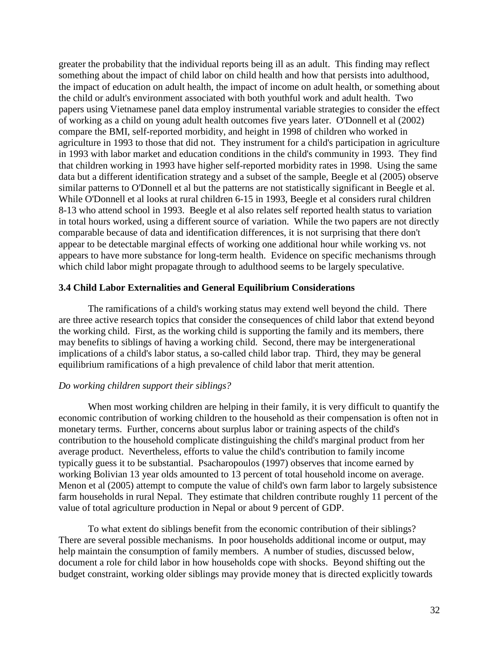greater the probability that the individual reports being ill as an adult. This finding may reflect something about the impact of child labor on child health and how that persists into adulthood, the impact of education on adult health, the impact of income on adult health, or something about the child or adult's environment associated with both youthful work and adult health. Two papers using Vietnamese panel data employ instrumental variable strategies to consider the effect of working as a child on young adult health outcomes five years later. O'Donnell et al (2002) compare the BMI, self-reported morbidity, and height in 1998 of children who worked in agriculture in 1993 to those that did not. They instrument for a child's participation in agriculture in 1993 with labor market and education conditions in the child's community in 1993. They find that children working in 1993 have higher self-reported morbidity rates in 1998. Using the same data but a different identification strategy and a subset of the sample, Beegle et al (2005) observe similar patterns to O'Donnell et al but the patterns are not statistically significant in Beegle et al. While O'Donnell et al looks at rural children 6-15 in 1993, Beegle et al considers rural children 8-13 who attend school in 1993. Beegle et al also relates self reported health status to variation in total hours worked, using a different source of variation. While the two papers are not directly comparable because of data and identification differences, it is not surprising that there don't appear to be detectable marginal effects of working one additional hour while working vs. not appears to have more substance for long-term health. Evidence on specific mechanisms through which child labor might propagate through to adulthood seems to be largely speculative.

#### **3.4 Child Labor Externalities and General Equilibrium Considerations**

The ramifications of a child's working status may extend well beyond the child. There are three active research topics that consider the consequences of child labor that extend beyond the working child. First, as the working child is supporting the family and its members, there may benefits to siblings of having a working child. Second, there may be intergenerational implications of a child's labor status, a so-called child labor trap. Third, they may be general equilibrium ramifications of a high prevalence of child labor that merit attention.

#### *Do working children support their siblings?*

When most working children are helping in their family, it is very difficult to quantify the economic contribution of working children to the household as their compensation is often not in monetary terms. Further, concerns about surplus labor or training aspects of the child's contribution to the household complicate distinguishing the child's marginal product from her average product. Nevertheless, efforts to value the child's contribution to family income typically guess it to be substantial. Psacharopoulos (1997) observes that income earned by working Bolivian 13 year olds amounted to 13 percent of total household income on average. Menon et al (2005) attempt to compute the value of child's own farm labor to largely subsistence farm households in rural Nepal. They estimate that children contribute roughly 11 percent of the value of total agriculture production in Nepal or about 9 percent of GDP.

To what extent do siblings benefit from the economic contribution of their siblings? There are several possible mechanisms. In poor households additional income or output, may help maintain the consumption of family members. A number of studies, discussed below, document a role for child labor in how households cope with shocks. Beyond shifting out the budget constraint, working older siblings may provide money that is directed explicitly towards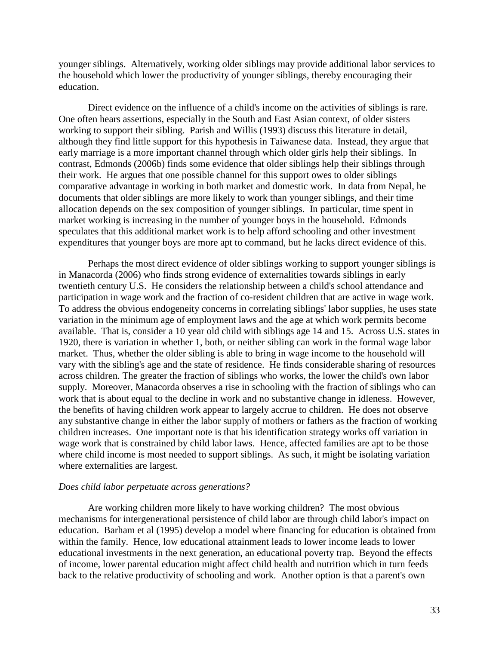younger siblings. Alternatively, working older siblings may provide additional labor services to the household which lower the productivity of younger siblings, thereby encouraging their education.

Direct evidence on the influence of a child's income on the activities of siblings is rare. One often hears assertions, especially in the South and East Asian context, of older sisters working to support their sibling. Parish and Willis (1993) discuss this literature in detail, although they find little support for this hypothesis in Taiwanese data. Instead, they argue that early marriage is a more important channel through which older girls help their siblings. In contrast, Edmonds (2006b) finds some evidence that older siblings help their siblings through their work. He argues that one possible channel for this support owes to older siblings comparative advantage in working in both market and domestic work. In data from Nepal, he documents that older siblings are more likely to work than younger siblings, and their time allocation depends on the sex composition of younger siblings. In particular, time spent in market working is increasing in the number of younger boys in the household. Edmonds speculates that this additional market work is to help afford schooling and other investment expenditures that younger boys are more apt to command, but he lacks direct evidence of this.

Perhaps the most direct evidence of older siblings working to support younger siblings is in Manacorda (2006) who finds strong evidence of externalities towards siblings in early twentieth century U.S. He considers the relationship between a child's school attendance and participation in wage work and the fraction of co-resident children that are active in wage work. To address the obvious endogeneity concerns in correlating siblings' labor supplies, he uses state variation in the minimum age of employment laws and the age at which work permits become available. That is, consider a 10 year old child with siblings age 14 and 15. Across U.S. states in 1920, there is variation in whether 1, both, or neither sibling can work in the formal wage labor market. Thus, whether the older sibling is able to bring in wage income to the household will vary with the sibling's age and the state of residence. He finds considerable sharing of resources across children. The greater the fraction of siblings who works, the lower the child's own labor supply. Moreover, Manacorda observes a rise in schooling with the fraction of siblings who can work that is about equal to the decline in work and no substantive change in idleness. However, the benefits of having children work appear to largely accrue to children. He does not observe any substantive change in either the labor supply of mothers or fathers as the fraction of working children increases. One important note is that his identification strategy works off variation in wage work that is constrained by child labor laws. Hence, affected families are apt to be those where child income is most needed to support siblings. As such, it might be isolating variation where externalities are largest.

#### *Does child labor perpetuate across generations?*

Are working children more likely to have working children? The most obvious mechanisms for intergenerational persistence of child labor are through child labor's impact on education. Barham et al (1995) develop a model where financing for education is obtained from within the family. Hence, low educational attainment leads to lower income leads to lower educational investments in the next generation, an educational poverty trap. Beyond the effects of income, lower parental education might affect child health and nutrition which in turn feeds back to the relative productivity of schooling and work. Another option is that a parent's own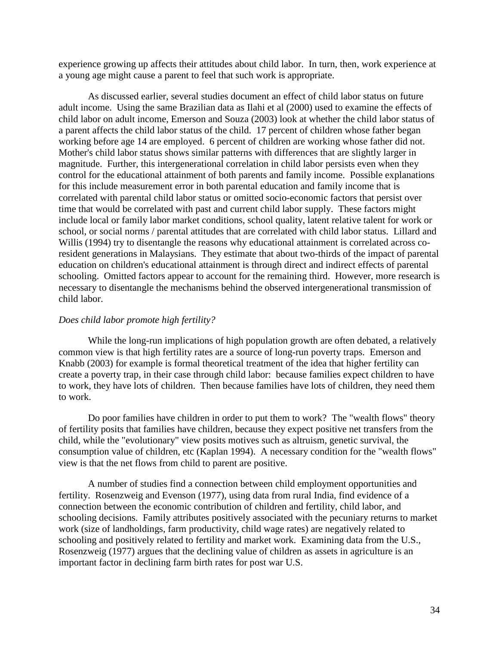experience growing up affects their attitudes about child labor. In turn, then, work experience at a young age might cause a parent to feel that such work is appropriate.

As discussed earlier, several studies document an effect of child labor status on future adult income. Using the same Brazilian data as Ilahi et al (2000) used to examine the effects of child labor on adult income, Emerson and Souza (2003) look at whether the child labor status of a parent affects the child labor status of the child. 17 percent of children whose father began working before age 14 are employed. 6 percent of children are working whose father did not. Mother's child labor status shows similar patterns with differences that are slightly larger in magnitude. Further, this intergenerational correlation in child labor persists even when they control for the educational attainment of both parents and family income. Possible explanations for this include measurement error in both parental education and family income that is correlated with parental child labor status or omitted socio-economic factors that persist over time that would be correlated with past and current child labor supply. These factors might include local or family labor market conditions, school quality, latent relative talent for work or school, or social norms / parental attitudes that are correlated with child labor status. Lillard and Willis (1994) try to disentangle the reasons why educational attainment is correlated across coresident generations in Malaysians. They estimate that about two-thirds of the impact of parental education on children's educational attainment is through direct and indirect effects of parental schooling. Omitted factors appear to account for the remaining third. However, more research is necessary to disentangle the mechanisms behind the observed intergenerational transmission of child labor.

# *Does child labor promote high fertility?*

While the long-run implications of high population growth are often debated, a relatively common view is that high fertility rates are a source of long-run poverty traps. Emerson and Knabb (2003) for example is formal theoretical treatment of the idea that higher fertility can create a poverty trap, in their case through child labor: because families expect children to have to work, they have lots of children. Then because families have lots of children, they need them to work.

Do poor families have children in order to put them to work? The "wealth flows" theory of fertility posits that families have children, because they expect positive net transfers from the child, while the "evolutionary" view posits motives such as altruism, genetic survival, the consumption value of children, etc (Kaplan 1994). A necessary condition for the "wealth flows" view is that the net flows from child to parent are positive.

A number of studies find a connection between child employment opportunities and fertility. Rosenzweig and Evenson (1977), using data from rural India, find evidence of a connection between the economic contribution of children and fertility, child labor, and schooling decisions. Family attributes positively associated with the pecuniary returns to market work (size of landholdings, farm productivity, child wage rates) are negatively related to schooling and positively related to fertility and market work. Examining data from the U.S., Rosenzweig (1977) argues that the declining value of children as assets in agriculture is an important factor in declining farm birth rates for post war U.S.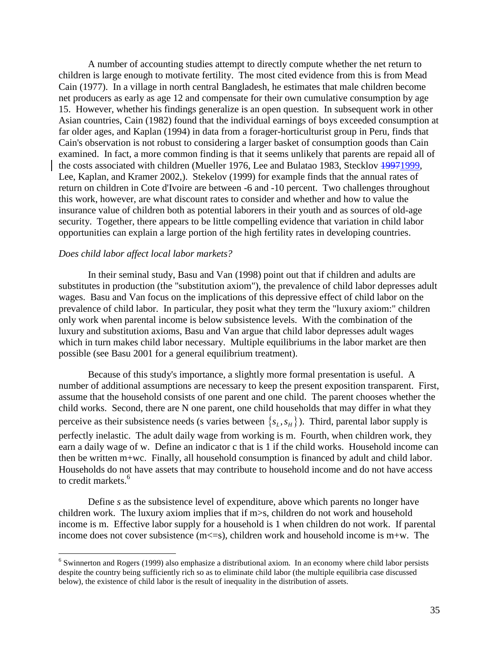A number of accounting studies attempt to directly compute whether the net return to children is large enough to motivate fertility. The most cited evidence from this is from Mead Cain (1977). In a village in north central Bangladesh, he estimates that male children become net producers as early as age 12 and compensate for their own cumulative consumption by age 15. However, whether his findings generalize is an open question. In subsequent work in other Asian countries, Cain (1982) found that the individual earnings of boys exceeded consumption at far older ages, and Kaplan (1994) in data from a forager-horticulturist group in Peru, finds that Cain's observation is not robust to considering a larger basket of consumption goods than Cain examined. In fact, a more common finding is that it seems unlikely that parents are repaid all of the costs associated with children (Mueller 1976, Lee and Bulatao 1983, Stecklov 19971999, Lee, Kaplan, and Kramer 2002,). Stekelov (1999) for example finds that the annual rates of return on children in Cote d'Ivoire are between -6 and -10 percent. Two challenges throughout this work, however, are what discount rates to consider and whether and how to value the insurance value of children both as potential laborers in their youth and as sources of old-age security. Together, there appears to be little compelling evidence that variation in child labor opportunities can explain a large portion of the high fertility rates in developing countries.

### *Does child labor affect local labor markets?*

In their seminal study, Basu and Van (1998) point out that if children and adults are substitutes in production (the "substitution axiom"), the prevalence of child labor depresses adult wages. Basu and Van focus on the implications of this depressive effect of child labor on the prevalence of child labor. In particular, they posit what they term the "luxury axiom:" children only work when parental income is below subsistence levels. With the combination of the luxury and substitution axioms, Basu and Van argue that child labor depresses adult wages which in turn makes child labor necessary. Multiple equilibriums in the labor market are then possible (see Basu 2001 for a general equilibrium treatment).

Because of this study's importance, a slightly more formal presentation is useful. A number of additional assumptions are necessary to keep the present exposition transparent. First, assume that the household consists of one parent and one child. The parent chooses whether the child works. Second, there are N one parent, one child households that may differ in what they perceive as their subsistence needs (s varies between  $\{s_L, s_H\}$ ). Third, parental labor supply is perfectly inelastic. The adult daily wage from working is m. Fourth, when children work, they earn a daily wage of w. Define an indicator c that is 1 if the child works. Household income can then be written m+wc. Finally, all household consumption is financed by adult and child labor. Households do not have assets that may contribute to household income and do not have access to credit markets.<sup>6</sup>

Define *s* as the subsistence level of expenditure, above which parents no longer have children work. The luxury axiom implies that if m>s, children do not work and household income is m. Effective labor supply for a household is 1 when children do not work. If parental income does not cover subsistence  $(m \leq s)$ , children work and household income is  $m+w$ . The

<sup>&</sup>lt;sup>6</sup> Swinnerton and Rogers (1999) also emphasize a distributional axiom. In an economy where child labor persists despite the country being sufficiently rich so as to eliminate child labor (the multiple equilibria case discussed below), the existence of child labor is the result of inequality in the distribution of assets.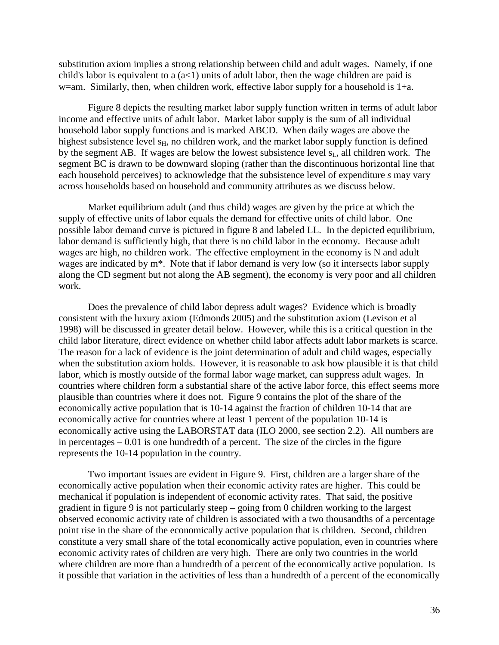substitution axiom implies a strong relationship between child and adult wages. Namely, if one child's labor is equivalent to a  $(a<1)$  units of adult labor, then the wage children are paid is w=am. Similarly, then, when children work, effective labor supply for a household is 1+a.

Figure 8 depicts the resulting market labor supply function written in terms of adult labor income and effective units of adult labor. Market labor supply is the sum of all individual household labor supply functions and is marked ABCD. When daily wages are above the highest subsistence level  $s<sub>H</sub>$ , no children work, and the market labor supply function is defined by the segment AB. If wages are below the lowest subsistence level  $s<sub>L</sub>$ , all children work. The segment BC is drawn to be downward sloping (rather than the discontinuous horizontal line that each household perceives) to acknowledge that the subsistence level of expenditure *s* may vary across households based on household and community attributes as we discuss below.

Market equilibrium adult (and thus child) wages are given by the price at which the supply of effective units of labor equals the demand for effective units of child labor. One possible labor demand curve is pictured in figure 8 and labeled LL. In the depicted equilibrium, labor demand is sufficiently high, that there is no child labor in the economy. Because adult wages are high, no children work. The effective employment in the economy is N and adult wages are indicated by m\*. Note that if labor demand is very low (so it intersects labor supply along the CD segment but not along the AB segment), the economy is very poor and all children work.

Does the prevalence of child labor depress adult wages? Evidence which is broadly consistent with the luxury axiom (Edmonds 2005) and the substitution axiom (Levison et al 1998) will be discussed in greater detail below. However, while this is a critical question in the child labor literature, direct evidence on whether child labor affects adult labor markets is scarce. The reason for a lack of evidence is the joint determination of adult and child wages, especially when the substitution axiom holds. However, it is reasonable to ask how plausible it is that child labor, which is mostly outside of the formal labor wage market, can suppress adult wages. In countries where children form a substantial share of the active labor force, this effect seems more plausible than countries where it does not. Figure 9 contains the plot of the share of the economically active population that is 10-14 against the fraction of children 10-14 that are economically active for countries where at least 1 percent of the population 10-14 is economically active using the LABORSTAT data (ILO 2000, see section 2.2). All numbers are in percentages  $-0.01$  is one hundredth of a percent. The size of the circles in the figure represents the 10-14 population in the country.

Two important issues are evident in Figure 9. First, children are a larger share of the economically active population when their economic activity rates are higher. This could be mechanical if population is independent of economic activity rates. That said, the positive gradient in figure 9 is not particularly steep  $-$  going from 0 children working to the largest observed economic activity rate of children is associated with a two thousandths of a percentage point rise in the share of the economically active population that is children. Second, children constitute a very small share of the total economically active population, even in countries where economic activity rates of children are very high. There are only two countries in the world where children are more than a hundredth of a percent of the economically active population. Is it possible that variation in the activities of less than a hundredth of a percent of the economically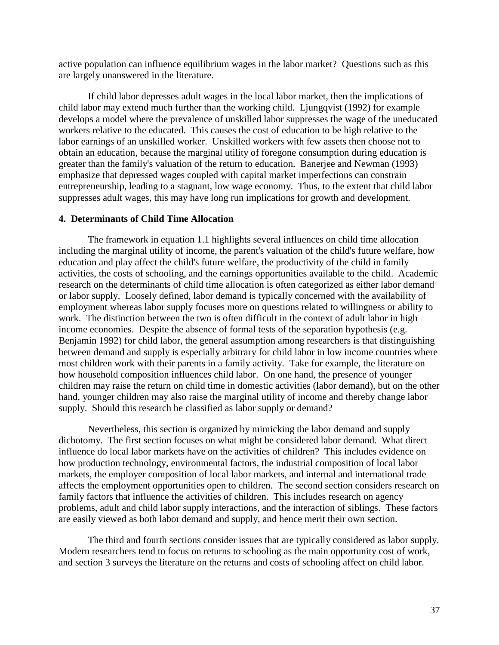active population can influence equilibrium wages in the labor market? Questions such as this are largely unanswered in the literature.

If child labor depresses adult wages in the local labor market, then the implications of child labor may extend much further than the working child. Ljungqvist (1992) for example develops a model where the prevalence of unskilled labor suppresses the wage of the uneducated workers relative to the educated. This causes the cost of education to be high relative to the labor earnings of an unskilled worker. Unskilled workers with few assets then choose not to obtain an education, because the marginal utility of foregone consumption during education is greater than the family's valuation of the return to education. Banerjee and Newman (1993) emphasize that depressed wages coupled with capital market imperfections can constrain entrepreneurship, leading to a stagnant, low wage economy. Thus, to the extent that child labor suppresses adult wages, this may have long run implications for growth and development.

## **4. Determinants of Child Time Allocation**

The framework in equation 1.1 highlights several influences on child time allocation including the marginal utility of income, the parent's valuation of the child's future welfare, how education and play affect the child's future welfare, the productivity of the child in family activities, the costs of schooling, and the earnings opportunities available to the child. Academic research on the determinants of child time allocation is often categorized as either labor demand or labor supply. Loosely defined, labor demand is typically concerned with the availability of employment whereas labor supply focuses more on questions related to willingness or ability to work. The distinction between the two is often difficult in the context of adult labor in high income economies. Despite the absence of formal tests of the separation hypothesis (e.g. Benjamin 1992) for child labor, the general assumption among researchers is that distinguishing between demand and supply is especially arbitrary for child labor in low income countries where most children work with their parents in a family activity. Take for example, the literature on how household composition influences child labor. On one hand, the presence of younger children may raise the return on child time in domestic activities (labor demand), but on the other hand, younger children may also raise the marginal utility of income and thereby change labor supply. Should this research be classified as labor supply or demand?

Nevertheless, this section is organized by mimicking the labor demand and supply dichotomy. The first section focuses on what might be considered labor demand. What direct influence do local labor markets have on the activities of children? This includes evidence on how production technology, environmental factors, the industrial composition of local labor markets, the employer composition of local labor markets, and internal and international trade affects the employment opportunities open to children. The second section considers research on family factors that influence the activities of children. This includes research on agency problems, adult and child labor supply interactions, and the interaction of siblings. These factors are easily viewed as both labor demand and supply, and hence merit their own section.

The third and fourth sections consider issues that are typically considered as labor supply. Modern researchers tend to focus on returns to schooling as the main opportunity cost of work, and section 3 surveys the literature on the returns and costs of schooling affect on child labor.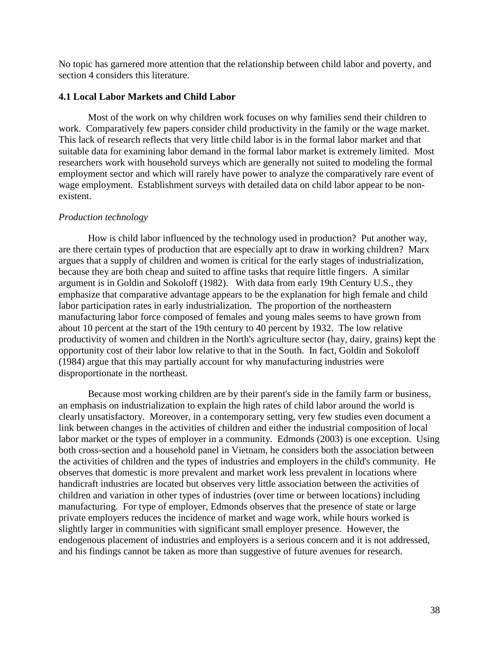No topic has garnered more attention that the relationship between child labor and poverty, and section 4 considers this literature.

# **4.1 Local Labor Markets and Child Labor**

Most of the work on why children work focuses on why families send their children to work. Comparatively few papers consider child productivity in the family or the wage market. This lack of research reflects that very little child labor is in the formal labor market and that suitable data for examining labor demand in the formal labor market is extremely limited. Most researchers work with household surveys which are generally not suited to modeling the formal employment sector and which will rarely have power to analyze the comparatively rare event of wage employment. Establishment surveys with detailed data on child labor appear to be nonexistent.

# *Production technology*

How is child labor influenced by the technology used in production? Put another way, are there certain types of production that are especially apt to draw in working children? Marx argues that a supply of children and women is critical for the early stages of industrialization, because they are both cheap and suited to affine tasks that require little fingers. A similar argument is in Goldin and Sokoloff (1982). With data from early 19th Century U.S., they emphasize that comparative advantage appears to be the explanation for high female and child labor participation rates in early industrialization. The proportion of the northeastern manufacturing labor force composed of females and young males seems to have grown from about 10 percent at the start of the 19th century to 40 percent by 1932. The low relative productivity of women and children in the North's agriculture sector (hay, dairy, grains) kept the opportunity cost of their labor low relative to that in the South. In fact, Goldin and Sokoloff (1984) argue that this may partially account for why manufacturing industries were disproportionate in the northeast.

Because most working children are by their parent's side in the family farm or business, an emphasis on industrialization to explain the high rates of child labor around the world is clearly unsatisfactory. Moreover, in a contemporary setting, very few studies even document a link between changes in the activities of children and either the industrial composition of local labor market or the types of employer in a community. Edmonds (2003) is one exception. Using both cross-section and a household panel in Vietnam, he considers both the association between the activities of children and the types of industries and employers in the child's community. He observes that domestic is more prevalent and market work less prevalent in locations where handicraft industries are located but observes very little association between the activities of children and variation in other types of industries (over time or between locations) including manufacturing. For type of employer, Edmonds observes that the presence of state or large private employers reduces the incidence of market and wage work, while hours worked is slightly larger in communities with significant small employer presence. However, the endogenous placement of industries and employers is a serious concern and it is not addressed, and his findings cannot be taken as more than suggestive of future avenues for research.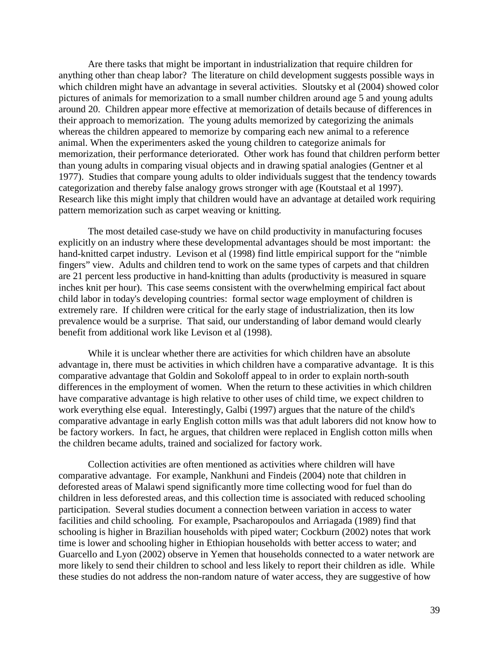Are there tasks that might be important in industrialization that require children for anything other than cheap labor? The literature on child development suggests possible ways in which children might have an advantage in several activities. Sloutsky et al (2004) showed color pictures of animals for memorization to a small number children around age 5 and young adults around 20. Children appear more effective at memorization of details because of differences in their approach to memorization. The young adults memorized by categorizing the animals whereas the children appeared to memorize by comparing each new animal to a reference animal. When the experimenters asked the young children to categorize animals for memorization, their performance deteriorated. Other work has found that children perform better than young adults in comparing visual objects and in drawing spatial analogies (Gentner et al 1977). Studies that compare young adults to older individuals suggest that the tendency towards categorization and thereby false analogy grows stronger with age (Koutstaal et al 1997). Research like this might imply that children would have an advantage at detailed work requiring pattern memorization such as carpet weaving or knitting.

The most detailed case-study we have on child productivity in manufacturing focuses explicitly on an industry where these developmental advantages should be most important: the hand-knitted carpet industry. Levison et al (1998) find little empirical support for the "nimble fingers"view. Adults and children tend to work on the same types of carpets and that children are 21 percent less productive in hand-knitting than adults (productivity is measured in square inches knit per hour). This case seems consistent with the overwhelming empirical fact about child labor in today's developing countries: formal sector wage employment of children is extremely rare. If children were critical for the early stage of industrialization, then its low prevalence would be a surprise. That said, our understanding of labor demand would clearly benefit from additional work like Levison et al (1998).

While it is unclear whether there are activities for which children have an absolute advantage in, there must be activities in which children have a comparative advantage. It is this comparative advantage that Goldin and Sokoloff appeal to in order to explain north-south differences in the employment of women. When the return to these activities in which children have comparative advantage is high relative to other uses of child time, we expect children to work everything else equal. Interestingly, Galbi (1997) argues that the nature of the child's comparative advantage in early English cotton mills was that adult laborers did not know how to be factory workers. In fact, he argues, that children were replaced in English cotton mills when the children became adults, trained and socialized for factory work.

Collection activities are often mentioned as activities where children will have comparative advantage. For example, Nankhuni and Findeis (2004) note that children in deforested areas of Malawi spend significantly more time collecting wood for fuel than do children in less deforested areas, and this collection time is associated with reduced schooling participation. Several studies document a connection between variation in access to water facilities and child schooling. For example, Psacharopoulos and Arriagada (1989) find that schooling is higher in Brazilian households with piped water; Cockburn (2002) notes that work time is lower and schooling higher in Ethiopian households with better access to water; and Guarcello and Lyon (2002) observe in Yemen that households connected to a water network are more likely to send their children to school and less likely to report their children as idle. While these studies do not address the non-random nature of water access, they are suggestive of how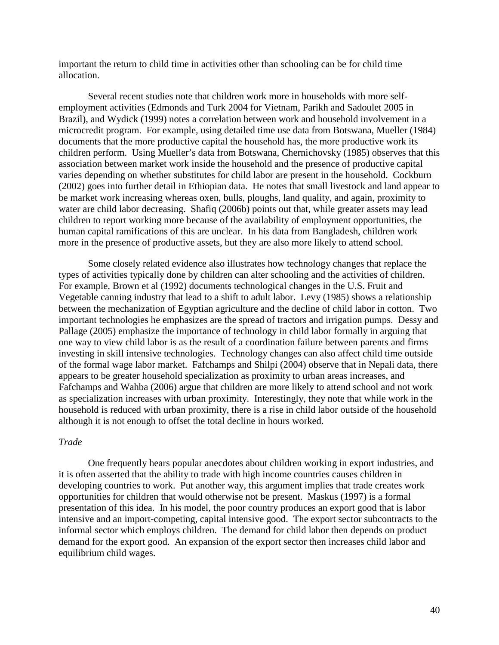important the return to child time in activities other than schooling can be for child time allocation.

Several recent studies note that children work more in households with more selfemployment activities (Edmonds and Turk 2004 for Vietnam, Parikh and Sadoulet 2005 in Brazil), and Wydick (1999) notes a correlation between work and household involvement in a microcredit program. For example, using detailed time use data from Botswana, Mueller (1984) documents that the more productive capital the household has, the more productive work its children perform. Using Mueller's data from Botswana, Chernichovsky (1985) observes that this association between market work inside the household and the presence of productive capital varies depending on whether substitutes for child labor are present in the household. Cockburn (2002) goes into further detail in Ethiopian data. He notes that small livestock and land appear to be market work increasing whereas oxen, bulls, ploughs, land quality, and again, proximity to water are child labor decreasing. Shafiq (2006b) points out that, while greater assets may lead children to report working more because of the availability of employment opportunities, the human capital ramifications of this are unclear. In his data from Bangladesh, children work more in the presence of productive assets, but they are also more likely to attend school.

Some closely related evidence also illustrates how technology changes that replace the types of activities typically done by children can alter schooling and the activities of children. For example, Brown et al (1992) documents technological changes in the U.S. Fruit and Vegetable canning industry that lead to a shift to adult labor. Levy (1985) shows a relationship between the mechanization of Egyptian agriculture and the decline of child labor in cotton. Two important technologies he emphasizes are the spread of tractors and irrigation pumps. Dessy and Pallage (2005) emphasize the importance of technology in child labor formally in arguing that one way to view child labor is as the result of a coordination failure between parents and firms investing in skill intensive technologies. Technology changes can also affect child time outside of the formal wage labor market. Fafchamps and Shilpi (2004) observe that in Nepali data, there appears to be greater household specialization as proximity to urban areas increases, and Fafchamps and Wahba (2006) argue that children are more likely to attend school and not work as specialization increases with urban proximity. Interestingly, they note that while work in the household is reduced with urban proximity, there is a rise in child labor outside of the household although it is not enough to offset the total decline in hours worked.

### *Trade*

One frequently hears popular anecdotes about children working in export industries, and it is often asserted that the ability to trade with high income countries causes children in developing countries to work. Put another way, this argument implies that trade creates work opportunities for children that would otherwise not be present. Maskus (1997) is a formal presentation of this idea. In his model, the poor country produces an export good that is labor intensive and an import-competing, capital intensive good. The export sector subcontracts to the informal sector which employs children. The demand for child labor then depends on product demand for the export good. An expansion of the export sector then increases child labor and equilibrium child wages.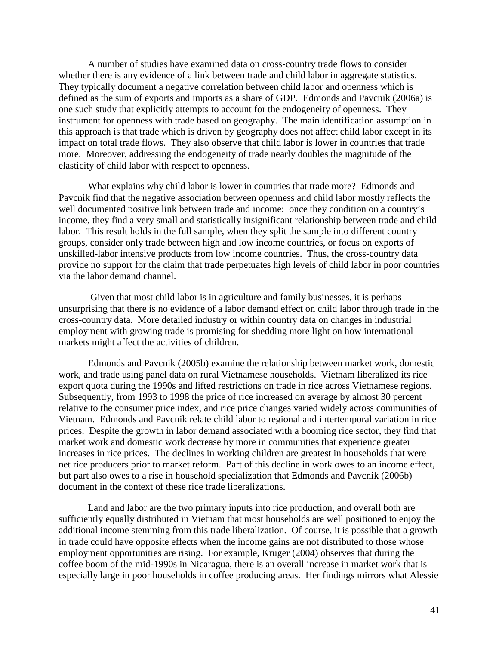A number of studies have examined data on cross-country trade flows to consider whether there is any evidence of a link between trade and child labor in aggregate statistics. They typically document a negative correlation between child labor and openness which is defined as the sum of exports and imports as a share of GDP. Edmonds and Pavcnik (2006a) is one such study that explicitly attempts to account for the endogeneity of openness. They instrument for openness with trade based on geography. The main identification assumption in this approach is that trade which is driven by geography does not affect child labor except in its impact on total trade flows. They also observe that child labor is lower in countries that trade more. Moreover, addressing the endogeneity of trade nearly doubles the magnitude of the elasticity of child labor with respect to openness.

What explains why child labor is lower in countries that trade more? Edmonds and Pavcnik find that the negative association between openness and child labor mostly reflects the well documented positive link between trade and income: once they condition on a country's income, they find a very small and statistically insignificant relationship between trade and child labor. This result holds in the full sample, when they split the sample into different country groups, consider only trade between high and low income countries, or focus on exports of unskilled-labor intensive products from low income countries. Thus, the cross-country data provide no support for the claim that trade perpetuates high levels of child labor in poor countries via the labor demand channel.

Given that most child labor is in agriculture and family businesses, it is perhaps unsurprising that there is no evidence of a labor demand effect on child labor through trade in the cross-country data. More detailed industry or within country data on changes in industrial employment with growing trade is promising for shedding more light on how international markets might affect the activities of children.

Edmonds and Pavcnik (2005b) examine the relationship between market work, domestic work, and trade using panel data on rural Vietnamese households. Vietnam liberalized its rice export quota during the 1990s and lifted restrictions on trade in rice across Vietnamese regions. Subsequently, from 1993 to 1998 the price of rice increased on average by almost 30 percent relative to the consumer price index, and rice price changes varied widely across communities of Vietnam. Edmonds and Pavcnik relate child labor to regional and intertemporal variation in rice prices. Despite the growth in labor demand associated with a booming rice sector, they find that market work and domestic work decrease by more in communities that experience greater increases in rice prices. The declines in working children are greatest in households that were net rice producers prior to market reform. Part of this decline in work owes to an income effect, but part also owes to a rise in household specialization that Edmonds and Pavcnik (2006b) document in the context of these rice trade liberalizations.

Land and labor are the two primary inputs into rice production, and overall both are sufficiently equally distributed in Vietnam that most households are well positioned to enjoy the additional income stemming from this trade liberalization. Of course, it is possible that a growth in trade could have opposite effects when the income gains are not distributed to those whose employment opportunities are rising. For example, Kruger (2004) observes that during the coffee boom of the mid-1990s in Nicaragua, there is an overall increase in market work that is especially large in poor households in coffee producing areas. Her findings mirrors what Alessie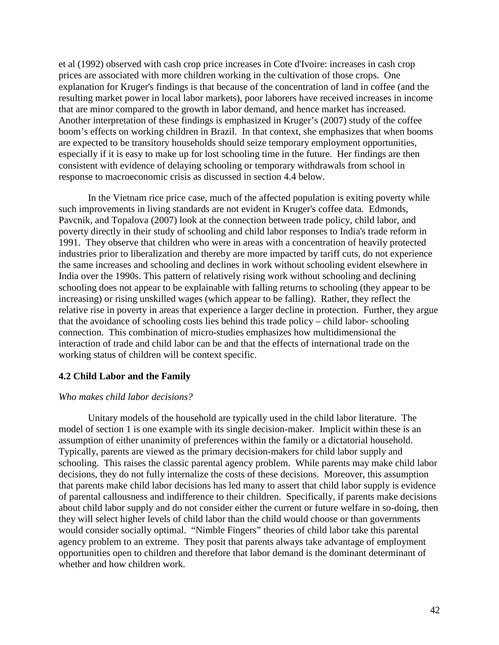et al (1992) observed with cash crop price increases in Cote d'Ivoire: increases in cash crop prices are associated with more children working in the cultivation of those crops. One explanation for Kruger's findings is that because of the concentration of land in coffee (and the resulting market power in local labor markets), poor laborers have received increases in income that are minor compared to the growth in labor demand, and hence market has increased. Another interpretation of these findings is emphasized in Kruger's (2007) study of the coffee boom's effects on working children in Brazil. In that context, she emphasizes that when booms are expected to be transitory households should seize temporary employment opportunities, especially if it is easy to make up for lost schooling time in the future. Her findings are then consistent with evidence of delaying schooling or temporary withdrawals from school in response to macroeconomic crisis as discussed in section 4.4 below.

In the Vietnam rice price case, much of the affected population is exiting poverty while such improvements in living standards are not evident in Kruger's coffee data. Edmonds, Pavcnik, and Topalova (2007) look at the connection between trade policy, child labor, and poverty directly in their study of schooling and child labor responses to India's trade reform in 1991. They observe that children who were in areas with a concentration of heavily protected industries prior to liberalization and thereby are more impacted by tariff cuts, do not experience the same increases and schooling and declines in work without schooling evident elsewhere in India over the 1990s. This pattern of relatively rising work without schooling and declining schooling does not appear to be explainable with falling returns to schooling (they appear to be increasing) or rising unskilled wages (which appear to be falling). Rather, they reflect the relative rise in poverty in areas that experience a larger decline in protection. Further, they argue that the avoidance of schooling costs lies behind this trade policy –child labor- schooling connection. This combination of micro-studies emphasizes how multidimensional the interaction of trade and child labor can be and that the effects of international trade on the working status of children will be context specific.

# **4.2 Child Labor and the Family**

## *Who makes child labor decisions?*

Unitary models of the household are typically used in the child labor literature. The model of section 1 is one example with its single decision-maker. Implicit within these is an assumption of either unanimity of preferences within the family or a dictatorial household. Typically, parents are viewed as the primary decision-makers for child labor supply and schooling. This raises the classic parental agency problem. While parents may make child labor decisions, they do not fully internalize the costs of these decisions. Moreover, this assumption that parents make child labor decisions has led many to assert that child labor supply is evidence of parental callousness and indifference to their children. Specifically, if parents make decisions about child labor supply and do not consider either the current or future welfare in so-doing, then they will select higher levels of child labor than the child would choose or than governments would consider socially optimal. "Nimble Fingers" theories of child labor take this parental agency problem to an extreme. They posit that parents always take advantage of employment opportunities open to children and therefore that labor demand is the dominant determinant of whether and how children work.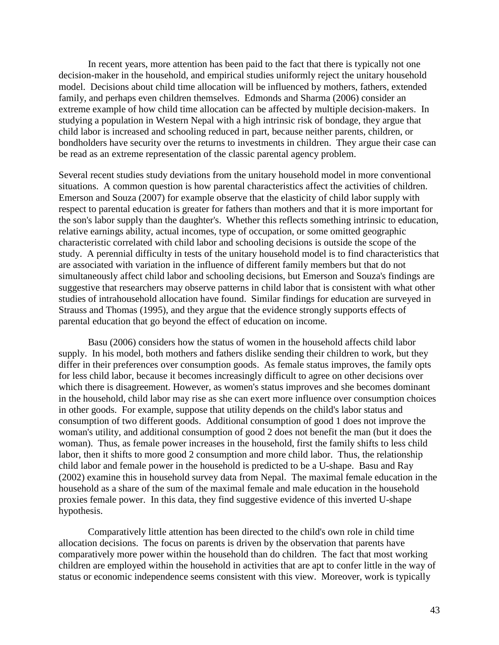In recent years, more attention has been paid to the fact that there is typically not one decision-maker in the household, and empirical studies uniformly reject the unitary household model. Decisions about child time allocation will be influenced by mothers, fathers, extended family, and perhaps even children themselves. Edmonds and Sharma (2006) consider an extreme example of how child time allocation can be affected by multiple decision-makers. In studying a population in Western Nepal with a high intrinsic risk of bondage, they argue that child labor is increased and schooling reduced in part, because neither parents, children, or bondholders have security over the returns to investments in children. They argue their case can be read as an extreme representation of the classic parental agency problem.

Several recent studies study deviations from the unitary household model in more conventional situations. A common question is how parental characteristics affect the activities of children. Emerson and Souza (2007) for example observe that the elasticity of child labor supply with respect to parental education is greater for fathers than mothers and that it is more important for the son's labor supply than the daughter's. Whether this reflects something intrinsic to education, relative earnings ability, actual incomes, type of occupation, or some omitted geographic characteristic correlated with child labor and schooling decisions is outside the scope of the study. A perennial difficulty in tests of the unitary household model is to find characteristics that are associated with variation in the influence of different family members but that do not simultaneously affect child labor and schooling decisions, but Emerson and Souza's findings are suggestive that researchers may observe patterns in child labor that is consistent with what other studies of intrahousehold allocation have found. Similar findings for education are surveyed in Strauss and Thomas (1995), and they argue that the evidence strongly supports effects of parental education that go beyond the effect of education on income.

Basu (2006) considers how the status of women in the household affects child labor supply. In his model, both mothers and fathers dislike sending their children to work, but they differ in their preferences over consumption goods. As female status improves, the family opts for less child labor, because it becomes increasingly difficult to agree on other decisions over which there is disagreement. However, as women's status improves and she becomes dominant in the household, child labor may rise as she can exert more influence over consumption choices in other goods. For example, suppose that utility depends on the child's labor status and consumption of two different goods. Additional consumption of good 1 does not improve the woman's utility, and additional consumption of good 2 does not benefit the man (but it does the woman). Thus, as female power increases in the household, first the family shifts to less child labor, then it shifts to more good 2 consumption and more child labor. Thus, the relationship child labor and female power in the household is predicted to be a U-shape. Basu and Ray (2002) examine this in household survey data from Nepal. The maximal female education in the household as a share of the sum of the maximal female and male education in the household proxies female power. In this data, they find suggestive evidence of this inverted U-shape hypothesis.

Comparatively little attention has been directed to the child's own role in child time allocation decisions. The focus on parents is driven by the observation that parents have comparatively more power within the household than do children. The fact that most working children are employed within the household in activities that are apt to confer little in the way of status or economic independence seems consistent with this view. Moreover, work is typically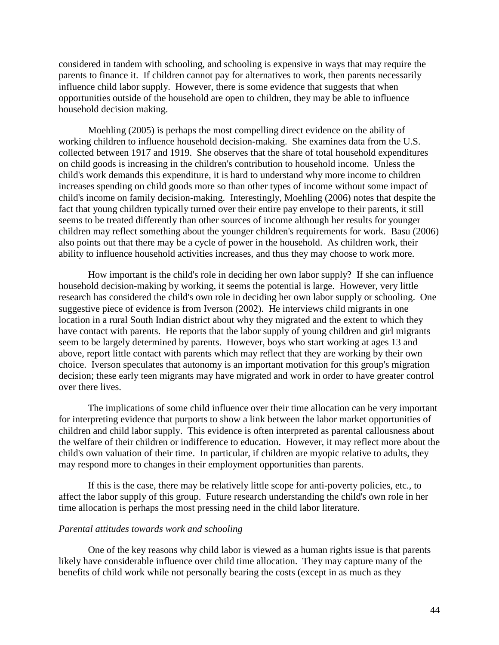considered in tandem with schooling, and schooling is expensive in ways that may require the parents to finance it. If children cannot pay for alternatives to work, then parents necessarily influence child labor supply. However, there is some evidence that suggests that when opportunities outside of the household are open to children, they may be able to influence household decision making.

Moehling (2005) is perhaps the most compelling direct evidence on the ability of working children to influence household decision-making. She examines data from the U.S. collected between 1917 and 1919. She observes that the share of total household expenditures on child goods is increasing in the children's contribution to household income. Unless the child's work demands this expenditure, it is hard to understand why more income to children increases spending on child goods more so than other types of income without some impact of child's income on family decision-making. Interestingly, Moehling (2006) notes that despite the fact that young children typically turned over their entire pay envelope to their parents, it still seems to be treated differently than other sources of income although her results for younger children may reflect something about the younger children's requirements for work. Basu (2006) also points out that there may be a cycle of power in the household. As children work, their ability to influence household activities increases, and thus they may choose to work more.

How important is the child's role in deciding her own labor supply? If she can influence household decision-making by working, it seems the potential is large. However, very little research has considered the child's own role in deciding her own labor supply or schooling. One suggestive piece of evidence is from Iverson (2002). He interviews child migrants in one location in a rural South Indian district about why they migrated and the extent to which they have contact with parents. He reports that the labor supply of young children and girl migrants seem to be largely determined by parents. However, boys who start working at ages 13 and above, report little contact with parents which may reflect that they are working by their own choice. Iverson speculates that autonomy is an important motivation for this group's migration decision; these early teen migrants may have migrated and work in order to have greater control over there lives.

The implications of some child influence over their time allocation can be very important for interpreting evidence that purports to show a link between the labor market opportunities of children and child labor supply. This evidence is often interpreted as parental callousness about the welfare of their children or indifference to education. However, it may reflect more about the child's own valuation of their time. In particular, if children are myopic relative to adults, they may respond more to changes in their employment opportunities than parents.

If this is the case, there may be relatively little scope for anti-poverty policies, etc., to affect the labor supply of this group. Future research understanding the child's own role in her time allocation is perhaps the most pressing need in the child labor literature.

## *Parental attitudes towards work and schooling*

One of the key reasons why child labor is viewed as a human rights issue is that parents likely have considerable influence over child time allocation. They may capture many of the benefits of child work while not personally bearing the costs (except in as much as they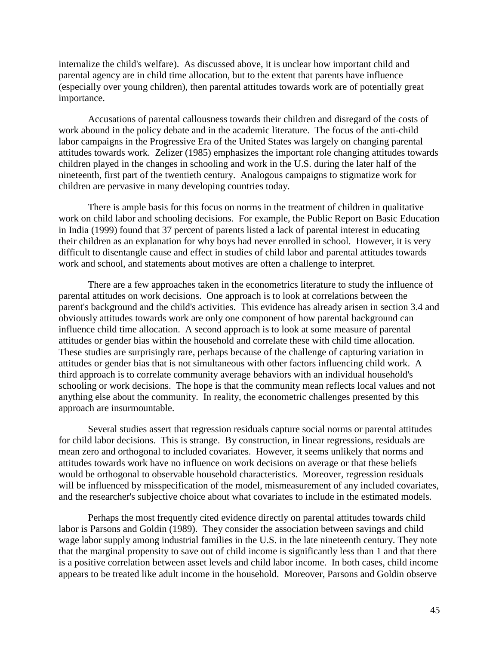internalize the child's welfare). As discussed above, it is unclear how important child and parental agency are in child time allocation, but to the extent that parents have influence (especially over young children), then parental attitudes towards work are of potentially great importance.

Accusations of parental callousness towards their children and disregard of the costs of work abound in the policy debate and in the academic literature. The focus of the anti-child labor campaigns in the Progressive Era of the United States was largely on changing parental attitudes towards work. Zelizer (1985) emphasizes the important role changing attitudes towards children played in the changes in schooling and work in the U.S. during the later half of the nineteenth, first part of the twentieth century. Analogous campaigns to stigmatize work for children are pervasive in many developing countries today.

There is ample basis for this focus on norms in the treatment of children in qualitative work on child labor and schooling decisions. For example, the Public Report on Basic Education in India (1999) found that 37 percent of parents listed a lack of parental interest in educating their children as an explanation for why boys had never enrolled in school. However, it is very difficult to disentangle cause and effect in studies of child labor and parental attitudes towards work and school, and statements about motives are often a challenge to interpret.

There are a few approaches taken in the econometrics literature to study the influence of parental attitudes on work decisions. One approach is to look at correlations between the parent's background and the child's activities. This evidence has already arisen in section 3.4 and obviously attitudes towards work are only one component of how parental background can influence child time allocation. A second approach is to look at some measure of parental attitudes or gender bias within the household and correlate these with child time allocation. These studies are surprisingly rare, perhaps because of the challenge of capturing variation in attitudes or gender bias that is not simultaneous with other factors influencing child work. A third approach is to correlate community average behaviors with an individual household's schooling or work decisions. The hope is that the community mean reflects local values and not anything else about the community. In reality, the econometric challenges presented by this approach are insurmountable.

Several studies assert that regression residuals capture social norms or parental attitudes for child labor decisions. This is strange. By construction, in linear regressions, residuals are mean zero and orthogonal to included covariates. However, it seems unlikely that norms and attitudes towards work have no influence on work decisions on average or that these beliefs would be orthogonal to observable household characteristics. Moreover, regression residuals will be influenced by misspecification of the model, mismeasurement of any included covariates, and the researcher's subjective choice about what covariates to include in the estimated models.

Perhaps the most frequently cited evidence directly on parental attitudes towards child labor is Parsons and Goldin (1989). They consider the association between savings and child wage labor supply among industrial families in the U.S. in the late nineteenth century. They note that the marginal propensity to save out of child income is significantly less than 1 and that there is a positive correlation between asset levels and child labor income. In both cases, child income appears to be treated like adult income in the household. Moreover, Parsons and Goldin observe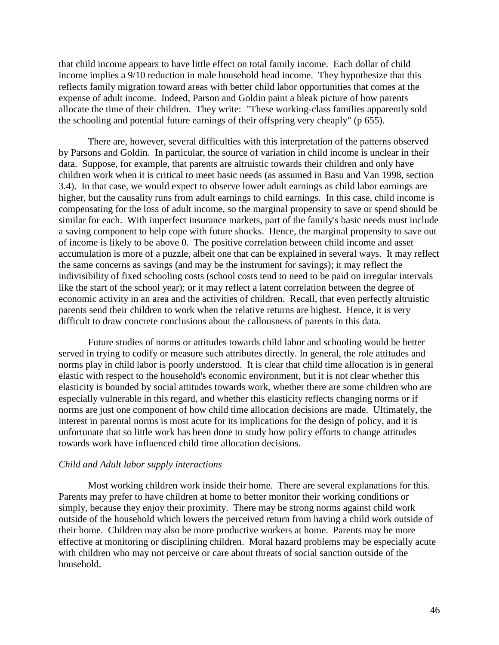that child income appears to have little effect on total family income. Each dollar of child income implies a 9/10 reduction in male household head income. They hypothesize that this reflects family migration toward areas with better child labor opportunities that comes at the expense of adult income. Indeed, Parson and Goldin paint a bleak picture of how parents allocate the time of their children. They write: "These working-class families apparently sold the schooling and potential future earnings of their offspring very cheaply" (p 655).

There are, however, several difficulties with this interpretation of the patterns observed by Parsons and Goldin. In particular, the source of variation in child income is unclear in their data. Suppose, for example, that parents are altruistic towards their children and only have children work when it is critical to meet basic needs (as assumed in Basu and Van 1998, section 3.4). In that case, we would expect to observe lower adult earnings as child labor earnings are higher, but the causality runs from adult earnings to child earnings. In this case, child income is compensating for the loss of adult income, so the marginal propensity to save or spend should be similar for each. With imperfect insurance markets, part of the family's basic needs must include a saving component to help cope with future shocks. Hence, the marginal propensity to save out of income is likely to be above 0. The positive correlation between child income and asset accumulation is more of a puzzle, albeit one that can be explained in several ways. It may reflect the same concerns as savings (and may be the instrument for savings); it may reflect the indivisibility of fixed schooling costs (school costs tend to need to be paid on irregular intervals like the start of the school year); or it may reflect a latent correlation between the degree of economic activity in an area and the activities of children. Recall, that even perfectly altruistic parents send their children to work when the relative returns are highest. Hence, it is very difficult to draw concrete conclusions about the callousness of parents in this data.

Future studies of norms or attitudes towards child labor and schooling would be better served in trying to codify or measure such attributes directly. In general, the role attitudes and norms play in child labor is poorly understood. It is clear that child time allocation is in general elastic with respect to the household's economic environment, but it is not clear whether this elasticity is bounded by social attitudes towards work, whether there are some children who are especially vulnerable in this regard, and whether this elasticity reflects changing norms or if norms are just one component of how child time allocation decisions are made. Ultimately, the interest in parental norms is most acute for its implications for the design of policy, and it is unfortunate that so little work has been done to study how policy efforts to change attitudes towards work have influenced child time allocation decisions.

#### *Child and Adult labor supply interactions*

Most working children work inside their home. There are several explanations for this. Parents may prefer to have children at home to better monitor their working conditions or simply, because they enjoy their proximity. There may be strong norms against child work outside of the household which lowers the perceived return from having a child work outside of their home. Children may also be more productive workers at home. Parents may be more effective at monitoring or disciplining children. Moral hazard problems may be especially acute with children who may not perceive or care about threats of social sanction outside of the household.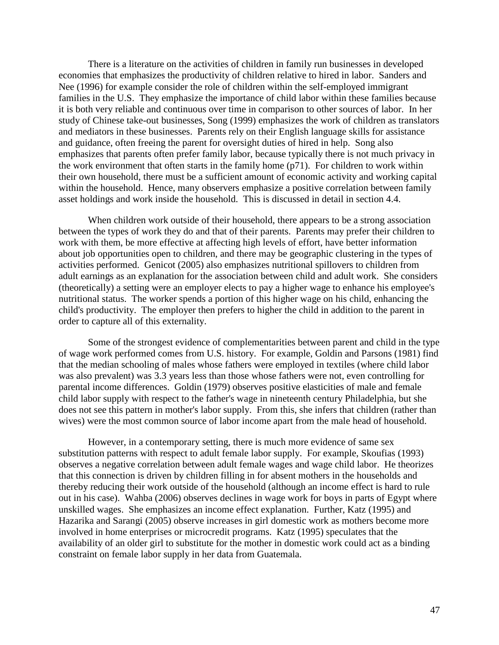There is a literature on the activities of children in family run businesses in developed economies that emphasizes the productivity of children relative to hired in labor. Sanders and Nee (1996) for example consider the role of children within the self-employed immigrant families in the U.S. They emphasize the importance of child labor within these families because it is both very reliable and continuous over time in comparison to other sources of labor. In her study of Chinese take-out businesses, Song (1999) emphasizes the work of children as translators and mediators in these businesses. Parents rely on their English language skills for assistance and guidance, often freeing the parent for oversight duties of hired in help. Song also emphasizes that parents often prefer family labor, because typically there is not much privacy in the work environment that often starts in the family home (p71). For children to work within their own household, there must be a sufficient amount of economic activity and working capital within the household. Hence, many observers emphasize a positive correlation between family asset holdings and work inside the household. This is discussed in detail in section 4.4.

When children work outside of their household, there appears to be a strong association between the types of work they do and that of their parents. Parents may prefer their children to work with them, be more effective at affecting high levels of effort, have better information about job opportunities open to children, and there may be geographic clustering in the types of activities performed. Genicot (2005) also emphasizes nutritional spillovers to children from adult earnings as an explanation for the association between child and adult work. She considers (theoretically) a setting were an employer elects to pay a higher wage to enhance his employee's nutritional status. The worker spends a portion of this higher wage on his child, enhancing the child's productivity. The employer then prefers to higher the child in addition to the parent in order to capture all of this externality.

Some of the strongest evidence of complementarities between parent and child in the type of wage work performed comes from U.S. history. For example, Goldin and Parsons (1981) find that the median schooling of males whose fathers were employed in textiles (where child labor was also prevalent) was 3.3 years less than those whose fathers were not, even controlling for parental income differences. Goldin (1979) observes positive elasticities of male and female child labor supply with respect to the father's wage in nineteenth century Philadelphia, but she does not see this pattern in mother's labor supply. From this, she infers that children (rather than wives) were the most common source of labor income apart from the male head of household.

However, in a contemporary setting, there is much more evidence of same sex substitution patterns with respect to adult female labor supply. For example, Skoufias (1993) observes a negative correlation between adult female wages and wage child labor. He theorizes that this connection is driven by children filling in for absent mothers in the households and thereby reducing their work outside of the household (although an income effect is hard to rule out in his case). Wahba (2006) observes declines in wage work for boys in parts of Egypt where unskilled wages. She emphasizes an income effect explanation. Further, Katz (1995) and Hazarika and Sarangi (2005) observe increases in girl domestic work as mothers become more involved in home enterprises or microcredit programs. Katz (1995) speculates that the availability of an older girl to substitute for the mother in domestic work could act as a binding constraint on female labor supply in her data from Guatemala.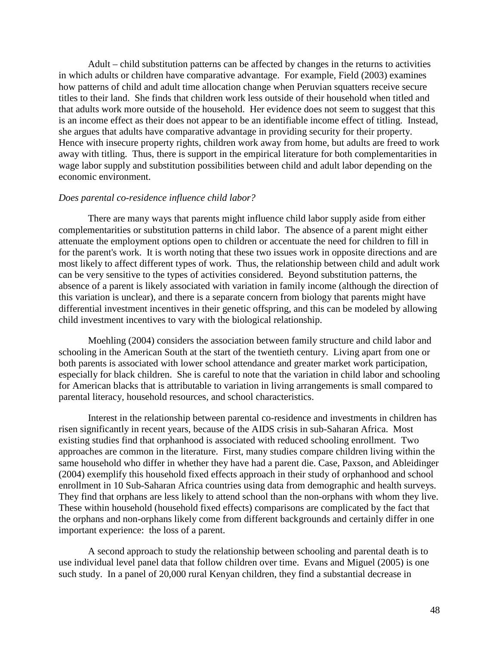Adult –child substitution patterns can be affected by changes in the returns to activities in which adults or children have comparative advantage. For example, Field (2003) examines how patterns of child and adult time allocation change when Peruvian squatters receive secure titles to their land. She finds that children work less outside of their household when titled and that adults work more outside of the household. Her evidence does not seem to suggest that this is an income effect as their does not appear to be an identifiable income effect of titling. Instead, she argues that adults have comparative advantage in providing security for their property. Hence with insecure property rights, children work away from home, but adults are freed to work away with titling. Thus, there is support in the empirical literature for both complementarities in wage labor supply and substitution possibilities between child and adult labor depending on the economic environment.

#### *Does parental co-residence influence child labor?*

There are many ways that parents might influence child labor supply aside from either complementarities or substitution patterns in child labor. The absence of a parent might either attenuate the employment options open to children or accentuate the need for children to fill in for the parent's work. It is worth noting that these two issues work in opposite directions and are most likely to affect different types of work. Thus, the relationship between child and adult work can be very sensitive to the types of activities considered. Beyond substitution patterns, the absence of a parent is likely associated with variation in family income (although the direction of this variation is unclear), and there is a separate concern from biology that parents might have differential investment incentives in their genetic offspring, and this can be modeled by allowing child investment incentives to vary with the biological relationship.

Moehling (2004) considers the association between family structure and child labor and schooling in the American South at the start of the twentieth century. Living apart from one or both parents is associated with lower school attendance and greater market work participation, especially for black children. She is careful to note that the variation in child labor and schooling for American blacks that is attributable to variation in living arrangements is small compared to parental literacy, household resources, and school characteristics.

Interest in the relationship between parental co-residence and investments in children has risen significantly in recent years, because of the AIDS crisis in sub-Saharan Africa. Most existing studies find that orphanhood is associated with reduced schooling enrollment. Two approaches are common in the literature. First, many studies compare children living within the same household who differ in whether they have had a parent die. Case, Paxson, and Ableidinger (2004) exemplify this household fixed effects approach in their study of orphanhood and school enrollment in 10 Sub-Saharan Africa countries using data from demographic and health surveys. They find that orphans are less likely to attend school than the non-orphans with whom they live. These within household (household fixed effects) comparisons are complicated by the fact that the orphans and non-orphans likely come from different backgrounds and certainly differ in one important experience: the loss of a parent.

A second approach to study the relationship between schooling and parental death is to use individual level panel data that follow children over time. Evans and Miguel (2005) is one such study. In a panel of 20,000 rural Kenyan children, they find a substantial decrease in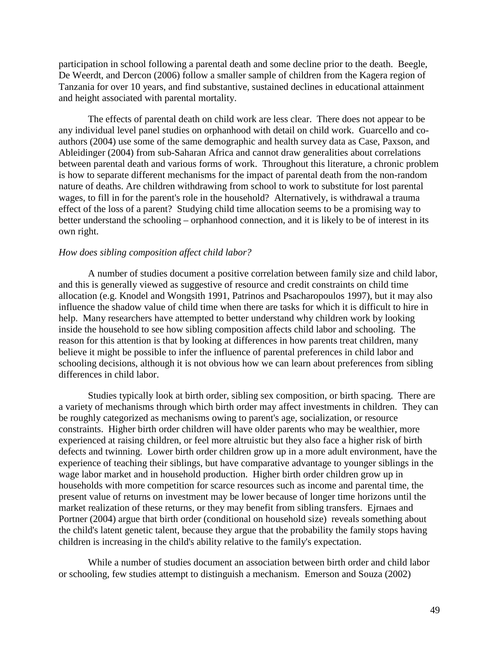participation in school following a parental death and some decline prior to the death. Beegle, De Weerdt, and Dercon (2006) follow a smaller sample of children from the Kagera region of Tanzania for over 10 years, and find substantive, sustained declines in educational attainment and height associated with parental mortality.

The effects of parental death on child work are less clear. There does not appear to be any individual level panel studies on orphanhood with detail on child work. Guarcello and coauthors (2004) use some of the same demographic and health survey data as Case, Paxson, and Ableidinger (2004) from sub-Saharan Africa and cannot draw generalities about correlations between parental death and various forms of work. Throughout this literature, a chronic problem is how to separate different mechanisms for the impact of parental death from the non-random nature of deaths. Are children withdrawing from school to work to substitute for lost parental wages, to fill in for the parent's role in the household? Alternatively, is withdrawal a trauma effect of the loss of a parent? Studying child time allocation seems to be a promising way to better understand the schooling – orphanhood connection, and it is likely to be of interest in its own right.

### *How does sibling composition affect child labor?*

A number of studies document a positive correlation between family size and child labor, and this is generally viewed as suggestive of resource and credit constraints on child time allocation (e.g. Knodel and Wongsith 1991, Patrinos and Psacharopoulos 1997), but it may also influence the shadow value of child time when there are tasks for which it is difficult to hire in help. Many researchers have attempted to better understand why children work by looking inside the household to see how sibling composition affects child labor and schooling. The reason for this attention is that by looking at differences in how parents treat children, many believe it might be possible to infer the influence of parental preferences in child labor and schooling decisions, although it is not obvious how we can learn about preferences from sibling differences in child labor.

Studies typically look at birth order, sibling sex composition, or birth spacing. There are a variety of mechanisms through which birth order may affect investments in children. They can be roughly categorized as mechanisms owing to parent's age, socialization, or resource constraints. Higher birth order children will have older parents who may be wealthier, more experienced at raising children, or feel more altruistic but they also face a higher risk of birth defects and twinning. Lower birth order children grow up in a more adult environment, have the experience of teaching their siblings, but have comparative advantage to younger siblings in the wage labor market and in household production. Higher birth order children grow up in households with more competition for scarce resources such as income and parental time, the present value of returns on investment may be lower because of longer time horizons until the market realization of these returns, or they may benefit from sibling transfers. Ejrnaes and Portner (2004) argue that birth order (conditional on household size) reveals something about the child's latent genetic talent, because they argue that the probability the family stops having children is increasing in the child's ability relative to the family's expectation.

While a number of studies document an association between birth order and child labor or schooling, few studies attempt to distinguish a mechanism. Emerson and Souza (2002)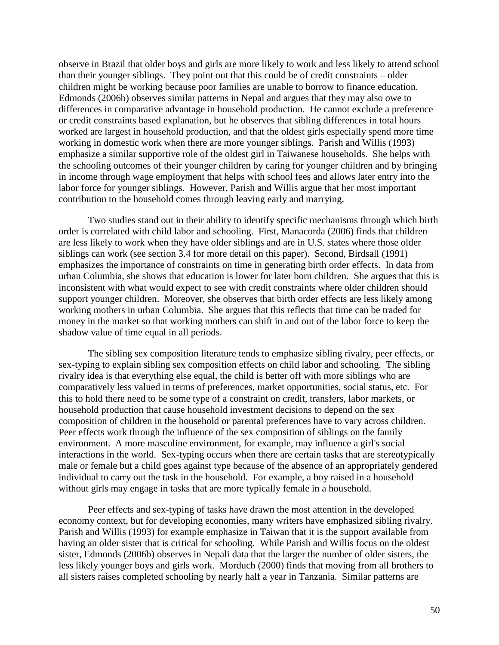observe in Brazil that older boys and girls are more likely to work and less likely to attend school than their younger siblings. They point out that this could be of credit constraints  $-\text{older}$ children might be working because poor families are unable to borrow to finance education. Edmonds (2006b) observes similar patterns in Nepal and argues that they may also owe to differences in comparative advantage in household production. He cannot exclude a preference or credit constraints based explanation, but he observes that sibling differences in total hours worked are largest in household production, and that the oldest girls especially spend more time working in domestic work when there are more younger siblings. Parish and Willis (1993) emphasize a similar supportive role of the oldest girl in Taiwanese households. She helps with the schooling outcomes of their younger children by caring for younger children and by bringing in income through wage employment that helps with school fees and allows later entry into the labor force for younger siblings. However, Parish and Willis argue that her most important contribution to the household comes through leaving early and marrying.

Two studies stand out in their ability to identify specific mechanisms through which birth order is correlated with child labor and schooling. First, Manacorda (2006) finds that children are less likely to work when they have older siblings and are in U.S. states where those older siblings can work (see section 3.4 for more detail on this paper). Second, Birdsall (1991) emphasizes the importance of constraints on time in generating birth order effects. In data from urban Columbia, she shows that education is lower for later born children. She argues that this is inconsistent with what would expect to see with credit constraints where older children should support younger children. Moreover, she observes that birth order effects are less likely among working mothers in urban Columbia. She argues that this reflects that time can be traded for money in the market so that working mothers can shift in and out of the labor force to keep the shadow value of time equal in all periods.

The sibling sex composition literature tends to emphasize sibling rivalry, peer effects, or sex-typing to explain sibling sex composition effects on child labor and schooling. The sibling rivalry idea is that everything else equal, the child is better off with more siblings who are comparatively less valued in terms of preferences, market opportunities, social status, etc. For this to hold there need to be some type of a constraint on credit, transfers, labor markets, or household production that cause household investment decisions to depend on the sex composition of children in the household or parental preferences have to vary across children. Peer effects work through the influence of the sex composition of siblings on the family environment. A more masculine environment, for example, may influence a girl's social interactions in the world. Sex-typing occurs when there are certain tasks that are stereotypically male or female but a child goes against type because of the absence of an appropriately gendered individual to carry out the task in the household. For example, a boy raised in a household without girls may engage in tasks that are more typically female in a household.

Peer effects and sex-typing of tasks have drawn the most attention in the developed economy context, but for developing economies, many writers have emphasized sibling rivalry. Parish and Willis (1993) for example emphasize in Taiwan that it is the support available from having an older sister that is critical for schooling. While Parish and Willis focus on the oldest sister, Edmonds (2006b) observes in Nepali data that the larger the number of older sisters, the less likely younger boys and girls work. Morduch (2000) finds that moving from all brothers to all sisters raises completed schooling by nearly half a year in Tanzania. Similar patterns are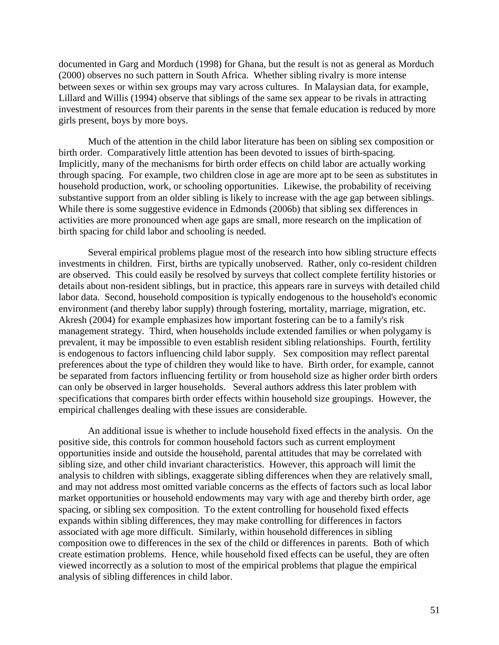documented in Garg and Morduch (1998) for Ghana, but the result is not as general as Morduch (2000) observes no such pattern in South Africa. Whether sibling rivalry is more intense between sexes or within sex groups may vary across cultures. In Malaysian data, for example, Lillard and Willis (1994) observe that siblings of the same sex appear to be rivals in attracting investment of resources from their parents in the sense that female education is reduced by more girls present, boys by more boys.

Much of the attention in the child labor literature has been on sibling sex composition or birth order. Comparatively little attention has been devoted to issues of birth-spacing. Implicitly, many of the mechanisms for birth order effects on child labor are actually working through spacing. For example, two children close in age are more apt to be seen as substitutes in household production, work, or schooling opportunities. Likewise, the probability of receiving substantive support from an older sibling is likely to increase with the age gap between siblings. While there is some suggestive evidence in Edmonds (2006b) that sibling sex differences in activities are more pronounced when age gaps are small, more research on the implication of birth spacing for child labor and schooling is needed.

Several empirical problems plague most of the research into how sibling structure effects investments in children. First, births are typically unobserved. Rather, only co-resident children are observed. This could easily be resolved by surveys that collect complete fertility histories or details about non-resident siblings, but in practice, this appears rare in surveys with detailed child labor data. Second, household composition is typically endogenous to the household's economic environment (and thereby labor supply) through fostering, mortality, marriage, migration, etc. Akresh (2004) for example emphasizes how important fostering can be to a family's risk management strategy. Third, when households include extended families or when polygamy is prevalent, it may be impossible to even establish resident sibling relationships. Fourth, fertility is endogenous to factors influencing child labor supply. Sex composition may reflect parental preferences about the type of children they would like to have. Birth order, for example, cannot be separated from factors influencing fertility or from household size as higher order birth orders can only be observed in larger households. Several authors address this later problem with specifications that compares birth order effects within household size groupings. However, the empirical challenges dealing with these issues are considerable.

An additional issue is whether to include household fixed effects in the analysis. On the positive side, this controls for common household factors such as current employment opportunities inside and outside the household, parental attitudes that may be correlated with sibling size, and other child invariant characteristics. However, this approach will limit the analysis to children with siblings, exaggerate sibling differences when they are relatively small, and may not address most omitted variable concerns as the effects of factors such as local labor market opportunities or household endowments may vary with age and thereby birth order, age spacing, or sibling sex composition. To the extent controlling for household fixed effects expands within sibling differences, they may make controlling for differences in factors associated with age more difficult. Similarly, within household differences in sibling composition owe to differences in the sex of the child or differences in parents. Both of which create estimation problems. Hence, while household fixed effects can be useful, they are often viewed incorrectly as a solution to most of the empirical problems that plague the empirical analysis of sibling differences in child labor.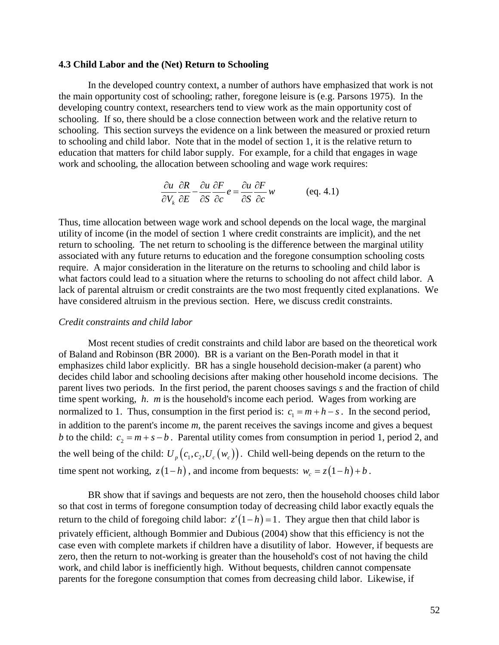#### **4.3 Child Labor and the (Net) Return to Schooling**

In the developed country context, a number of authors have emphasized that work is not the main opportunity cost of schooling; rather, foregone leisure is (e.g. Parsons 1975). In the developing country context, researchers tend to view work as the main opportunity cost of schooling. If so, there should be a close connection between work and the relative return to schooling. This section surveys the evidence on a link between the measured or proxied return to schooling and child labor. Note that in the model of section 1, it is the relative return to education that matters for child labor supply. For example, for a child that engages in wage work and schooling, the allocation between schooling and wage work requires:

$$
\frac{\partial u}{\partial V_k} \frac{\partial R}{\partial E} - \frac{\partial u}{\partial S} \frac{\partial F}{\partial c} e = \frac{\partial u}{\partial S} \frac{\partial F}{\partial c} w \qquad (eq. 4.1)
$$

Thus, time allocation between wage work and school depends on the local wage, the marginal utility of income (in the model of section 1 where credit constraints are implicit), and the net return to schooling. The net return to schooling is the difference between the marginal utility associated with any future returns to education and the foregone consumption schooling costs require. A major consideration in the literature on the returns to schooling and child labor is what factors could lead to a situation where the returns to schooling do not affect child labor. A lack of parental altruism or credit constraints are the two most frequently cited explanations. We have considered altruism in the previous section. Here, we discuss credit constraints.

#### *Credit constraints and child labor*

Most recent studies of credit constraints and child labor are based on the theoretical work of Baland and Robinson (BR 2000). BR is a variant on the Ben-Porath model in that it emphasizes child labor explicitly. BR has a single household decision-maker (a parent) who decides child labor and schooling decisions after making other household income decisions. The parent lives two periods. In the first period, the parent chooses savings *s* and the fraction of child time spent working, *h*. *m* is the household's income each period. Wages from working are normalized to 1. Thus, consumption in the first period is:  $c_1 = m + h - s$ . In the second period, in addition to the parent's income *m,* the parent receives the savings income and gives a bequest *b* to the child:  $c_2 = m + s - b$ . Parental utility comes from consumption in period 1, period 2, and the well being of the child:  $U_p(c_1, c_2, U_c(w_c))$ . Child well-being depends on the return to the time spent not working,  $z(1-h)$ , and income from bequests:  $w_c = z(1-h) + b$ .

BR show that if savings and bequests are not zero, then the household chooses child labor so that cost in terms of foregone consumption today of decreasing child labor exactly equals the return to the child of foregoing child labor:  $z'(1-h) = 1$ . They argue then that child labor is privately efficient, although Bommier and Dubious (2004) show that this efficiency is not the case even with complete markets if children have a disutility of labor. However, if bequests are zero, then the return to not-working is greater than the household's cost of not having the child work, and child labor is inefficiently high. Without bequests, children cannot compensate parents for the foregone consumption that comes from decreasing child labor. Likewise, if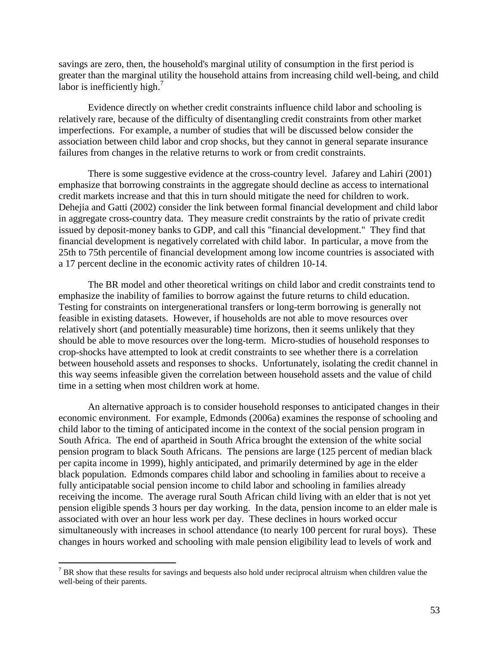savings are zero, then, the household's marginal utility of consumption in the first period is greater than the marginal utility the household attains from increasing child well-being, and child labor is inefficiently high.<sup>7</sup>

Evidence directly on whether credit constraints influence child labor and schooling is relatively rare, because of the difficulty of disentangling credit constraints from other market imperfections. For example, a number of studies that will be discussed below consider the association between child labor and crop shocks, but they cannot in general separate insurance failures from changes in the relative returns to work or from credit constraints.

There is some suggestive evidence at the cross-country level. Jafarey and Lahiri (2001) emphasize that borrowing constraints in the aggregate should decline as access to international credit markets increase and that this in turn should mitigate the need for children to work. Dehejia and Gatti (2002) consider the link between formal financial development and child labor in aggregate cross-country data. They measure credit constraints by the ratio of private credit issued by deposit-money banks to GDP, and call this "financial development." They find that financial development is negatively correlated with child labor. In particular, a move from the 25th to 75th percentile of financial development among low income countries is associated with a 17 percent decline in the economic activity rates of children 10-14.

The BR model and other theoretical writings on child labor and credit constraints tend to emphasize the inability of families to borrow against the future returns to child education. Testing for constraints on intergenerational transfers or long-term borrowing is generally not feasible in existing datasets. However, if households are not able to move resources over relatively short (and potentially measurable) time horizons, then it seems unlikely that they should be able to move resources over the long-term. Micro-studies of household responses to crop-shocks have attempted to look at credit constraints to see whether there is a correlation between household assets and responses to shocks. Unfortunately, isolating the credit channel in this way seems infeasible given the correlation between household assets and the value of child time in a setting when most children work at home.

An alternative approach is to consider household responses to anticipated changes in their economic environment. For example, Edmonds (2006a) examines the response of schooling and child labor to the timing of anticipated income in the context of the social pension program in South Africa. The end of apartheid in South Africa brought the extension of the white social pension program to black South Africans. The pensions are large (125 percent of median black per capita income in 1999), highly anticipated, and primarily determined by age in the elder black population. Edmonds compares child labor and schooling in families about to receive a fully anticipatable social pension income to child labor and schooling in families already receiving the income. The average rural South African child living with an elder that is not yet pension eligible spends 3 hours per day working. In the data, pension income to an elder male is associated with over an hour less work per day. These declines in hours worked occur simultaneously with increases in school attendance (to nearly 100 percent for rural boys). These changes in hours worked and schooling with male pension eligibility lead to levels of work and

 $<sup>7</sup>$  BR show that these results for savings and bequests also hold under reciprocal altruism when children value the</sup> well-being of their parents.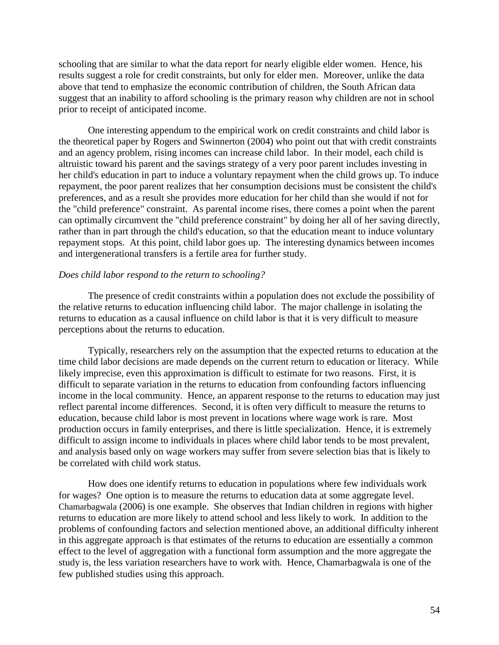schooling that are similar to what the data report for nearly eligible elder women. Hence, his results suggest a role for credit constraints, but only for elder men. Moreover, unlike the data above that tend to emphasize the economic contribution of children, the South African data suggest that an inability to afford schooling is the primary reason why children are not in school prior to receipt of anticipated income.

One interesting appendum to the empirical work on credit constraints and child labor is the theoretical paper by Rogers and Swinnerton (2004) who point out that with credit constraints and an agency problem, rising incomes can increase child labor. In their model, each child is altruistic toward his parent and the savings strategy of a very poor parent includes investing in her child's education in part to induce a voluntary repayment when the child grows up. To induce repayment, the poor parent realizes that her consumption decisions must be consistent the child's preferences, and as a result she provides more education for her child than she would if not for the "child preference" constraint. As parental income rises, there comes a point when the parent can optimally circumvent the "child preference constraint" by doing her all of her saving directly, rather than in part through the child's education, so that the education meant to induce voluntary repayment stops. At this point, child labor goes up. The interesting dynamics between incomes and intergenerational transfers is a fertile area for further study.

### *Does child labor respond to the return to schooling?*

The presence of credit constraints within a population does not exclude the possibility of the relative returns to education influencing child labor. The major challenge in isolating the returns to education as a causal influence on child labor is that it is very difficult to measure perceptions about the returns to education.

Typically, researchers rely on the assumption that the expected returns to education at the time child labor decisions are made depends on the current return to education or literacy. While likely imprecise, even this approximation is difficult to estimate for two reasons. First, it is difficult to separate variation in the returns to education from confounding factors influencing income in the local community. Hence, an apparent response to the returns to education may just reflect parental income differences. Second, it is often very difficult to measure the returns to education, because child labor is most prevent in locations where wage work is rare. Most production occurs in family enterprises, and there is little specialization. Hence, it is extremely difficult to assign income to individuals in places where child labor tends to be most prevalent, and analysis based only on wage workers may suffer from severe selection bias that is likely to be correlated with child work status.

How does one identify returns to education in populations where few individuals work for wages? One option is to measure the returns to education data at some aggregate level. Chamarbagwala (2006) is one example. She observes that Indian children in regions with higher returns to education are more likely to attend school and less likely to work. In addition to the problems of confounding factors and selection mentioned above, an additional difficulty inherent in this aggregate approach is that estimates of the returns to education are essentially a common effect to the level of aggregation with a functional form assumption and the more aggregate the study is, the less variation researchers have to work with. Hence, Chamarbagwala is one of the few published studies using this approach.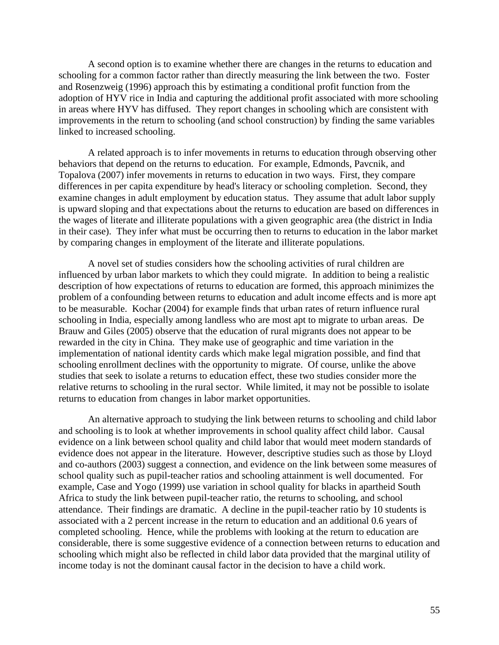A second option is to examine whether there are changes in the returns to education and schooling for a common factor rather than directly measuring the link between the two. Foster and Rosenzweig (1996) approach this by estimating a conditional profit function from the adoption of HYV rice in India and capturing the additional profit associated with more schooling in areas where HYV has diffused. They report changes in schooling which are consistent with improvements in the return to schooling (and school construction) by finding the same variables linked to increased schooling.

A related approach is to infer movements in returns to education through observing other behaviors that depend on the returns to education. For example, Edmonds, Pavcnik, and Topalova (2007) infer movements in returns to education in two ways. First, they compare differences in per capita expenditure by head's literacy or schooling completion. Second, they examine changes in adult employment by education status. They assume that adult labor supply is upward sloping and that expectations about the returns to education are based on differences in the wages of literate and illiterate populations with a given geographic area (the district in India in their case). They infer what must be occurring then to returns to education in the labor market by comparing changes in employment of the literate and illiterate populations.

A novel set of studies considers how the schooling activities of rural children are influenced by urban labor markets to which they could migrate. In addition to being a realistic description of how expectations of returns to education are formed, this approach minimizes the problem of a confounding between returns to education and adult income effects and is more apt to be measurable. Kochar (2004) for example finds that urban rates of return influence rural schooling in India, especially among landless who are most apt to migrate to urban areas. De Brauw and Giles (2005) observe that the education of rural migrants does not appear to be rewarded in the city in China. They make use of geographic and time variation in the implementation of national identity cards which make legal migration possible, and find that schooling enrollment declines with the opportunity to migrate. Of course, unlike the above studies that seek to isolate a returns to education effect, these two studies consider more the relative returns to schooling in the rural sector. While limited, it may not be possible to isolate returns to education from changes in labor market opportunities.

An alternative approach to studying the link between returns to schooling and child labor and schooling is to look at whether improvements in school quality affect child labor. Causal evidence on a link between school quality and child labor that would meet modern standards of evidence does not appear in the literature. However, descriptive studies such as those by Lloyd and co-authors (2003) suggest a connection, and evidence on the link between some measures of school quality such as pupil-teacher ratios and schooling attainment is well documented. For example, Case and Yogo (1999) use variation in school quality for blacks in apartheid South Africa to study the link between pupil-teacher ratio, the returns to schooling, and school attendance. Their findings are dramatic. A decline in the pupil-teacher ratio by 10 students is associated with a 2 percent increase in the return to education and an additional 0.6 years of completed schooling. Hence, while the problems with looking at the return to education are considerable, there is some suggestive evidence of a connection between returns to education and schooling which might also be reflected in child labor data provided that the marginal utility of income today is not the dominant causal factor in the decision to have a child work.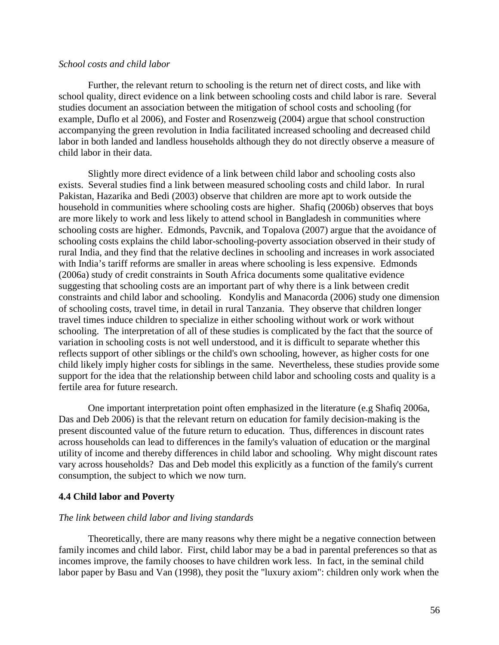## *School costs and child labor*

Further, the relevant return to schooling is the return net of direct costs, and like with school quality, direct evidence on a link between schooling costs and child labor is rare. Several studies document an association between the mitigation of school costs and schooling (for example, Duflo et al 2006), and Foster and Rosenzweig (2004) argue that school construction accompanying the green revolution in India facilitated increased schooling and decreased child labor in both landed and landless households although they do not directly observe a measure of child labor in their data.

Slightly more direct evidence of a link between child labor and schooling costs also exists. Several studies find a link between measured schooling costs and child labor. In rural Pakistan, Hazarika and Bedi (2003) observe that children are more apt to work outside the household in communities where schooling costs are higher. Shafiq (2006b) observes that boys are more likely to work and less likely to attend school in Bangladesh in communities where schooling costs are higher. Edmonds, Pavcnik, and Topalova (2007) argue that the avoidance of schooling costs explains the child labor-schooling-poverty association observed in their study of rural India, and they find that the relative declines in schooling and increases in work associated with India's tariff reforms are smaller in areas where schooling is less expensive. Edmonds (2006a) study of credit constraints in South Africa documents some qualitative evidence suggesting that schooling costs are an important part of why there is a link between credit constraints and child labor and schooling. Kondylis and Manacorda (2006) study one dimension of schooling costs, travel time, in detail in rural Tanzania. They observe that children longer travel times induce children to specialize in either schooling without work or work without schooling. The interpretation of all of these studies is complicated by the fact that the source of variation in schooling costs is not well understood, and it is difficult to separate whether this reflects support of other siblings or the child's own schooling, however, as higher costs for one child likely imply higher costs for siblings in the same. Nevertheless, these studies provide some support for the idea that the relationship between child labor and schooling costs and quality is a fertile area for future research.

One important interpretation point often emphasized in the literature (e.g Shafiq 2006a, Das and Deb 2006) is that the relevant return on education for family decision-making is the present discounted value of the future return to education. Thus, differences in discount rates across households can lead to differences in the family's valuation of education or the marginal utility of income and thereby differences in child labor and schooling. Why might discount rates vary across households? Das and Deb model this explicitly as a function of the family's current consumption, the subject to which we now turn.

## **4.4 Child labor and Poverty**

#### *The link between child labor and living standards*

Theoretically, there are many reasons why there might be a negative connection between family incomes and child labor. First, child labor may be a bad in parental preferences so that as incomes improve, the family chooses to have children work less. In fact, in the seminal child labor paper by Basu and Van (1998), they posit the "luxury axiom": children only work when the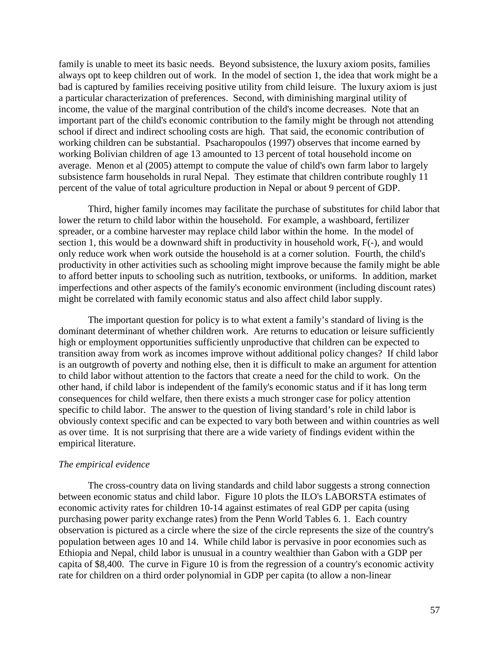family is unable to meet its basic needs. Beyond subsistence, the luxury axiom posits, families always opt to keep children out of work. In the model of section 1, the idea that work might be a bad is captured by families receiving positive utility from child leisure. The luxury axiom is just a particular characterization of preferences. Second, with diminishing marginal utility of income, the value of the marginal contribution of the child's income decreases. Note that an important part of the child's economic contribution to the family might be through not attending school if direct and indirect schooling costs are high. That said, the economic contribution of working children can be substantial. Psacharopoulos (1997) observes that income earned by working Bolivian children of age 13 amounted to 13 percent of total household income on average. Menon et al (2005) attempt to compute the value of child's own farm labor to largely subsistence farm households in rural Nepal. They estimate that children contribute roughly 11 percent of the value of total agriculture production in Nepal or about 9 percent of GDP.

Third, higher family incomes may facilitate the purchase of substitutes for child labor that lower the return to child labor within the household. For example, a washboard, fertilizer spreader, or a combine harvester may replace child labor within the home. In the model of section 1, this would be a downward shift in productivity in household work, F(-), and would only reduce work when work outside the household is at a corner solution. Fourth, the child's productivity in other activities such as schooling might improve because the family might be able to afford better inputs to schooling such as nutrition, textbooks, or uniforms. In addition, market imperfections and other aspects of the family's economic environment (including discount rates) might be correlated with family economic status and also affect child labor supply.

The important question for policy is to what extent a family's standard of living is the dominant determinant of whether children work. Are returns to education or leisure sufficiently high or employment opportunities sufficiently unproductive that children can be expected to transition away from work as incomes improve without additional policy changes? If child labor is an outgrowth of poverty and nothing else, then it is difficult to make an argument for attention to child labor without attention to the factors that create a need for the child to work. On the other hand, if child labor is independent of the family's economic status and if it has long term consequences for child welfare, then there exists a much stronger case for policy attention specific to child labor. The answer to the question of living standard's role in child labor is obviously context specific and can be expected to vary both between and within countries as well as over time. It is not surprising that there are a wide variety of findings evident within the empirical literature.

#### *The empirical evidence*

The cross-country data on living standards and child labor suggests a strong connection between economic status and child labor. Figure 10 plots the ILO's LABORSTA estimates of economic activity rates for children 10-14 against estimates of real GDP per capita (using purchasing power parity exchange rates) from the Penn World Tables 6. 1. Each country observation is pictured as a circle where the size of the circle represents the size of the country's population between ages 10 and 14. While child labor is pervasive in poor economies such as Ethiopia and Nepal, child labor is unusual in a country wealthier than Gabon with a GDP per capita of \$8,400. The curve in Figure 10 is from the regression of a country's economic activity rate for children on a third order polynomial in GDP per capita (to allow a non-linear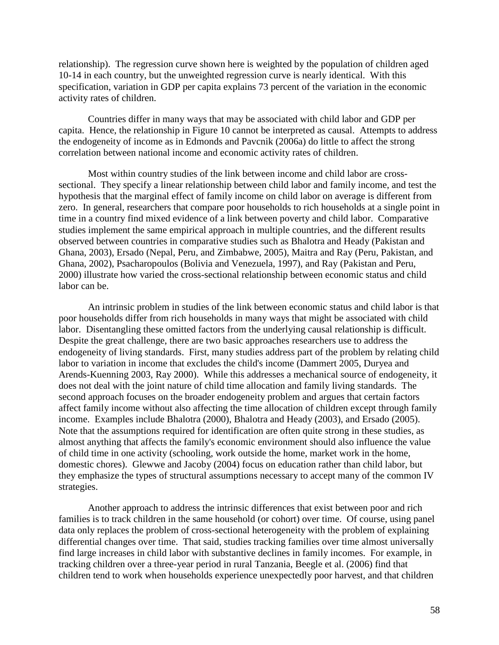relationship). The regression curve shown here is weighted by the population of children aged 10-14 in each country, but the unweighted regression curve is nearly identical. With this specification, variation in GDP per capita explains 73 percent of the variation in the economic activity rates of children.

Countries differ in many ways that may be associated with child labor and GDP per capita. Hence, the relationship in Figure 10 cannot be interpreted as causal. Attempts to address the endogeneity of income as in Edmonds and Pavcnik (2006a) do little to affect the strong correlation between national income and economic activity rates of children.

Most within country studies of the link between income and child labor are crosssectional. They specify a linear relationship between child labor and family income, and test the hypothesis that the marginal effect of family income on child labor on average is different from zero. In general, researchers that compare poor households to rich households at a single point in time in a country find mixed evidence of a link between poverty and child labor. Comparative studies implement the same empirical approach in multiple countries, and the different results observed between countries in comparative studies such as Bhalotra and Heady (Pakistan and Ghana, 2003), Ersado (Nepal, Peru, and Zimbabwe, 2005), Maitra and Ray (Peru, Pakistan, and Ghana, 2002), Psacharopoulos (Bolivia and Venezuela, 1997), and Ray (Pakistan and Peru, 2000) illustrate how varied the cross-sectional relationship between economic status and child labor can be.

An intrinsic problem in studies of the link between economic status and child labor is that poor households differ from rich households in many ways that might be associated with child labor. Disentangling these omitted factors from the underlying causal relationship is difficult. Despite the great challenge, there are two basic approaches researchers use to address the endogeneity of living standards. First, many studies address part of the problem by relating child labor to variation in income that excludes the child's income (Dammert 2005, Duryea and Arends-Kuenning 2003, Ray 2000). While this addresses a mechanical source of endogeneity, it does not deal with the joint nature of child time allocation and family living standards. The second approach focuses on the broader endogeneity problem and argues that certain factors affect family income without also affecting the time allocation of children except through family income. Examples include Bhalotra (2000), Bhalotra and Heady (2003), and Ersado (2005). Note that the assumptions required for identification are often quite strong in these studies, as almost anything that affects the family's economic environment should also influence the value of child time in one activity (schooling, work outside the home, market work in the home, domestic chores). Glewwe and Jacoby (2004) focus on education rather than child labor, but they emphasize the types of structural assumptions necessary to accept many of the common IV strategies.

Another approach to address the intrinsic differences that exist between poor and rich families is to track children in the same household (or cohort) over time. Of course, using panel data only replaces the problem of cross-sectional heterogeneity with the problem of explaining differential changes over time. That said, studies tracking families over time almost universally find large increases in child labor with substantive declines in family incomes. For example, in tracking children over a three-year period in rural Tanzania, Beegle et al. (2006) find that children tend to work when households experience unexpectedly poor harvest, and that children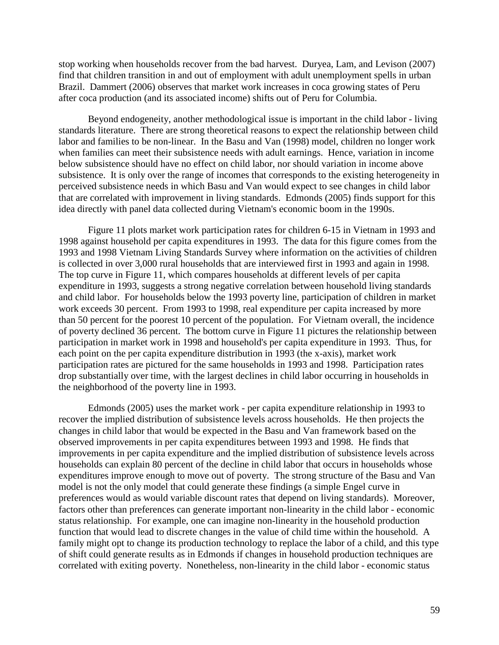stop working when households recover from the bad harvest. Duryea, Lam, and Levison (2007) find that children transition in and out of employment with adult unemployment spells in urban Brazil. Dammert (2006) observes that market work increases in coca growing states of Peru after coca production (and its associated income) shifts out of Peru for Columbia.

Beyond endogeneity, another methodological issue is important in the child labor - living standards literature. There are strong theoretical reasons to expect the relationship between child labor and families to be non-linear. In the Basu and Van (1998) model, children no longer work when families can meet their subsistence needs with adult earnings. Hence, variation in income below subsistence should have no effect on child labor, nor should variation in income above subsistence. It is only over the range of incomes that corresponds to the existing heterogeneity in perceived subsistence needs in which Basu and Van would expect to see changes in child labor that are correlated with improvement in living standards. Edmonds (2005) finds support for this idea directly with panel data collected during Vietnam's economic boom in the 1990s.

Figure 11 plots market work participation rates for children 6-15 in Vietnam in 1993 and 1998 against household per capita expenditures in 1993. The data for this figure comes from the 1993 and 1998 Vietnam Living Standards Survey where information on the activities of children is collected in over 3,000 rural households that are interviewed first in 1993 and again in 1998. The top curve in Figure 11, which compares households at different levels of per capita expenditure in 1993, suggests a strong negative correlation between household living standards and child labor. For households below the 1993 poverty line, participation of children in market work exceeds 30 percent. From 1993 to 1998, real expenditure per capita increased by more than 50 percent for the poorest 10 percent of the population. For Vietnam overall, the incidence of poverty declined 36 percent. The bottom curve in Figure 11 pictures the relationship between participation in market work in 1998 and household's per capita expenditure in 1993. Thus, for each point on the per capita expenditure distribution in 1993 (the x-axis), market work participation rates are pictured for the same households in 1993 and 1998. Participation rates drop substantially over time, with the largest declines in child labor occurring in households in the neighborhood of the poverty line in 1993.

Edmonds (2005) uses the market work - per capita expenditure relationship in 1993 to recover the implied distribution of subsistence levels across households. He then projects the changes in child labor that would be expected in the Basu and Van framework based on the observed improvements in per capita expenditures between 1993 and 1998. He finds that improvements in per capita expenditure and the implied distribution of subsistence levels across households can explain 80 percent of the decline in child labor that occurs in households whose expenditures improve enough to move out of poverty. The strong structure of the Basu and Van model is not the only model that could generate these findings (a simple Engel curve in preferences would as would variable discount rates that depend on living standards). Moreover, factors other than preferences can generate important non-linearity in the child labor - economic status relationship. For example, one can imagine non-linearity in the household production function that would lead to discrete changes in the value of child time within the household. A family might opt to change its production technology to replace the labor of a child, and this type of shift could generate results as in Edmonds if changes in household production techniques are correlated with exiting poverty. Nonetheless, non-linearity in the child labor - economic status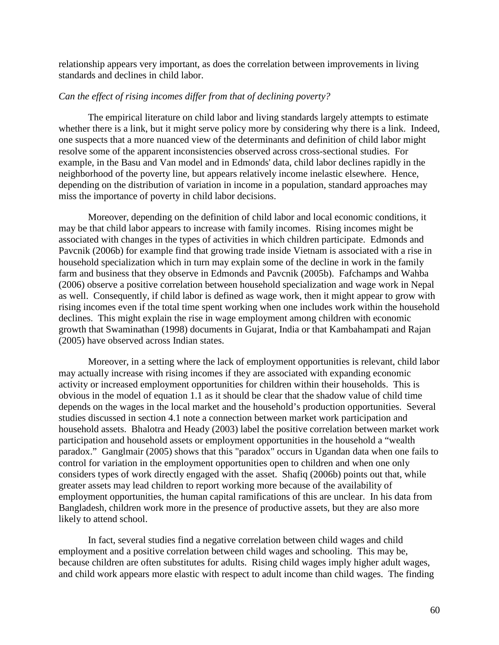relationship appears very important, as does the correlation between improvements in living standards and declines in child labor.

# *Can the effect of rising incomes differ from that of declining poverty?*

The empirical literature on child labor and living standards largely attempts to estimate whether there is a link, but it might serve policy more by considering why there is a link. Indeed, one suspects that a more nuanced view of the determinants and definition of child labor might resolve some of the apparent inconsistencies observed across cross-sectional studies. For example, in the Basu and Van model and in Edmonds' data, child labor declines rapidly in the neighborhood of the poverty line, but appears relatively income inelastic elsewhere. Hence, depending on the distribution of variation in income in a population, standard approaches may miss the importance of poverty in child labor decisions.

Moreover, depending on the definition of child labor and local economic conditions, it may be that child labor appears to increase with family incomes. Rising incomes might be associated with changes in the types of activities in which children participate. Edmonds and Pavcnik (2006b) for example find that growing trade inside Vietnam is associated with a rise in household specialization which in turn may explain some of the decline in work in the family farm and business that they observe in Edmonds and Pavcnik (2005b). Fafchamps and Wahba (2006) observe a positive correlation between household specialization and wage work in Nepal as well. Consequently, if child labor is defined as wage work, then it might appear to grow with rising incomes even if the total time spent working when one includes work within the household declines. This might explain the rise in wage employment among children with economic growth that Swaminathan (1998) documents in Gujarat, India or that Kambahampati and Rajan (2005) have observed across Indian states.

Moreover, in a setting where the lack of employment opportunities is relevant, child labor may actually increase with rising incomes if they are associated with expanding economic activity or increased employment opportunities for children within their households. This is obvious in the model of equation 1.1 as it should be clear that the shadow value of child time depends on the wages in the local market and the household's production opportunities. Several studies discussed in section 4.1 note a connection between market work participation and household assets. Bhalotra and Heady (2003) label the positive correlation between market work participation and household assets or employment opportunities in the household a "wealth paradox." Ganglmair (2005) shows that this "paradox" occurs in Ugandan data when one fails to control for variation in the employment opportunities open to children and when one only considers types of work directly engaged with the asset. Shafiq (2006b) points out that, while greater assets may lead children to report working more because of the availability of employment opportunities, the human capital ramifications of this are unclear. In his data from Bangladesh, children work more in the presence of productive assets, but they are also more likely to attend school.

In fact, several studies find a negative correlation between child wages and child employment and a positive correlation between child wages and schooling. This may be, because children are often substitutes for adults. Rising child wages imply higher adult wages, and child work appears more elastic with respect to adult income than child wages. The finding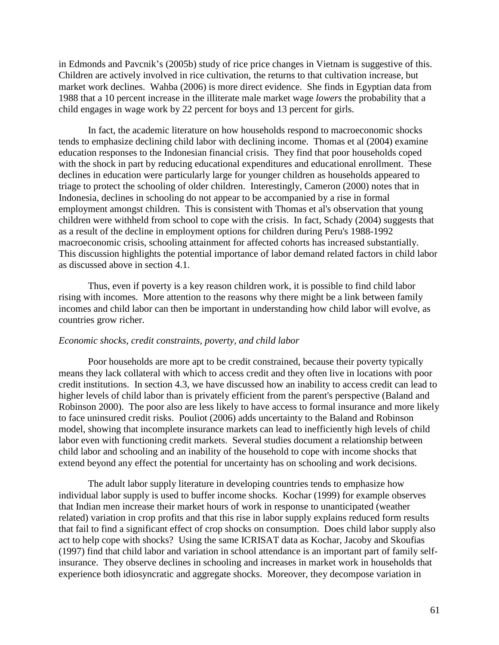in Edmonds and Pavcnik's (2005b) study of rice price changes in Vietnam is suggestive of this. Children are actively involved in rice cultivation, the returns to that cultivation increase, but market work declines. Wahba (2006) is more direct evidence. She finds in Egyptian data from 1988 that a 10 percent increase in the illiterate male market wage *lowers* the probability that a child engages in wage work by 22 percent for boys and 13 percent for girls.

In fact, the academic literature on how households respond to macroeconomic shocks tends to emphasize declining child labor with declining income. Thomas et al (2004) examine education responses to the Indonesian financial crisis. They find that poor households coped with the shock in part by reducing educational expenditures and educational enrollment. These declines in education were particularly large for younger children as households appeared to triage to protect the schooling of older children. Interestingly, Cameron (2000) notes that in Indonesia, declines in schooling do not appear to be accompanied by a rise in formal employment amongst children. This is consistent with Thomas et al's observation that young children were withheld from school to cope with the crisis. In fact, Schady (2004) suggests that as a result of the decline in employment options for children during Peru's 1988-1992 macroeconomic crisis, schooling attainment for affected cohorts has increased substantially. This discussion highlights the potential importance of labor demand related factors in child labor as discussed above in section 4.1.

Thus, even if poverty is a key reason children work, it is possible to find child labor rising with incomes. More attention to the reasons why there might be a link between family incomes and child labor can then be important in understanding how child labor will evolve, as countries grow richer.

# *Economic shocks, credit constraints, poverty, and child labor*

Poor households are more apt to be credit constrained, because their poverty typically means they lack collateral with which to access credit and they often live in locations with poor credit institutions. In section 4.3, we have discussed how an inability to access credit can lead to higher levels of child labor than is privately efficient from the parent's perspective (Baland and Robinson 2000). The poor also are less likely to have access to formal insurance and more likely to face uninsured credit risks. Pouliot (2006) adds uncertainty to the Baland and Robinson model, showing that incomplete insurance markets can lead to inefficiently high levels of child labor even with functioning credit markets. Several studies document a relationship between child labor and schooling and an inability of the household to cope with income shocks that extend beyond any effect the potential for uncertainty has on schooling and work decisions.

The adult labor supply literature in developing countries tends to emphasize how individual labor supply is used to buffer income shocks. Kochar (1999) for example observes that Indian men increase their market hours of work in response to unanticipated (weather related) variation in crop profits and that this rise in labor supply explains reduced form results that fail to find a significant effect of crop shocks on consumption. Does child labor supply also act to help cope with shocks? Using the same ICRISAT data as Kochar, Jacoby and Skoufias (1997) find that child labor and variation in school attendance is an important part of family selfinsurance. They observe declines in schooling and increases in market work in households that experience both idiosyncratic and aggregate shocks. Moreover, they decompose variation in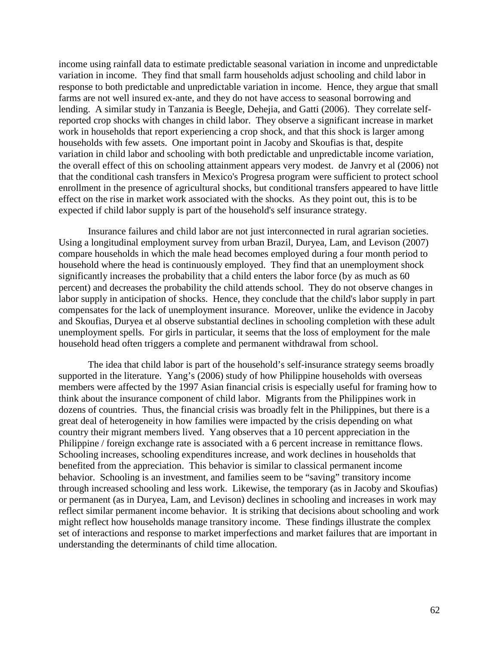income using rainfall data to estimate predictable seasonal variation in income and unpredictable variation in income. They find that small farm households adjust schooling and child labor in response to both predictable and unpredictable variation in income. Hence, they argue that small farms are not well insured ex-ante, and they do not have access to seasonal borrowing and lending. A similar study in Tanzania is Beegle, Dehejia, and Gatti (2006). They correlate selfreported crop shocks with changes in child labor. They observe a significant increase in market work in households that report experiencing a crop shock, and that this shock is larger among households with few assets. One important point in Jacoby and Skoufias is that, despite variation in child labor and schooling with both predictable and unpredictable income variation, the overall effect of this on schooling attainment appears very modest. de Janvry et al (2006) not that the conditional cash transfers in Mexico's Progresa program were sufficient to protect school enrollment in the presence of agricultural shocks, but conditional transfers appeared to have little effect on the rise in market work associated with the shocks. As they point out, this is to be expected if child labor supply is part of the household's self insurance strategy.

Insurance failures and child labor are not just interconnected in rural agrarian societies. Using a longitudinal employment survey from urban Brazil, Duryea, Lam, and Levison (2007) compare households in which the male head becomes employed during a four month period to household where the head is continuously employed. They find that an unemployment shock significantly increases the probability that a child enters the labor force (by as much as 60 percent) and decreases the probability the child attends school. They do not observe changes in labor supply in anticipation of shocks. Hence, they conclude that the child's labor supply in part compensates for the lack of unemployment insurance. Moreover, unlike the evidence in Jacoby and Skoufias, Duryea et al observe substantial declines in schooling completion with these adult unemployment spells. For girls in particular, it seems that the loss of employment for the male household head often triggers a complete and permanent withdrawal from school.

The idea that child labor is part of the household's self-insurance strategy seems broadly supported in the literature. Yang's (2006) study of how Philippine households with overseas members were affected by the 1997 Asian financial crisis is especially useful for framing how to think about the insurance component of child labor. Migrants from the Philippines work in dozens of countries. Thus, the financial crisis was broadly felt in the Philippines, but there is a great deal of heterogeneity in how families were impacted by the crisis depending on what country their migrant members lived. Yang observes that a 10 percent appreciation in the Philippine / foreign exchange rate is associated with a 6 percent increase in remittance flows. Schooling increases, schooling expenditures increase, and work declines in households that benefited from the appreciation. This behavior is similar to classical permanent income behavior. Schooling is an investment, and families seem to be "saving" transitory income through increased schooling and less work. Likewise, the temporary (as in Jacoby and Skoufias) or permanent (as in Duryea, Lam, and Levison) declines in schooling and increases in work may reflect similar permanent income behavior. It is striking that decisions about schooling and work might reflect how households manage transitory income. These findings illustrate the complex set of interactions and response to market imperfections and market failures that are important in understanding the determinants of child time allocation.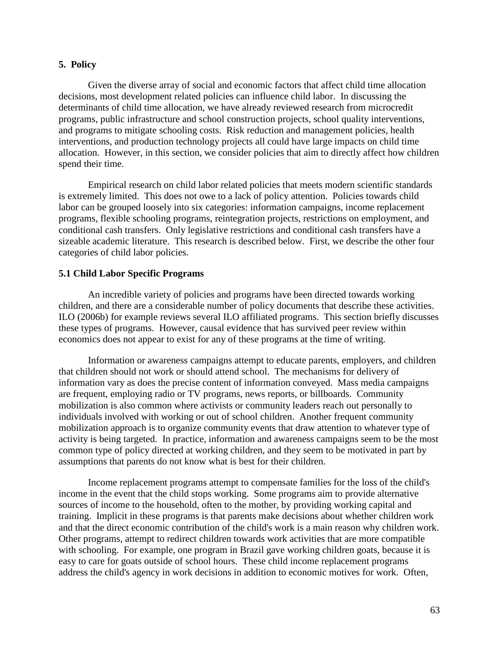# **5. Policy**

Given the diverse array of social and economic factors that affect child time allocation decisions, most development related policies can influence child labor. In discussing the determinants of child time allocation, we have already reviewed research from microcredit programs, public infrastructure and school construction projects, school quality interventions, and programs to mitigate schooling costs. Risk reduction and management policies, health interventions, and production technology projects all could have large impacts on child time allocation. However, in this section, we consider policies that aim to directly affect how children spend their time.

Empirical research on child labor related policies that meets modern scientific standards is extremely limited. This does not owe to a lack of policy attention. Policies towards child labor can be grouped loosely into six categories: information campaigns, income replacement programs, flexible schooling programs, reintegration projects, restrictions on employment, and conditional cash transfers. Only legislative restrictions and conditional cash transfers have a sizeable academic literature. This research is described below. First, we describe the other four categories of child labor policies.

# **5.1 Child Labor Specific Programs**

An incredible variety of policies and programs have been directed towards working children, and there are a considerable number of policy documents that describe these activities. ILO (2006b) for example reviews several ILO affiliated programs. This section briefly discusses these types of programs. However, causal evidence that has survived peer review within economics does not appear to exist for any of these programs at the time of writing.

Information or awareness campaigns attempt to educate parents, employers, and children that children should not work or should attend school. The mechanisms for delivery of information vary as does the precise content of information conveyed. Mass media campaigns are frequent, employing radio or TV programs, news reports, or billboards. Community mobilization is also common where activists or community leaders reach out personally to individuals involved with working or out of school children. Another frequent community mobilization approach is to organize community events that draw attention to whatever type of activity is being targeted. In practice, information and awareness campaigns seem to be the most common type of policy directed at working children, and they seem to be motivated in part by assumptions that parents do not know what is best for their children.

Income replacement programs attempt to compensate families for the loss of the child's income in the event that the child stops working. Some programs aim to provide alternative sources of income to the household, often to the mother, by providing working capital and training. Implicit in these programs is that parents make decisions about whether children work and that the direct economic contribution of the child's work is a main reason why children work. Other programs, attempt to redirect children towards work activities that are more compatible with schooling. For example, one program in Brazil gave working children goats, because it is easy to care for goats outside of school hours. These child income replacement programs address the child's agency in work decisions in addition to economic motives for work. Often,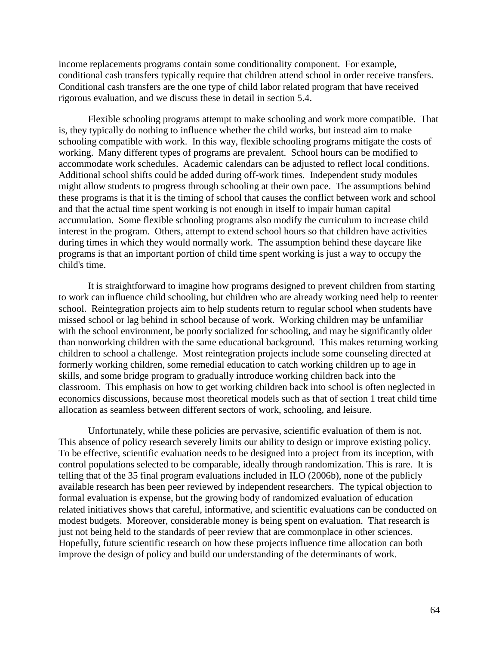income replacements programs contain some conditionality component. For example, conditional cash transfers typically require that children attend school in order receive transfers. Conditional cash transfers are the one type of child labor related program that have received rigorous evaluation, and we discuss these in detail in section 5.4.

Flexible schooling programs attempt to make schooling and work more compatible. That is, they typically do nothing to influence whether the child works, but instead aim to make schooling compatible with work. In this way, flexible schooling programs mitigate the costs of working. Many different types of programs are prevalent. School hours can be modified to accommodate work schedules. Academic calendars can be adjusted to reflect local conditions. Additional school shifts could be added during off-work times. Independent study modules might allow students to progress through schooling at their own pace. The assumptions behind these programs is that it is the timing of school that causes the conflict between work and school and that the actual time spent working is not enough in itself to impair human capital accumulation. Some flexible schooling programs also modify the curriculum to increase child interest in the program. Others, attempt to extend school hours so that children have activities during times in which they would normally work. The assumption behind these daycare like programs is that an important portion of child time spent working is just a way to occupy the child's time.

It is straightforward to imagine how programs designed to prevent children from starting to work can influence child schooling, but children who are already working need help to reenter school. Reintegration projects aim to help students return to regular school when students have missed school or lag behind in school because of work. Working children may be unfamiliar with the school environment, be poorly socialized for schooling, and may be significantly older than nonworking children with the same educational background. This makes returning working children to school a challenge. Most reintegration projects include some counseling directed at formerly working children, some remedial education to catch working children up to age in skills, and some bridge program to gradually introduce working children back into the classroom. This emphasis on how to get working children back into school is often neglected in economics discussions, because most theoretical models such as that of section 1 treat child time allocation as seamless between different sectors of work, schooling, and leisure.

Unfortunately, while these policies are pervasive, scientific evaluation of them is not. This absence of policy research severely limits our ability to design or improve existing policy. To be effective, scientific evaluation needs to be designed into a project from its inception, with control populations selected to be comparable, ideally through randomization. This is rare. It is telling that of the 35 final program evaluations included in ILO (2006b), none of the publicly available research has been peer reviewed by independent researchers. The typical objection to formal evaluation is expense, but the growing body of randomized evaluation of education related initiatives shows that careful, informative, and scientific evaluations can be conducted on modest budgets. Moreover, considerable money is being spent on evaluation. That research is just not being held to the standards of peer review that are commonplace in other sciences. Hopefully, future scientific research on how these projects influence time allocation can both improve the design of policy and build our understanding of the determinants of work.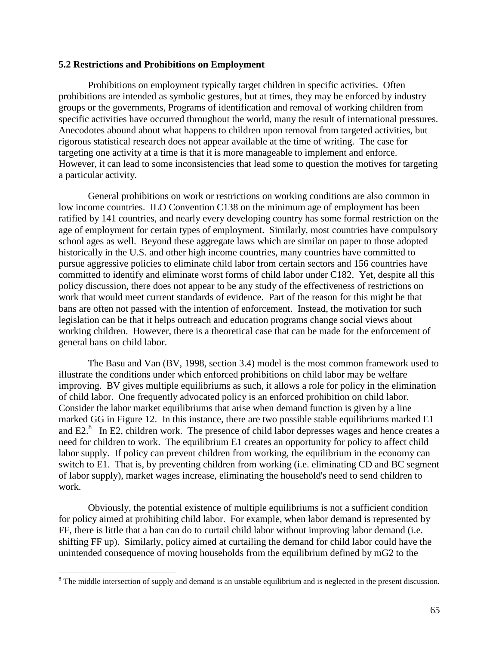# **5.2 Restrictions and Prohibitions on Employment**

Prohibitions on employment typically target children in specific activities. Often prohibitions are intended as symbolic gestures, but at times, they may be enforced by industry groups or the governments, Programs of identification and removal of working children from specific activities have occurred throughout the world, many the result of international pressures. Anecodotes abound about what happens to children upon removal from targeted activities, but rigorous statistical research does not appear available at the time of writing. The case for targeting one activity at a time is that it is more manageable to implement and enforce. However, it can lead to some inconsistencies that lead some to question the motives for targeting a particular activity.

General prohibitions on work or restrictions on working conditions are also common in low income countries. ILO Convention C138 on the minimum age of employment has been ratified by 141 countries, and nearly every developing country has some formal restriction on the age of employment for certain types of employment. Similarly, most countries have compulsory school ages as well. Beyond these aggregate laws which are similar on paper to those adopted historically in the U.S. and other high income countries, many countries have committed to pursue aggressive policies to eliminate child labor from certain sectors and 156 countries have committed to identify and eliminate worst forms of child labor under C182. Yet, despite all this policy discussion, there does not appear to be any study of the effectiveness of restrictions on work that would meet current standards of evidence. Part of the reason for this might be that bans are often not passed with the intention of enforcement. Instead, the motivation for such legislation can be that it helps outreach and education programs change social views about working children. However, there is a theoretical case that can be made for the enforcement of general bans on child labor.

The Basu and Van (BV, 1998, section 3.4) model is the most common framework used to illustrate the conditions under which enforced prohibitions on child labor may be welfare improving. BV gives multiple equilibriums as such, it allows a role for policy in the elimination of child labor. One frequently advocated policy is an enforced prohibition on child labor. Consider the labor market equilibriums that arise when demand function is given by a line marked GG in Figure 12. In this instance, there are two possible stable equilibriums marked E1 and  $E2^8$  In E2, children work. The presence of child labor depresses wages and hence creates a need for children to work. The equilibrium E1 creates an opportunity for policy to affect child labor supply. If policy can prevent children from working, the equilibrium in the economy can switch to E1. That is, by preventing children from working (i.e. eliminating CD and BC segment of labor supply), market wages increase, eliminating the household's need to send children to work.

Obviously, the potential existence of multiple equilibriums is not a sufficient condition for policy aimed at prohibiting child labor. For example, when labor demand is represented by FF, there is little that a ban can do to curtail child labor without improving labor demand (i.e. shifting FF up). Similarly, policy aimed at curtailing the demand for child labor could have the unintended consequence of moving households from the equilibrium defined by mG2 to the

<sup>&</sup>lt;sup>8</sup> The middle intersection of supply and demand is an unstable equilibrium and is neglected in the present discussion.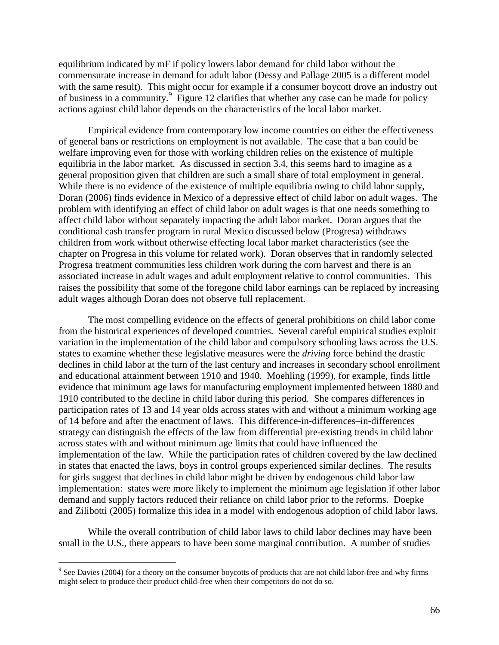equilibrium indicated by mF if policy lowers labor demand for child labor without the commensurate increase in demand for adult labor (Dessy and Pallage 2005 is a different model with the same result). This might occur for example if a consumer boycott drove an industry out of business in a community.<sup>9</sup> Figure 12 clarifies that whether any case can be made for policy actions against child labor depends on the characteristics of the local labor market.

Empirical evidence from contemporary low income countries on either the effectiveness of general bans or restrictions on employment is not available. The case that a ban could be welfare improving even for those with working children relies on the existence of multiple equilibria in the labor market. As discussed in section 3.4, this seems hard to imagine as a general proposition given that children are such a small share of total employment in general. While there is no evidence of the existence of multiple equilibria owing to child labor supply, Doran (2006) finds evidence in Mexico of a depressive effect of child labor on adult wages. The problem with identifying an effect of child labor on adult wages is that one needs something to affect child labor without separately impacting the adult labor market. Doran argues that the conditional cash transfer program in rural Mexico discussed below (Progresa) withdraws children from work without otherwise effecting local labor market characteristics (see the chapter on Progresa in this volume for related work). Doran observes that in randomly selected Progresa treatment communities less children work during the corn harvest and there is an associated increase in adult wages and adult employment relative to control communities. This raises the possibility that some of the foregone child labor earnings can be replaced by increasing adult wages although Doran does not observe full replacement.

The most compelling evidence on the effects of general prohibitions on child labor come from the historical experiences of developed countries. Several careful empirical studies exploit variation in the implementation of the child labor and compulsory schooling laws across the U.S. states to examine whether these legislative measures were the *driving* force behind the drastic declines in child labor at the turn of the last century and increases in secondary school enrollment and educational attainment between 1910 and 1940. Moehling (1999), for example, finds little evidence that minimum age laws for manufacturing employment implemented between 1880 and 1910 contributed to the decline in child labor during this period. She compares differences in participation rates of 13 and 14 year olds across states with and without a minimum working age of 14 before and after the enactment of laws. This difference-in-differences–in-differences strategy can distinguish the effects of the law from differential pre-existing trends in child labor across states with and without minimum age limits that could have influenced the implementation of the law. While the participation rates of children covered by the law declined in states that enacted the laws, boys in control groups experienced similar declines. The results for girls suggest that declines in child labor might be driven by endogenous child labor law implementation: states were more likely to implement the minimum age legislation if other labor demand and supply factors reduced their reliance on child labor prior to the reforms. Doepke and Zilibotti (2005) formalize this idea in a model with endogenous adoption of child labor laws.

While the overall contribution of child labor laws to child labor declines may have been small in the U.S., there appears to have been some marginal contribution. A number of studies

 $9^9$  See Davies (2004) for a theory on the consumer boycotts of products that are not child labor-free and why firms might select to produce their product child-free when their competitors do not do so.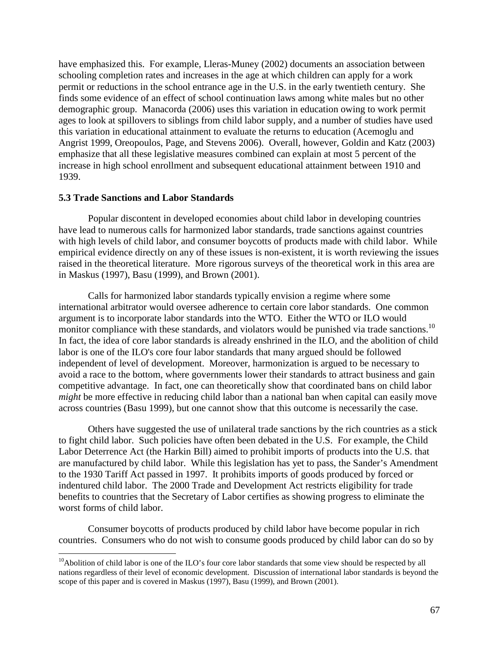have emphasized this. For example, Lleras-Muney (2002) documents an association between schooling completion rates and increases in the age at which children can apply for a work permit or reductions in the school entrance age in the U.S. in the early twentieth century. She finds some evidence of an effect of school continuation laws among white males but no other demographic group. Manacorda (2006) uses this variation in education owing to work permit ages to look at spillovers to siblings from child labor supply, and a number of studies have used this variation in educational attainment to evaluate the returns to education (Acemoglu and Angrist 1999, Oreopoulos, Page, and Stevens 2006). Overall, however, Goldin and Katz (2003) emphasize that all these legislative measures combined can explain at most 5 percent of the increase in high school enrollment and subsequent educational attainment between 1910 and 1939.

## **5.3 Trade Sanctions and Labor Standards**

Popular discontent in developed economies about child labor in developing countries have lead to numerous calls for harmonized labor standards, trade sanctions against countries with high levels of child labor, and consumer boycotts of products made with child labor. While empirical evidence directly on any of these issues is non-existent, it is worth reviewing the issues raised in the theoretical literature. More rigorous surveys of the theoretical work in this area are in Maskus (1997), Basu (1999), and Brown (2001).

Calls for harmonized labor standards typically envision a regime where some international arbitrator would oversee adherence to certain core labor standards. One common argument is to incorporate labor standards into the WTO. Either the WTO or ILO would monitor compliance with these standards, and violators would be punished via trade sanctions.<sup>10</sup> In fact, the idea of core labor standards is already enshrined in the ILO, and the abolition of child labor is one of the ILO's core four labor standards that many argued should be followed independent of level of development. Moreover, harmonization is argued to be necessary to avoid a race to the bottom, where governments lower their standards to attract business and gain competitive advantage. In fact, one can theoretically show that coordinated bans on child labor *might* be more effective in reducing child labor than a national ban when capital can easily move across countries (Basu 1999), but one cannot show that this outcome is necessarily the case.

Others have suggested the use of unilateral trade sanctions by the rich countries as a stick to fight child labor. Such policies have often been debated in the U.S. For example, the Child Labor Deterrence Act (the Harkin Bill) aimed to prohibit imports of products into the U.S. that are manufactured by child labor. While this legislation has yet to pass, the Sander's Amendment to the 1930 Tariff Act passed in 1997. It prohibits imports of goods produced by forced or indentured child labor. The 2000 Trade and Development Act restricts eligibility for trade benefits to countries that the Secretary of Labor certifies as showing progress to eliminate the worst forms of child labor.

Consumer boycotts of products produced by child labor have become popular in rich countries. Consumers who do not wish to consume goods produced by child labor can do so by

<sup>&</sup>lt;sup>10</sup>Abolition of child labor is one of the ILO's four core labor standards that some view should be respected by all nations regardless of their level of economic development. Discussion of international labor standards is beyond the scope of this paper and is covered in Maskus (1997), Basu (1999), and Brown (2001).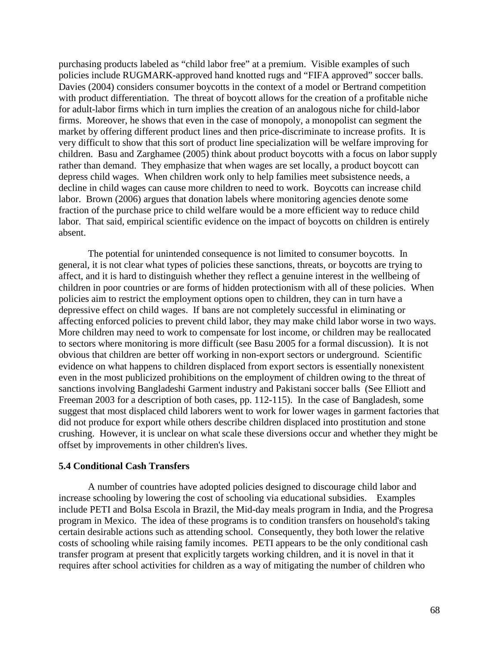purchasing products labeled as "child labor free" at a premium. Visible examples of such policies include RUGMARK-approved hand knotted rugs and "FIFA approved" soccer balls. Davies (2004) considers consumer boycotts in the context of a model or Bertrand competition with product differentiation. The threat of boycott allows for the creation of a profitable niche for adult-labor firms which in turn implies the creation of an analogous niche for child-labor firms. Moreover, he shows that even in the case of monopoly, a monopolist can segment the market by offering different product lines and then price-discriminate to increase profits. It is very difficult to show that this sort of product line specialization will be welfare improving for children. Basu and Zarghamee (2005) think about product boycotts with a focus on labor supply rather than demand. They emphasize that when wages are set locally, a product boycott can depress child wages. When children work only to help families meet subsistence needs, a decline in child wages can cause more children to need to work. Boycotts can increase child labor. Brown (2006) argues that donation labels where monitoring agencies denote some fraction of the purchase price to child welfare would be a more efficient way to reduce child labor. That said, empirical scientific evidence on the impact of boycotts on children is entirely absent.

The potential for unintended consequence is not limited to consumer boycotts. In general, it is not clear what types of policies these sanctions, threats, or boycotts are trying to affect, and it is hard to distinguish whether they reflect a genuine interest in the wellbeing of children in poor countries or are forms of hidden protectionism with all of these policies. When policies aim to restrict the employment options open to children, they can in turn have a depressive effect on child wages. If bans are not completely successful in eliminating or affecting enforced policies to prevent child labor, they may make child labor worse in two ways. More children may need to work to compensate for lost income, or children may be reallocated to sectors where monitoring is more difficult (see Basu 2005 for a formal discussion). It is not obvious that children are better off working in non-export sectors or underground. Scientific evidence on what happens to children displaced from export sectors is essentially nonexistent even in the most publicized prohibitions on the employment of children owing to the threat of sanctions involving Bangladeshi Garment industry and Pakistani soccer balls (See Elliott and Freeman 2003 for a description of both cases, pp. 112-115). In the case of Bangladesh, some suggest that most displaced child laborers went to work for lower wages in garment factories that did not produce for export while others describe children displaced into prostitution and stone crushing. However, it is unclear on what scale these diversions occur and whether they might be offset by improvements in other children's lives.

# **5.4 Conditional Cash Transfers**

A number of countries have adopted policies designed to discourage child labor and increase schooling by lowering the cost of schooling via educational subsidies. Examples include PETI and Bolsa Escola in Brazil, the Mid-day meals program in India, and the Progresa program in Mexico. The idea of these programs is to condition transfers on household's taking certain desirable actions such as attending school. Consequently, they both lower the relative costs of schooling while raising family incomes. PETI appears to be the only conditional cash transfer program at present that explicitly targets working children, and it is novel in that it requires after school activities for children as a way of mitigating the number of children who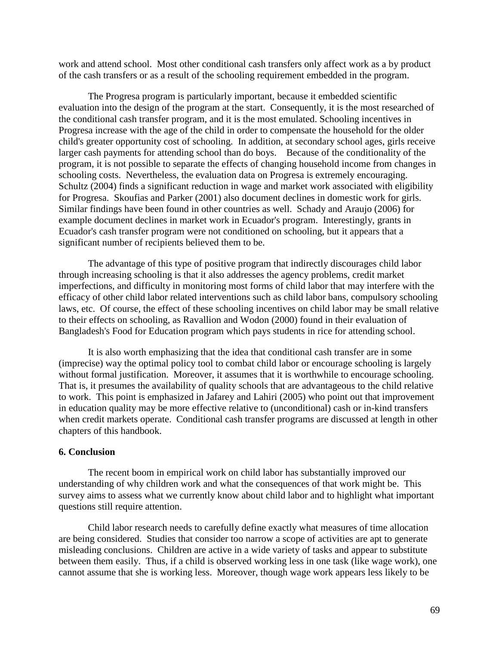work and attend school. Most other conditional cash transfers only affect work as a by product of the cash transfers or as a result of the schooling requirement embedded in the program.

The Progresa program is particularly important, because it embedded scientific evaluation into the design of the program at the start. Consequently, it is the most researched of the conditional cash transfer program, and it is the most emulated. Schooling incentives in Progresa increase with the age of the child in order to compensate the household for the older child's greater opportunity cost of schooling. In addition, at secondary school ages, girls receive larger cash payments for attending school than do boys. Because of the conditionality of the program, it is not possible to separate the effects of changing household income from changes in schooling costs. Nevertheless, the evaluation data on Progresa is extremely encouraging. Schultz (2004) finds a significant reduction in wage and market work associated with eligibility for Progresa. Skoufias and Parker (2001) also document declines in domestic work for girls. Similar findings have been found in other countries as well. Schady and Araujo (2006) for example document declines in market work in Ecuador's program. Interestingly, grants in Ecuador's cash transfer program were not conditioned on schooling, but it appears that a significant number of recipients believed them to be.

The advantage of this type of positive program that indirectly discourages child labor through increasing schooling is that it also addresses the agency problems, credit market imperfections, and difficulty in monitoring most forms of child labor that may interfere with the efficacy of other child labor related interventions such as child labor bans, compulsory schooling laws, etc. Of course, the effect of these schooling incentives on child labor may be small relative to their effects on schooling, as Ravallion and Wodon (2000) found in their evaluation of Bangladesh's Food for Education program which pays students in rice for attending school.

It is also worth emphasizing that the idea that conditional cash transfer are in some (imprecise) way the optimal policy tool to combat child labor or encourage schooling is largely without formal justification. Moreover, it assumes that it is worthwhile to encourage schooling. That is, it presumes the availability of quality schools that are advantageous to the child relative to work. This point is emphasized in Jafarey and Lahiri (2005) who point out that improvement in education quality may be more effective relative to (unconditional) cash or in-kind transfers when credit markets operate. Conditional cash transfer programs are discussed at length in other chapters of this handbook.

### **6. Conclusion**

The recent boom in empirical work on child labor has substantially improved our understanding of why children work and what the consequences of that work might be. This survey aims to assess what we currently know about child labor and to highlight what important questions still require attention.

Child labor research needs to carefully define exactly what measures of time allocation are being considered. Studies that consider too narrow a scope of activities are apt to generate misleading conclusions. Children are active in a wide variety of tasks and appear to substitute between them easily. Thus, if a child is observed working less in one task (like wage work), one cannot assume that she is working less. Moreover, though wage work appears less likely to be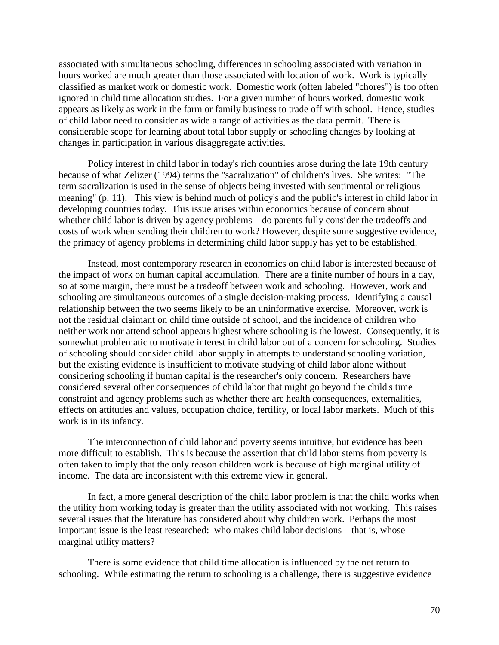associated with simultaneous schooling, differences in schooling associated with variation in hours worked are much greater than those associated with location of work. Work is typically classified as market work or domestic work. Domestic work (often labeled "chores") is too often ignored in child time allocation studies. For a given number of hours worked, domestic work appears as likely as work in the farm or family business to trade off with school. Hence, studies of child labor need to consider as wide a range of activities as the data permit. There is considerable scope for learning about total labor supply or schooling changes by looking at changes in participation in various disaggregate activities.

Policy interest in child labor in today's rich countries arose during the late 19th century because of what Zelizer (1994) terms the "sacralization" of children's lives. She writes: "The term sacralization is used in the sense of objects being invested with sentimental or religious meaning" (p. 11). This view is behind much of policy's and the public's interest in child labor in developing countries today. This issue arises within economics because of concern about whether child labor is driven by agency problems  $-$  do parents fully consider the tradeoffs and costs of work when sending their children to work? However, despite some suggestive evidence, the primacy of agency problems in determining child labor supply has yet to be established.

Instead, most contemporary research in economics on child labor is interested because of the impact of work on human capital accumulation. There are a finite number of hours in a day, so at some margin, there must be a tradeoff between work and schooling. However, work and schooling are simultaneous outcomes of a single decision-making process. Identifying a causal relationship between the two seems likely to be an uninformative exercise. Moreover, work is not the residual claimant on child time outside of school, and the incidence of children who neither work nor attend school appears highest where schooling is the lowest. Consequently, it is somewhat problematic to motivate interest in child labor out of a concern for schooling. Studies of schooling should consider child labor supply in attempts to understand schooling variation, but the existing evidence is insufficient to motivate studying of child labor alone without considering schooling if human capital is the researcher's only concern. Researchers have considered several other consequences of child labor that might go beyond the child's time constraint and agency problems such as whether there are health consequences, externalities, effects on attitudes and values, occupation choice, fertility, or local labor markets. Much of this work is in its infancy.

The interconnection of child labor and poverty seems intuitive, but evidence has been more difficult to establish. This is because the assertion that child labor stems from poverty is often taken to imply that the only reason children work is because of high marginal utility of income. The data are inconsistent with this extreme view in general.

In fact, a more general description of the child labor problem is that the child works when the utility from working today is greater than the utility associated with not working. This raises several issues that the literature has considered about why children work. Perhaps the most important issue is the least researched: who makes child labor decisions – that is, whose marginal utility matters?

There is some evidence that child time allocation is influenced by the net return to schooling. While estimating the return to schooling is a challenge, there is suggestive evidence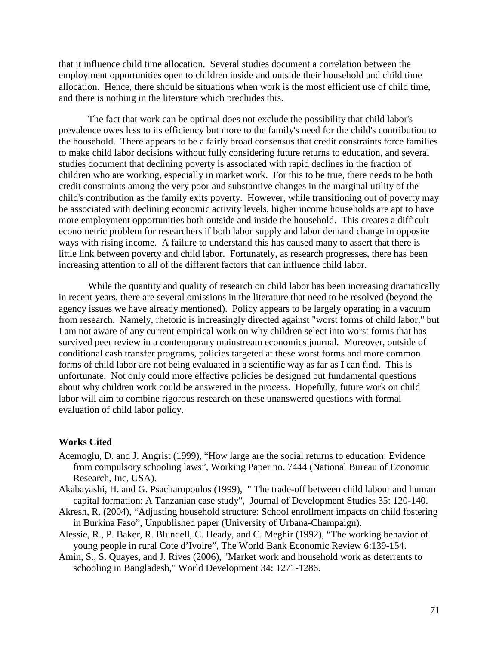that it influence child time allocation. Several studies document a correlation between the employment opportunities open to children inside and outside their household and child time allocation. Hence, there should be situations when work is the most efficient use of child time, and there is nothing in the literature which precludes this.

The fact that work can be optimal does not exclude the possibility that child labor's prevalence owes less to its efficiency but more to the family's need for the child's contribution to the household. There appears to be a fairly broad consensus that credit constraints force families to make child labor decisions without fully considering future returns to education, and several studies document that declining poverty is associated with rapid declines in the fraction of children who are working, especially in market work. For this to be true, there needs to be both credit constraints among the very poor and substantive changes in the marginal utility of the child's contribution as the family exits poverty. However, while transitioning out of poverty may be associated with declining economic activity levels, higher income households are apt to have more employment opportunities both outside and inside the household. This creates a difficult econometric problem for researchers if both labor supply and labor demand change in opposite ways with rising income. A failure to understand this has caused many to assert that there is little link between poverty and child labor. Fortunately, as research progresses, there has been increasing attention to all of the different factors that can influence child labor.

While the quantity and quality of research on child labor has been increasing dramatically in recent years, there are several omissions in the literature that need to be resolved (beyond the agency issues we have already mentioned). Policy appears to be largely operating in a vacuum from research. Namely, rhetoric is increasingly directed against "worst forms of child labor," but I am not aware of any current empirical work on why children select into worst forms that has survived peer review in a contemporary mainstream economics journal. Moreover, outside of conditional cash transfer programs, policies targeted at these worst forms and more common forms of child labor are not being evaluated in a scientific way as far as I can find. This is unfortunate. Not only could more effective policies be designed but fundamental questions about why children work could be answered in the process. Hopefully, future work on child labor will aim to combine rigorous research on these unanswered questions with formal evaluation of child labor policy.

## **Works Cited**

- Acemoglu, D. and J. Angrist (1999), "How large are the social returns to education: Evidence from compulsory schooling laws", Working Paper no. 7444 (National Bureau of Economic Research, Inc, USA).
- Akabayashi, H. and G. Psacharopoulos (1999), " The trade-off between child labour and human capital formation: A Tanzanian case study", Journal of Development Studies 35: 120-140.
- Akresh, R. (2004), "Adjusting household structure: School enrollment impacts on child fostering in Burkina Faso", Unpublished paper (University of Urbana-Champaign).
- Alessie, R., P. Baker, R. Blundell, C. Heady, and C. Meghir (1992), "The working behavior of young people in rural Cote d'Ivoire", The World Bank Economic Review 6:139-154.
- Amin, S., S. Quayes, and J. Rives (2006), "Market work and household work as deterrents to schooling in Bangladesh," World Development 34: 1271-1286.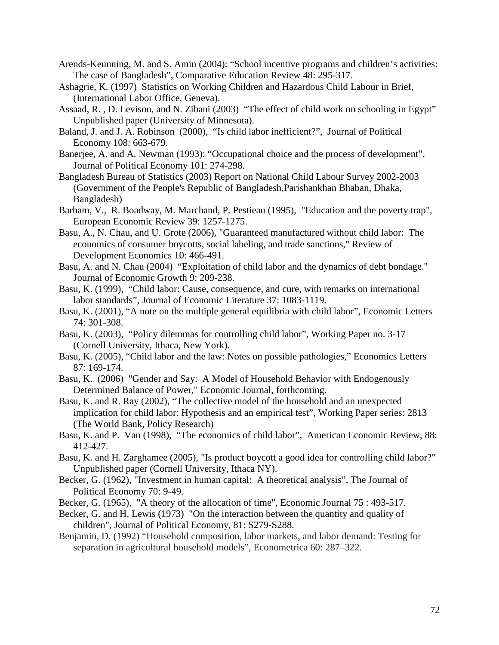- Arends-Keunning, M. and S. Amin (2004): "School incentive programs and children's activities: The case of Bangladesh", Comparative Education Review 48: 295-317.
- Ashagrie, K. (1997) Statistics on Working Children and Hazardous Child Labour in Brief, (International Labor Office, Geneva).
- Assaad, R. , D. Levison, and N. Zibani (2003) "The effect of child work on schooling in Egypt" Unpublished paper (University of Minnesota).
- Baland, J. and J. A. Robinson (2000), "Is child labor inefficient?", Journal of Political Economy 108: 663-679.
- Banerjee, A. and A. Newman (1993): "Occupational choice and the process of development", Journal of Political Economy 101: 274-298.
- Bangladesh Bureau of Statistics (2003) Report on National Child Labour Survey 2002-2003 (Government of the People's Republic of Bangladesh,Parishankhan Bhaban, Dhaka, Bangladesh)
- Barham, V., R. Boadway, M. Marchand, P. Pestieau (1995), "Education and the poverty trap", European Economic Review 39: 1257-1275.
- Basu, A., N. Chau, and U. Grote (2006), "Guaranteed manufactured without child labor: The economics of consumer boycotts, social labeling, and trade sanctions," Review of Development Economics 10: 466-491.
- Basu, A. and N. Chau (2004) "Exploitation of child labor and the dynamics of debt bondage.'' Journal of Economic Growth 9: 209-238.
- Basu, K. (1999), "Child labor: Cause, consequence, and cure, with remarks on international labor standards", Journal of Economic Literature 37: 1083-1119.
- Basu, K. (2001), "A note on the multiple general equilibria with child labor", Economic Letters 74: 301-308.
- Basu, K. (2003), "Policy dilemmas for controlling child labor", Working Paper no. 3-17 (Cornell University, Ithaca, New York).
- Basu, K. (2005), "Child labor and the law: Notes on possible pathologies,"Economics Letters 87: 169-174.
- Basu, K. (2006) "Gender and Say: A Model of Household Behavior with Endogenously Determined Balance of Power," Economic Journal, forthcoming.
- Basu, K. and R. Ray (2002), "The collective model of the household and an unexpected implication for child labor: Hypothesis and an empirical test", Working Paper series: 2813 (The World Bank, Policy Research)
- Basu, K. and P. Van (1998), "The economics of child labor", American Economic Review, 88: 412-427.
- Basu, K. and H. Zarghamee (2005), "Is product boycott a good idea for controlling child labor?" Unpublished paper (Cornell University, Ithaca NY).
- Becker, G. (1962), "Investment in human capital: A theoretical analysis", The Journal of Political Economy 70: 9-49.
- Becker, G. (1965), "A theory of the allocation of time", Economic Journal 75 : 493-517.
- Becker, G. and H. Lewis (1973) "On the interaction between the quantity and quality of children", Journal of Political Economy, 81: S279-S288.
- Benjamin, D. (1992) "Household composition, labor markets, and labor demand: Testing for separation in agricultural household models", Econometrica 60: 287–322.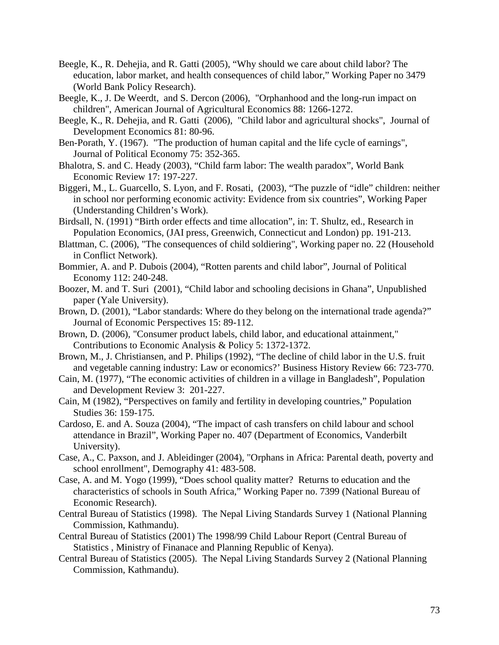- Beegle, K., R. Dehejia, and R. Gatti (2005), "Why should we care about child labor? The education, labor market, and health consequences of child labor,"Working Paper no 3479 (World Bank Policy Research).
- Beegle, K., J. De Weerdt, and S. Dercon (2006), "Orphanhood and the long-run impact on children", American Journal of Agricultural Economics 88: 1266-1272.
- Beegle, K., R. Dehejia, and R. Gatti (2006), "Child labor and agricultural shocks", Journal of Development Economics 81: 80-96.
- Ben-Porath, Y. (1967). "The production of human capital and the life cycle of earnings", Journal of Political Economy 75: 352-365.
- Bhalotra, S. and C. Heady (2003), "Child farm labor: The wealth paradox", World Bank Economic Review 17: 197-227.
- Biggeri, M., L. Guarcello, S. Lyon, and F. Rosati, (2003), "The puzzle of "idle" children: neither in school nor performing economic activity: Evidence from six countries", Working Paper (Understanding Children's Work).
- Birdsall, N. (1991) "Birth order effects and time allocation", in: T. Shultz, ed., Research in Population Economics, (JAI press, Greenwich, Connecticut and London) pp. 191-213.
- Blattman, C. (2006), "The consequences of child soldiering", Working paper no. 22 (Household in Conflict Network).
- Bommier, A. and P. Dubois (2004), "Rotten parents and child labor", Journal of Political Economy 112: 240-248.
- Boozer, M. and T. Suri (2001), "Child labor and schooling decisions in Ghana", Unpublished paper (Yale University).
- Brown, D. (2001), "Labor standards: Where do they belong on the international trade agenda?" Journal of Economic Perspectives 15: 89-112.
- Brown, D. (2006), "Consumer product labels, child labor, and educational attainment," Contributions to Economic Analysis & Policy 5: 1372-1372.
- Brown, M., J. Christiansen, and P. Philips (1992), "The decline of child labor in the U.S. fruit and vegetable canning industry: Law or economics?'Business History Review 66: 723-770.
- Cain, M. (1977), "The economic activities of children in a village in Bangladesh", Population and Development Review 3: 201-227.
- Cain, M (1982), "Perspectives on family and fertility in developing countries,"Population Studies 36: 159-175.
- Cardoso, E. and A. Souza (2004), "The impact of cash transfers on child labour and school attendance in Brazil", Working Paper no. 407 (Department of Economics, Vanderbilt University).
- Case, A., C. Paxson, and J. Ableidinger (2004), "Orphans in Africa: Parental death, poverty and school enrollment", Demography 41: 483-508.
- Case, A. and M. Yogo (1999), "Does school quality matter? Returns to education and the characteristics of schools in South Africa,"Working Paper no. 7399 (National Bureau of Economic Research).
- Central Bureau of Statistics (1998). The Nepal Living Standards Survey 1 (National Planning Commission, Kathmandu).
- Central Bureau of Statistics (2001) The 1998/99 Child Labour Report (Central Bureau of Statistics , Ministry of Finanace and Planning Republic of Kenya).
- Central Bureau of Statistics (2005). The Nepal Living Standards Survey 2 (National Planning Commission, Kathmandu).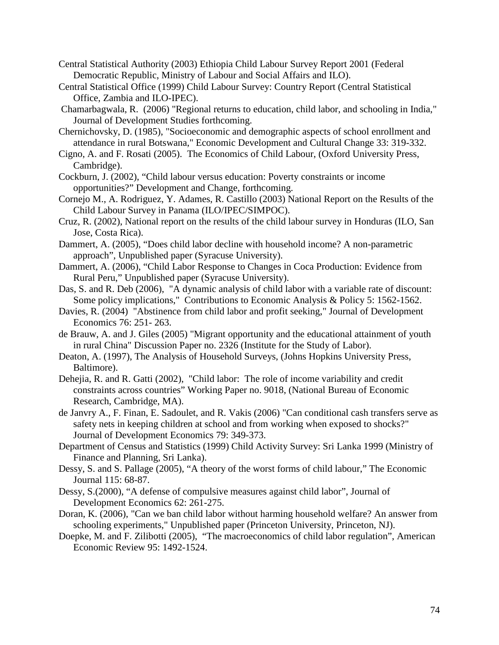- Central Statistical Authority (2003) Ethiopia Child Labour Survey Report 2001 (Federal Democratic Republic, Ministry of Labour and Social Affairs and ILO).
- Central Statistical Office (1999) Child Labour Survey: Country Report (Central Statistical Office, Zambia and ILO-IPEC).
- Chamarbagwala, R. (2006) "Regional returns to education, child labor, and schooling in India," Journal of Development Studies forthcoming.
- Chernichovsky, D. (1985), "Socioeconomic and demographic aspects of school enrollment and attendance in rural Botswana," Economic Development and Cultural Change 33: 319-332.
- Cigno, A. and F. Rosati (2005). The Economics of Child Labour, (Oxford University Press, Cambridge).
- Cockburn, J. (2002), "Child labour versus education: Poverty constraints or income opportunities?"Development and Change, forthcoming.
- Cornejo M., A. Rodriguez, Y. Adames, R. Castillo (2003) National Report on the Results of the Child Labour Survey in Panama (ILO/IPEC/SIMPOC).
- Cruz, R. (2002), National report on the results of the child labour survey in Honduras (ILO, San Jose, Costa Rica).
- Dammert, A. (2005), "Does child labor decline with household income? A non-parametric approach", Unpublished paper (Syracuse University).
- Dammert, A. (2006), "Child Labor Response to Changes in Coca Production: Evidence from Rural Peru,"Unpublished paper (Syracuse University).
- Das, S. and R. Deb (2006), "A dynamic analysis of child labor with a variable rate of discount: Some policy implications," Contributions to Economic Analysis & Policy 5: 1562-1562.
- Davies, R. (2004) "Abstinence from child labor and profit seeking," Journal of Development Economics 76: 251- 263.
- de Brauw, A. and J. Giles (2005) "Migrant opportunity and the educational attainment of youth in rural China" Discussion Paper no. 2326 (Institute for the Study of Labor).
- Deaton, A. (1997), The Analysis of Household Surveys, (Johns Hopkins University Press, Baltimore).
- Dehejia, R. and R. Gatti (2002), "Child labor: The role of income variability and credit constraints across countries"Working Paper no. 9018, (National Bureau of Economic Research, Cambridge, MA).
- de Janvry A., F. Finan, E. Sadoulet, and R. Vakis (2006) "Can conditional cash transfers serve as safety nets in keeping children at school and from working when exposed to shocks?" Journal of Development Economics 79: 349-373.
- Department of Census and Statistics (1999) Child Activity Survey: Sri Lanka 1999 (Ministry of Finance and Planning, Sri Lanka).
- Dessy, S. and S. Pallage (2005), "A theory of the worst forms of child labour,"The Economic Journal 115: 68-87.
- Dessy, S.(2000), "A defense of compulsive measures against child labor", Journal of Development Economics 62: 261-275.
- Doran, K. (2006), "Can we ban child labor without harming household welfare? An answer from schooling experiments," Unpublished paper (Princeton University, Princeton, NJ).
- Doepke, M. and F. Zilibotti (2005), "The macroeconomics of child labor regulation", American Economic Review 95: 1492-1524.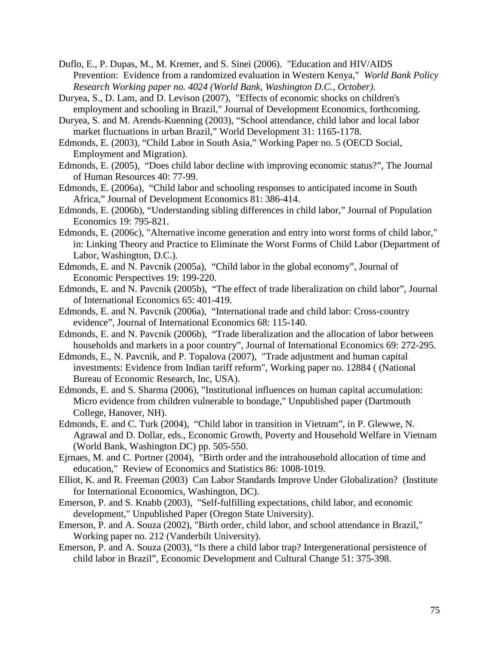- Duflo, E., P. Dupas, M., M. Kremer, and S. Sinei (2006). "Education and HIV/AIDS Prevention: Evidence from a randomized evaluation in Western Kenya," *World Bank Policy Research Working paper no. 4024 (World Bank, Washington D.C., October)*.
- Duryea, S., D. Lam, and D. Levison (2007), "Effects of economic shocks on children's employment and schooling in Brazil," Journal of Development Economics, forthcoming.
- Duryea, S. and M. Arends-Kuenning (2003), "School attendance, child labor and local labor market fluctuations in urban Brazil,"World Development 31: 1165-1178.
- Edmonds, E. (2003), "Child Labor in South Asia,"Working Paper no. 5 (OECD Social, Employment and Migration).
- Edmonds, E. (2005), "Does child labor decline with improving economic status?", The Journal of Human Resources 40: 77-99.
- Edmonds, E. (2006a), "Child labor and schooling responses to anticipated income in South Africa,"Journal of Development Economics 81: 386-414.
- Edmonds, E. (2006b), "Understanding sibling differences in child labor,"Journal of Population Economics 19: 795-821.
- Edmonds, E. (2006c), "Alternative income generation and entry into worst forms of child labor," in: Linking Theory and Practice to Eliminate the Worst Forms of Child Labor (Department of Labor, Washington, D.C.).
- Edmonds, E. and N. Pavcnik (2005a), "Child labor in the global economy", Journal of Economic Perspectives 19: 199-220.
- Edmonds, E. and N. Pavcnik (2005b), "The effect of trade liberalization on child labor", Journal of International Economics 65: 401-419.
- Edmonds, E. and N. Pavcnik (2006a), "International trade and child labor: Cross-country evidence", Journal of International Economics 68: 115-140.
- Edmonds, E. and N. Pavcnik (2006b), "Trade liberalization and the allocation of labor between households and markets in a poor country", Journal of International Economics 69: 272-295.
- Edmonds, E., N. Pavcnik, and P. Topalova (2007), "Trade adjustment and human capital investments: Evidence from Indian tariff reform", Working paper no. 12884 ( (National Bureau of Economic Research, Inc, USA).
- Edmonds, E. and S. Sharma (2006), "Institutional influences on human capital accumulation: Micro evidence from children vulnerable to bondage," Unpublished paper (Dartmouth College, Hanover, NH).
- Edmonds, E. and C. Turk (2004), "Child labor in transition in Vietnam", in P. Glewwe, N. Agrawal and D. Dollar, eds., Economic Growth, Poverty and Household Welfare in Vietnam (World Bank, Washington DC) pp. 505-550.
- Ejrnaes, M. and C. Portner (2004), "Birth order and the intrahousehold allocation of time and education," Review of Economics and Statistics 86: 1008-1019.
- Elliot, K. and R. Freeman (2003) Can Labor Standards Improve Under Globalization? (Institute for International Economics, Washington, DC).
- Emerson, P. and S. Knabb (2003), "Self-fulfilling expectations, child labor, and economic development," Unpublished Paper (Oregon State University).
- Emerson, P. and A. Souza (2002), "Birth order, child labor, and school attendance in Brazil," Working paper no. 212 (Vanderbilt University).
- Emerson, P. and A. Souza (2003), "Is there a child labor trap? Intergenerational persistence of child labor in Brazil", Economic Development and Cultural Change 51: 375-398.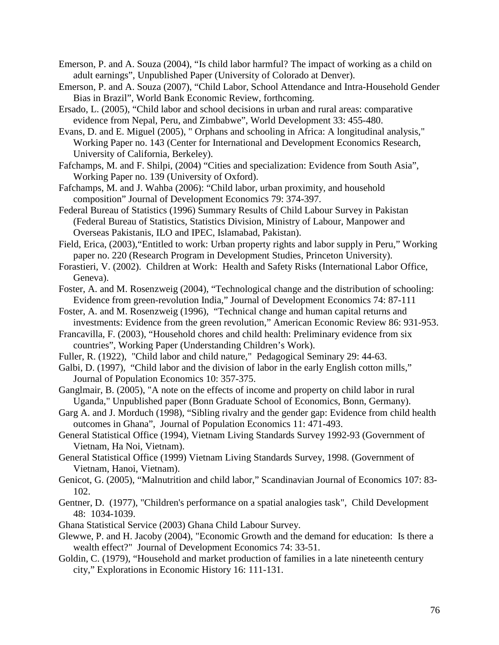- Emerson, P. and A. Souza (2004), "Is child labor harmful? The impact of working as a child on adult earnings", Unpublished Paper (University of Colorado at Denver).
- Emerson, P. and A. Souza (2007), "Child Labor, School Attendance and Intra-Household Gender Bias in Brazil", World Bank Economic Review, forthcoming.
- Ersado, L. (2005), "Child labor and school decisions in urban and rural areas: comparative evidence from Nepal, Peru, and Zimbabwe", World Development 33: 455-480.
- Evans, D. and E. Miguel (2005), " Orphans and schooling in Africa: A longitudinal analysis," Working Paper no. 143 (Center for International and Development Economics Research, University of California, Berkeley).
- Fafchamps, M. and F. Shilpi, (2004) "Cities and specialization: Evidence from South Asia", Working Paper no. 139 (University of Oxford).
- Fafchamps, M. and J. Wahba (2006): "Child labor, urban proximity, and household composition"Journal of Development Economics 79: 374-397.
- Federal Bureau of Statistics (1996) Summary Results of Child Labour Survey in Pakistan (Federal Bureau of Statistics, Statistics Division, Ministry of Labour, Manpower and Overseas Pakistanis, ILO and IPEC, Islamabad, Pakistan).
- Field, Erica, (2003), "Entitled to work: Urban property rights and labor supply in Peru," Working paper no. 220 (Research Program in Development Studies, Princeton University).
- Forastieri, V. (2002). Children at Work: Health and Safety Risks (International Labor Office, Geneva).
- Foster, A. and M. Rosenzweig (2004), "Technological change and the distribution of schooling: Evidence from green-revolution India,"Journal of Development Economics 74: 87-111
- Foster, A. and M. Rosenzweig (1996), "Technical change and human capital returns and investments: Evidence from the green revolution,"American Economic Review 86: 931-953.
- Francavilla, F. (2003), "Household chores and child health: Preliminary evidence from six countries", Working Paper (Understanding Children's Work).
- Fuller, R. (1922), "Child labor and child nature," Pedagogical Seminary 29: 44-63.
- Galbi, D. (1997), "Child labor and the division of labor in the early English cotton mills," Journal of Population Economics 10: 357-375.
- Ganglmair, B. (2005), "A note on the effects of income and property on child labor in rural Uganda," Unpublished paper (Bonn Graduate School of Economics, Bonn, Germany).
- Garg A. and J. Morduch (1998), "Sibling rivalry and the gender gap: Evidence from child health outcomes in Ghana", Journal of Population Economics 11: 471-493.
- General Statistical Office (1994), Vietnam Living Standards Survey 1992-93 (Government of Vietnam, Ha Noi, Vietnam).
- General Statistical Office (1999) Vietnam Living Standards Survey, 1998. (Government of Vietnam, Hanoi, Vietnam).
- Genicot, G. (2005), "Malnutrition and child labor,"Scandinavian Journal of Economics 107: 83- 102.
- Gentner, D. (1977), "Children's performance on a spatial analogies task", Child Development 48: 1034-1039.
- Ghana Statistical Service (2003) Ghana Child Labour Survey.
- Glewwe, P. and H. Jacoby (2004), "Economic Growth and the demand for education: Is there a wealth effect?" Journal of Development Economics 74: 33-51.
- Goldin, C. (1979), "Household and market production of families in a late nineteenth century city,"Explorations in Economic History 16: 111-131.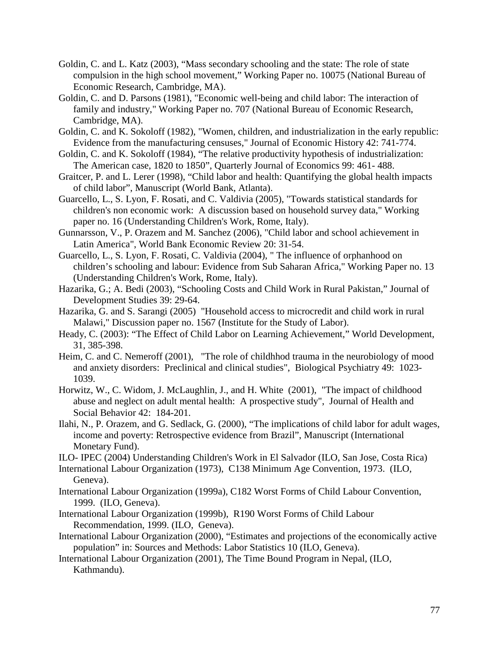- Goldin, C. and L. Katz (2003), "Mass secondary schooling and the state: The role of state compulsion in the high school movement,"Working Paper no. 10075 (National Bureau of Economic Research, Cambridge, MA).
- Goldin, C. and D. Parsons (1981), "Economic well-being and child labor: The interaction of family and industry," Working Paper no. 707 (National Bureau of Economic Research, Cambridge, MA).
- Goldin, C. and K. Sokoloff (1982), "Women, children, and industrialization in the early republic: Evidence from the manufacturing censuses," Journal of Economic History 42: 741-774.
- Goldin, C. and K. Sokoloff (1984), "The relative productivity hypothesis of industrialization: The American case, 1820 to 1850", Quarterly Journal of Economics 99: 461- 488.
- Graitcer, P. and L. Lerer (1998), "Child labor and health: Quantifying the global health impacts of child labor", Manuscript (World Bank, Atlanta).
- Guarcello, L., S. Lyon, F. Rosati, and C. Valdivia (2005), "Towards statistical standards for children's non economic work: A discussion based on household survey data," Working paper no. 16 (Understanding Children's Work, Rome, Italy).
- Gunnarsson, V., P. Orazem and M. Sanchez (2006), "Child labor and school achievement in Latin America", World Bank Economic Review 20: 31-54.
- Guarcello, L., S. Lyon, F. Rosati, C. Valdivia (2004), " The influence of orphanhood on children's schooling and labour: Evidence from Sub Saharan Africa," Working Paper no. 13 (Understanding Children's Work, Rome, Italy).
- Hazarika, G.; A. Bedi (2003), "Schooling Costs and Child Work in Rural Pakistan,"Journal of Development Studies 39: 29-64.
- Hazarika, G. and S. Sarangi (2005) "Household access to microcredit and child work in rural Malawi," Discussion paper no. 1567 (Institute for the Study of Labor).
- Heady, C. (2003): "The Effect of Child Labor on Learning Achievement," World Development, 31, 385-398.
- Heim, C. and C. Nemeroff (2001), "The role of childhhod trauma in the neurobiology of mood and anxiety disorders: Preclinical and clinical studies", Biological Psychiatry 49: 1023- 1039.
- Horwitz, W., C. Widom, J. McLaughlin, J., and H. White (2001), "The impact of childhood abuse and neglect on adult mental health: A prospective study", Journal of Health and Social Behavior 42: 184-201.
- Ilahi, N., P. Orazem, and G. Sedlack, G. (2000), "The implications of child labor for adult wages, income and poverty: Retrospective evidence from Brazil", Manuscript (International Monetary Fund).
- ILO- IPEC (2004) Understanding Children's Work in El Salvador (ILO, San Jose, Costa Rica)
- International Labour Organization (1973), C138 Minimum Age Convention, 1973. (ILO, Geneva).
- International Labour Organization (1999a), C182 Worst Forms of Child Labour Convention, 1999. (ILO, Geneva).
- International Labour Organization (1999b), R190 Worst Forms of Child Labour Recommendation, 1999. (ILO, Geneva).
- International Labour Organization (2000), "Estimates and projections of the economically active population"in: Sources and Methods: Labor Statistics 10 (ILO, Geneva).
- International Labour Organization (2001), The Time Bound Program in Nepal, (ILO, Kathmandu).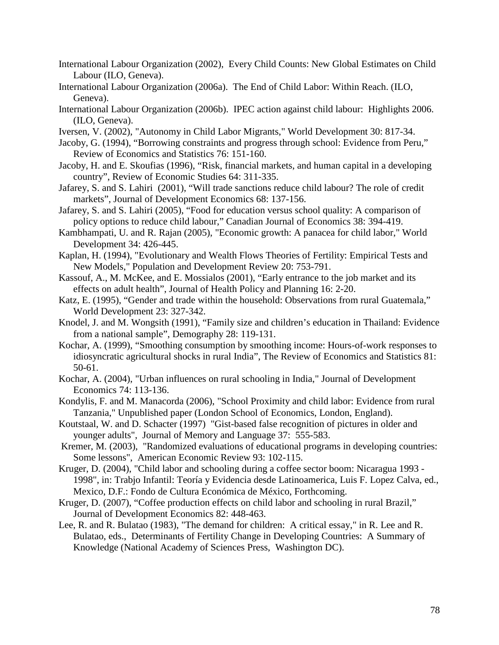- International Labour Organization (2002), Every Child Counts: New Global Estimates on Child Labour (ILO, Geneva).
- International Labour Organization (2006a). The End of Child Labor: Within Reach. (ILO, Geneva).
- International Labour Organization (2006b). IPEC action against child labour: Highlights 2006. (ILO, Geneva).
- Iversen, V. (2002), "Autonomy in Child Labor Migrants," World Development 30: 817-34.
- Jacoby, G. (1994), "Borrowing constraints and progress through school: Evidence from Peru," Review of Economics and Statistics 76: 151-160.
- Jacoby, H. and E. Skoufias (1996), "Risk, financial markets, and human capital in a developing country", Review of Economic Studies 64: 311-335.
- Jafarey, S. and S. Lahiri (2001), "Will trade sanctions reduce child labour? The role of credit markets", Journal of Development Economics 68: 137-156.
- Jafarey, S. and S. Lahiri (2005), "Food for education versus school quality: A comparison of policy options to reduce child labour,"Canadian Journal of Economics 38: 394-419.
- Kambhampati, U. and R. Rajan (2005), "Economic growth: A panacea for child labor," World Development 34: 426-445.
- Kaplan, H. (1994), "Evolutionary and Wealth Flows Theories of Fertility: Empirical Tests and New Models," Population and Development Review 20: 753-791.
- Kassouf, A., M. McKee, and E. Mossialos (2001), "Early entrance to the job market and its effects on adult health", Journal of Health Policy and Planning 16: 2-20.
- Katz, E. (1995), "Gender and trade within the household: Observations from rural Guatemala," World Development 23: 327-342.
- Knodel, J. and M. Wongsith (1991), "Family size and children's education in Thailand: Evidence from a national sample", Demography 28: 119-131.
- Kochar, A. (1999), "Smoothing consumption by smoothing income: Hours-of-work responses to idiosyncratic agricultural shocks in rural India", The Review of Economics and Statistics 81: 50-61.
- Kochar, A. (2004), "Urban influences on rural schooling in India," Journal of Development Economics 74: 113-136.
- Kondylis, F. and M. Manacorda (2006), "School Proximity and child labor: Evidence from rural Tanzania," Unpublished paper (London School of Economics, London, England).
- Koutstaal, W. and D. Schacter (1997) "Gist-based false recognition of pictures in older and younger adults", Journal of Memory and Language 37: 555-583.
- Kremer, M. (2003), "Randomized evaluations of educational programs in developing countries: Some lessons", American Economic Review 93: 102-115.
- Kruger, D. (2004), "Child labor and schooling during a coffee sector boom: Nicaragua 1993 1998", in: Trabjo Infantil: Teoría y Evidencia desde Latinoamerica, Luis F. Lopez Calva, ed., Mexico, D.F.: Fondo de Cultura Económica de México, Forthcoming.
- Kruger, D. (2007), "Coffee production effects on child labor and schooling in rural Brazil," Journal of Development Economics 82: 448-463.
- Lee, R. and R. Bulatao (1983), "The demand for children: A critical essay," in R. Lee and R. Bulatao, eds., Determinants of Fertility Change in Developing Countries: A Summary of Knowledge (National Academy of Sciences Press, Washington DC).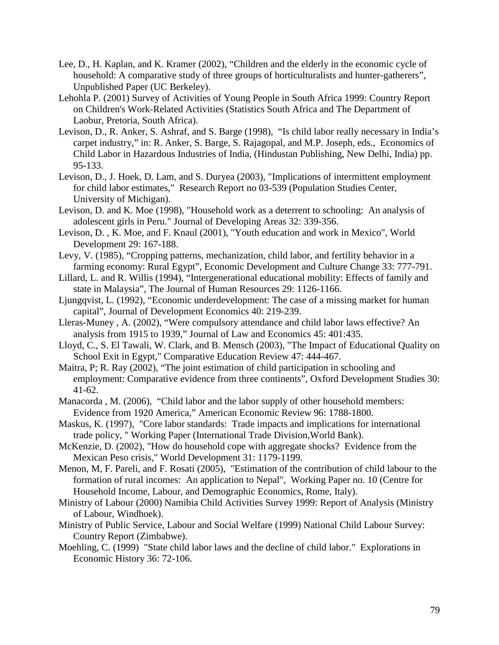- Lee, D., H. Kaplan, and K. Kramer (2002), "Children and the elderly in the economic cycle of household: A comparative study of three groups of horticulturalists and hunter-gatherers", Unpublished Paper (UC Berkeley).
- Lehohla P. (2001) Survey of Activities of Young People in South Africa 1999: Country Report on Children's Work-Related Activities (Statistics South Africa and The Department of Laobur, Pretoria, South Africa).
- Levison, D., R. Anker, S. Ashraf, and S. Barge (1998), "Is child labor really necessary in India's carpet industry,"in: R. Anker, S. Barge, S. Rajagopal, and M.P. Joseph, eds., Economics of Child Labor in Hazardous Industries of India, (Hindustan Publishing, New Delhi, India) pp. 95-133.
- Levison, D., J. Hoek, D. Lam, and S. Duryea (2003), "Implications of intermittent employment for child labor estimates," Research Report no 03-539 (Population Studies Center, University of Michigan).
- Levison, D. and K. Moe (1998), "Household work as a deterrent to schooling: An analysis of adolescent girls in Peru." Journal of Developing Areas 32: 339-356.
- Levison, D. , K. Moe, and F. Knaul (2001), "Youth education and work in Mexico", World Development 29: 167-188.
- Levy, V. (1985), "Cropping patterns, mechanization, child labor, and fertility behavior in a farming economy: Rural Egypt", Economic Development and Culture Change 33: 777-791.
- Lillard, L. and R. Willis (1994), "Intergenerational educational mobility: Effects of family and state in Malaysia", The Journal of Human Resources 29: 1126-1166.
- Ljungqvist, L. (1992), "Economic underdevelopment: The case of a missing market for human capital", Journal of Development Economics 40: 219-239.
- Lleras-Muney , A. (2002), "Were compulsory attendance and child labor laws effective? An analysis from 1915 to 1939,"Journal of Law and Economics 45: 401:435.
- Lloyd, C., S. El Tawali, W. Clark, and B. Mensch (2003), "The Impact of Educational Quality on School Exit in Egypt," Comparative Education Review 47: 444-467.
- Maitra, P; R. Ray (2002), "The joint estimation of child participation in schooling and employment: Comparative evidence from three continents", Oxford Development Studies 30: 41-62.
- Manacorda , M. (2006), "Child labor and the labor supply of other household members: Evidence from 1920 America,"American Economic Review 96: 1788-1800.
- Maskus, K. (1997), "Core labor standards: Trade impacts and implications for international trade policy, " Working Paper (International Trade Division,World Bank).
- McKenzie, D. (2002), "How do household cope with aggregate shocks? Evidence from the Mexican Peso crisis," World Development 31: 1179-1199.
- Menon, M, F. Pareli, and F. Rosati (2005), "Estimation of the contribution of child labour to the formation of rural incomes: An application to Nepal", Working Paper no. 10 (Centre for Household Income, Labour, and Demographic Economics, Rome, Italy).
- Ministry of Labour (2000) Namibia Child Activities Survey 1999: Report of Analysis (Ministry of Labour, Windhoek).
- Ministry of Public Service, Labour and Social Welfare (1999) National Child Labour Survey: Country Report (Zimbabwe).
- Moehling, C. (1999) "State child labor laws and the decline of child labor." Explorations in Economic History 36: 72-106.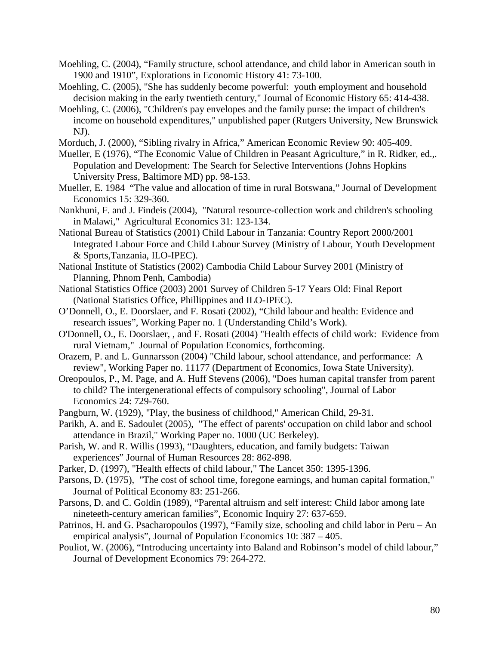Moehling, C. (2004), "Family structure, school attendance, and child labor in American south in 1900 and 1910", Explorations in Economic History 41: 73-100.

- Moehling, C. (2005), "She has suddenly become powerful: youth employment and household decision making in the early twentieth century," Journal of Economic History 65: 414-438.
- Moehling, C. (2006), "Children's pay envelopes and the family purse: the impact of children's income on household expenditures," unpublished paper (Rutgers University, New Brunswick NJ).
- Morduch, J. (2000), "Sibling rivalry in Africa,"American Economic Review 90: 405-409.
- Mueller, E (1976), "The Economic Value of Children in Peasant Agriculture," in R. Ridker, ed.,. Population and Development: The Search for Selective Interventions (Johns Hopkins University Press, Baltimore MD) pp. 98-153.
- Mueller, E. 1984 "The value and allocation of time in rural Botswana,"Journal of Development Economics 15: 329-360.
- Nankhuni, F. and J. Findeis (2004), "Natural resource-collection work and children's schooling in Malawi," Agricultural Economics 31: 123-134.
- National Bureau of Statistics (2001) Child Labour in Tanzania: Country Report 2000/2001 Integrated Labour Force and Child Labour Survey (Ministry of Labour, Youth Development & Sports,Tanzania, ILO-IPEC).
- National Institute of Statistics (2002) Cambodia Child Labour Survey 2001 (Ministry of Planning, Phnom Penh, Cambodia)
- National Statistics Office (2003) 2001 Survey of Children 5-17 Years Old: Final Report (National Statistics Office, Phillippines and ILO-IPEC).
- O'Donnell, O., E. Doorslaer, and F. Rosati (2002), "Child labour and health: Evidence and research issues", Working Paper no. 1 (Understanding Child's Work).
- O'Donnell, O., E. Doorslaer, , and F. Rosati (2004) "Health effects of child work: Evidence from rural Vietnam," Journal of Population Economics, forthcoming.
- Orazem, P. and L. Gunnarsson (2004) "Child labour, school attendance, and performance: A review", Working Paper no. 11177 (Department of Economics, Iowa State University).
- Oreopoulos, P., M. Page, and A. Huff Stevens (2006), "Does human capital transfer from parent to child? The intergenerational effects of compulsory schooling", Journal of Labor Economics 24: 729-760.
- Pangburn, W. (1929), "Play, the business of childhood," American Child, 29-31.
- Parikh, A. and E. Sadoulet (2005), "The effect of parents' occupation on child labor and school attendance in Brazil," Working Paper no. 1000 (UC Berkeley).
- Parish, W. and R. Willis (1993), "Daughters, education, and family budgets: Taiwan experiences"Journal of Human Resources 28: 862-898.
- Parker, D. (1997), "Health effects of child labour," The Lancet 350: 1395-1396.
- Parsons, D. (1975), "The cost of school time, foregone earnings, and human capital formation," Journal of Political Economy 83: 251-266.
- Parsons, D. and C. Goldin (1989), "Parental altruism and self interest: Child labor among late nineteeth-century american families", Economic Inquiry 27: 637-659.
- Patrinos, H. and G. Psacharopoulos (1997), "Family size, schooling and child labor in Peru –An empirical analysis", Journal of Population Economics 10: 387 –405.
- Pouliot, W. (2006), "Introducing uncertainty into Baland and Robinson's model of child labour," Journal of Development Economics 79: 264-272.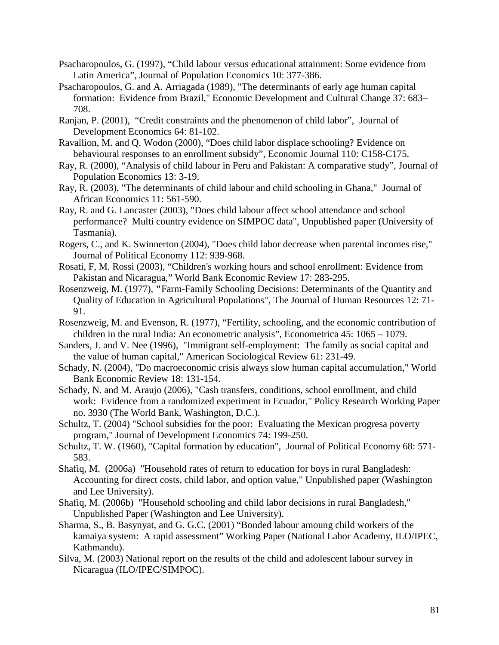- Psacharopoulos, G. (1997), "Child labour versus educational attainment: Some evidence from Latin America", Journal of Population Economics 10: 377-386.
- Psacharopoulos, G. and A. Arriagada (1989), "The determinants of early age human capital formation: Evidence from Brazil," Economic Development and Cultural Change 37: 683– 708.
- Ranjan, P. (2001), "Credit constraints and the phenomenon of child labor", Journal of Development Economics 64: 81-102.
- Ravallion, M. and Q. Wodon (2000), "Does child labor displace schooling? Evidence on behavioural responses to an enrollment subsidy", Economic Journal 110: C158-C175.
- Ray, R. (2000), "Analysis of child labour in Peru and Pakistan: A comparative study", Journal of Population Economics 13: 3-19.
- Ray, R. (2003), "The determinants of child labour and child schooling in Ghana," Journal of African Economics 11: 561-590.
- Ray, R. and G. Lancaster (2003), "Does child labour affect school attendance and school performance? Multi country evidence on SIMPOC data", Unpublished paper (University of Tasmania).
- Rogers, C., and K. Swinnerton (2004), "Does child labor decrease when parental incomes rise," Journal of Political Economy 112: 939-968.
- Rosati, F, M. Rossi (2003), "Children's working hours and school enrollment: Evidence from Pakistan and Nicaragua,"World Bank Economic Review 17: 283-295.
- Rosenzweig, M. (1977), **"**Farm-Family Schooling Decisions: Determinants of the Quantity and Quality of Education in Agricultural Populations*",* The Journal of Human Resources 12: 71- 91.
- Rosenzweig, M. and Evenson, R. (1977), "Fertility, schooling, and the economic contribution of children in the rural India: An econometric analysis", Econometrica 45: 1065 –1079.
- Sanders, J. and V. Nee (1996), "Immigrant self-employment: The family as social capital and the value of human capital," American Sociological Review 61: 231-49.
- Schady, N. (2004), "Do macroeconomic crisis always slow human capital accumulation," World Bank Economic Review 18: 131-154.
- Schady, N. and M. Araujo (2006), "Cash transfers, conditions, school enrollment, and child work: Evidence from a randomized experiment in Ecuador," Policy Research Working Paper no. 3930 (The World Bank, Washington, D.C.).
- Schultz, T. (2004) "School subsidies for the poor: Evaluating the Mexican progresa poverty program," Journal of Development Economics 74: 199-250.
- Schultz, T. W. (1960), "Capital formation by education", Journal of Political Economy 68: 571- 583.
- Shafiq, M. (2006a) "Household rates of return to education for boys in rural Bangladesh: Accounting for direct costs, child labor, and option value," Unpublished paper (Washington and Lee University).
- Shafiq, M. (2006b) "Household schooling and child labor decisions in rural Bangladesh," Unpublished Paper (Washington and Lee University).
- Sharma, S., B. Basynyat, and G. G.C. (2001) "Bonded labour amoung child workers of the kamaiya system: A rapid assessment" Working Paper (National Labor Academy, ILO/IPEC, Kathmandu).
- Silva, M. (2003) National report on the results of the child and adolescent labour survey in Nicaragua (ILO/IPEC/SIMPOC).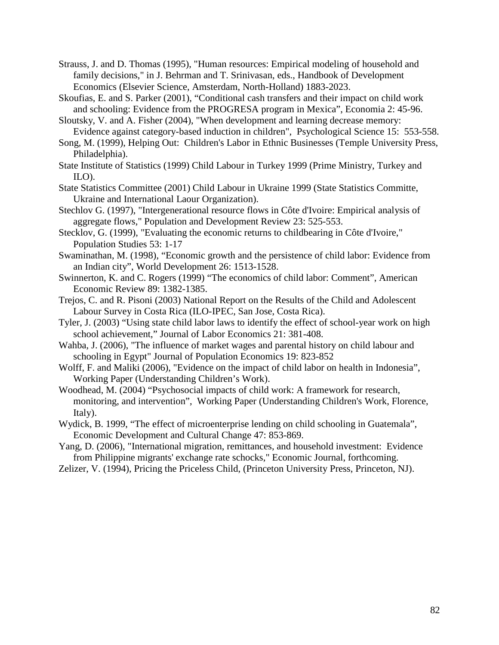Strauss, J. and D. Thomas (1995), "Human resources: Empirical modeling of household and family decisions," in J. Behrman and T. Srinivasan, eds., Handbook of Development Economics (Elsevier Science, Amsterdam, North-Holland) 1883-2023.

Skoufias, E. and S. Parker (2001), "Conditional cash transfers and their impact on child work and schooling: Evidence from the PROGRESA program in Mexica", Economia 2: 45-96.

Sloutsky, V. and A. Fisher (2004), "When development and learning decrease memory: Evidence against category-based induction in children", Psychological Science 15: 553-558.

- Song, M. (1999), Helping Out: Children's Labor in Ethnic Businesses (Temple University Press, Philadelphia).
- State Institute of Statistics (1999) Child Labour in Turkey 1999 (Prime Ministry, Turkey and ILO).

State Statistics Committee (2001) Child Labour in Ukraine 1999 (State Statistics Committe, Ukraine and International Laour Organization).

- Stechlov G. (1997), "Intergenerational resource flows in Côte d'Ivoire: Empirical analysis of aggregate flows," Population and Development Review 23: 525-553.
- Stecklov, G. (1999), "Evaluating the economic returns to childbearing in Côte d'Ivoire," Population Studies 53: 1-17
- Swaminathan, M. (1998), "Economic growth and the persistence of child labor: Evidence from an Indian city", World Development 26: 1513-1528.
- Swinnerton, K. and C. Rogers (1999) "The economics of child labor: Comment", American Economic Review 89: 1382-1385.
- Trejos, C. and R. Pisoni (2003) National Report on the Results of the Child and Adolescent Labour Survey in Costa Rica (ILO-IPEC, San Jose, Costa Rica).
- Tyler, J. (2003) "Using state child labor laws to identify the effect of school-year work on high school achievement,"Journal of Labor Economics 21: 381-408.
- Wahba, J. (2006), "The influence of market wages and parental history on child labour and schooling in Egypt" Journal of Population Economics 19: 823-852
- Wolff, F. and Maliki (2006), "Evidence on the impact of child labor on health in Indonesia", Working Paper (Understanding Children's Work).
- Woodhead, M. (2004) "Psychosocial impacts of child work: A framework for research, monitoring, and intervention", Working Paper (Understanding Children's Work, Florence, Italy).
- Wydick, B. 1999, "The effect of microenterprise lending on child schooling in Guatemala", Economic Development and Cultural Change 47: 853-869.
- Yang, D. (2006), "International migration, remittances, and household investment: Evidence from Philippine migrants' exchange rate schocks," Economic Journal, forthcoming.
- Zelizer, V. (1994), Pricing the Priceless Child, (Princeton University Press, Princeton, NJ).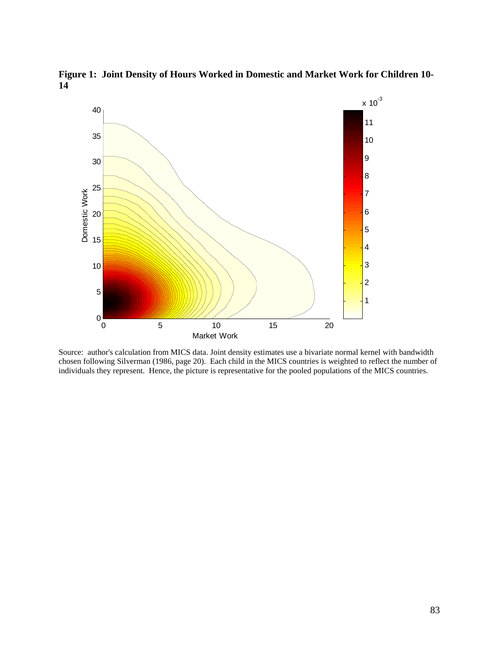



Source: author's calculation from MICS data. Joint density estimates use a bivariate normal kernel with bandwidth chosen following Silverman (1986, page 20). Each child in the MICS countries is weighted to reflect the number of individuals they represent. Hence, the picture is representative for the pooled populations of the MICS countries.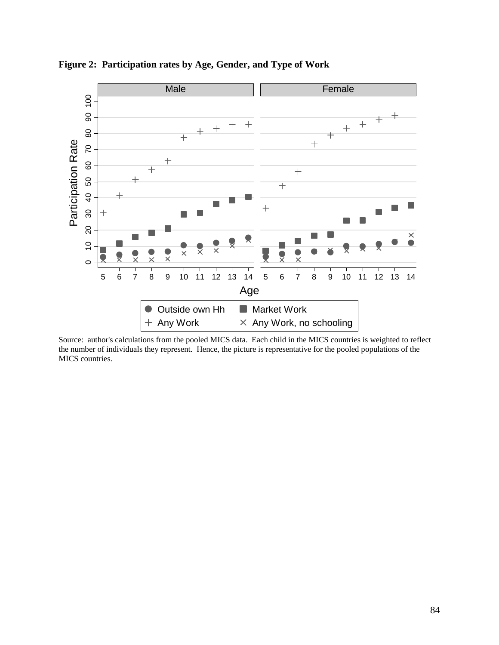

**Figure 2: Participation rates by Age, Gender, and Type of Work**

Source: author's calculations from the pooled MICS data. Each child in the MICS countries is weighted to reflect the number of individuals they represent. Hence, the picture is representative for the pooled populations of the MICS countries.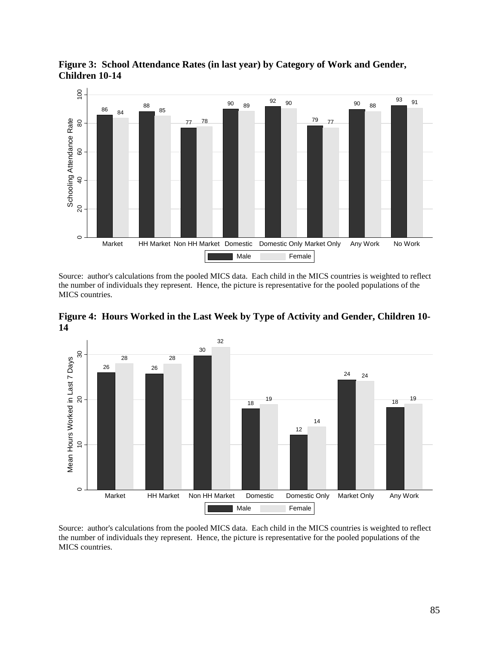

**Figure 3: School Attendance Rates (in last year) by Category of Work and Gender, Children 10-14**

Source: author's calculations from the pooled MICS data. Each child in the MICS countries is weighted to reflect the number of individuals they represent. Hence, the picture is representative for the pooled populations of the MICS countries.

**Figure 4: Hours Worked in the Last Week by Type of Activity and Gender, Children 10-** 

![](_page_87_Figure_4.jpeg)

Source: author's calculations from the pooled MICS data. Each child in the MICS countries is weighted to reflect the number of individuals they represent. Hence, the picture is representative for the pooled populations of the MICS countries.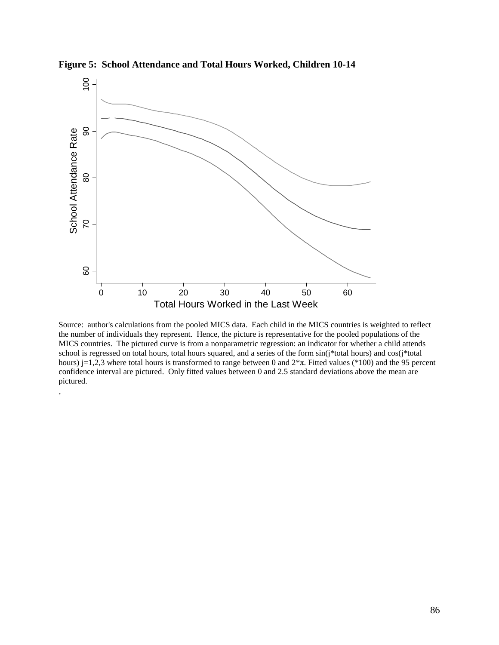![](_page_88_Figure_0.jpeg)

**Figure 5: School Attendance and Total Hours Worked, Children 10-14**

Source: author's calculations from the pooled MICS data. Each child in the MICS countries is weighted to reflect the number of individuals they represent. Hence, the picture is representative for the pooled populations of the MICS countries. The pictured curve is from a nonparametric regression: an indicator for whether a child attends school is regressed on total hours, total hours squared, and a series of the form sin(j\*total hours) and cos(j\*total hours) j=1,2,3 where total hours is transformed to range between 0 and 2\*π. Fitted values (\*100) and the 95 percent confidence interval are pictured. Only fitted values between 0 and 2.5 standard deviations above the mean are pictured.

.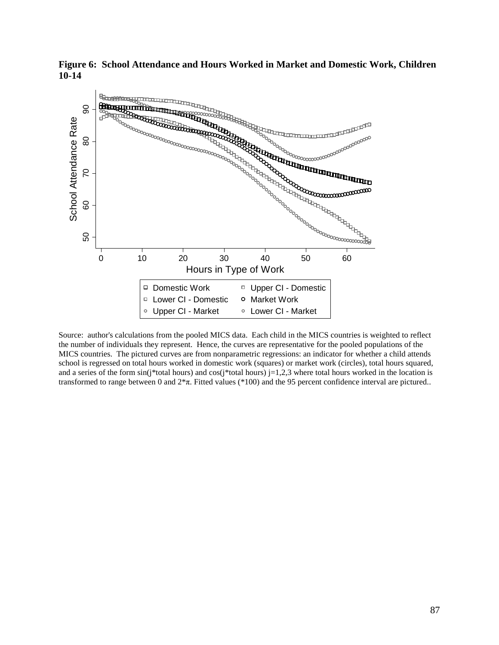**Figure 6: School Attendance and Hours Worked in Market and Domestic Work, Children 10-14**

![](_page_89_Figure_1.jpeg)

Source: author's calculations from the pooled MICS data. Each child in the MICS countries is weighted to reflect the number of individuals they represent. Hence, the curves are representative for the pooled populations of the MICS countries. The pictured curves are from nonparametric regressions: an indicator for whether a child attends school is regressed on total hours worked in domestic work (squares) or market work (circles), total hours squared, and a series of the form sin(j\*total hours) and cos(j\*total hours) j=1,2,3 where total hours worked in the location is transformed to range between 0 and  $2*\pi$ . Fitted values (\*100) and the 95 percent confidence interval are pictured..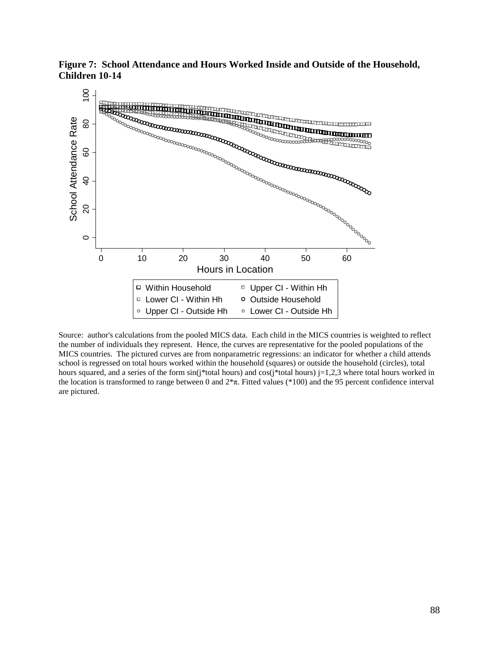**Figure 7: School Attendance and Hours Worked Inside and Outside of the Household, Children 10-14**

![](_page_90_Figure_1.jpeg)

Source: author's calculations from the pooled MICS data. Each child in the MICS countries is weighted to reflect the number of individuals they represent. Hence, the curves are representative for the pooled populations of the MICS countries. The pictured curves are from nonparametric regressions: an indicator for whether a child attends school is regressed on total hours worked within the household (squares) or outside the household (circles), total hours squared, and a series of the form sin(j\*total hours) and  $cos(i*total hours)$  j=1,2,3 where total hours worked in the location is transformed to range between 0 and  $2*\pi$ . Fitted values (\*100) and the 95 percent confidence interval are pictured.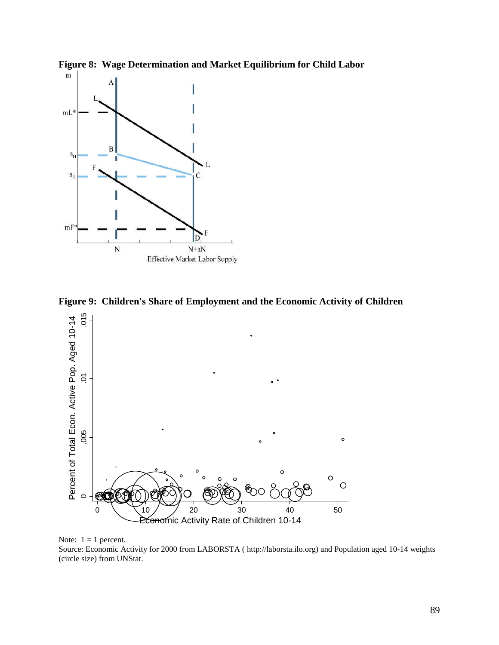![](_page_91_Figure_0.jpeg)

![](_page_91_Figure_1.jpeg)

**Figure 9: Children's Share of Employment and the Economic Activity of Children**

![](_page_91_Figure_3.jpeg)

Note:  $1 = 1$  percent.

Source: Economic Activity for 2000 from LABORSTA ( http://laborsta.ilo.org) and Population aged 10-14 weights (circle size) from UNStat.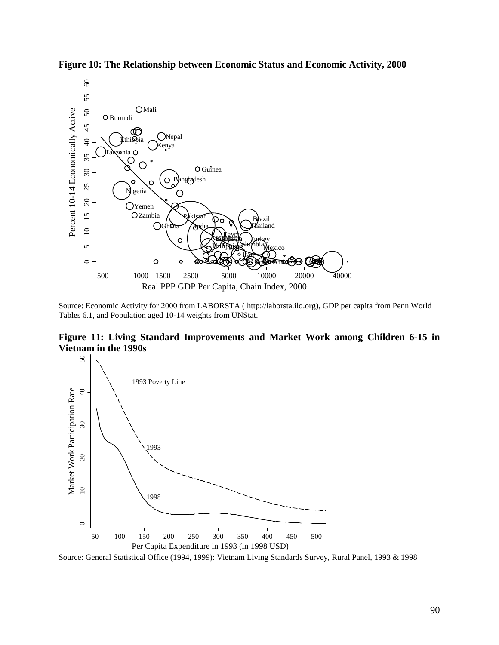![](_page_92_Figure_0.jpeg)

**Figure 10: The Relationship between Economic Status and Economic Activity, 2000**

Source: Economic Activity for 2000 from LABORSTA ( http://laborsta.ilo.org), GDP per capita from Penn World Tables 6.1, and Population aged 10-14 weights from UNStat.

**Figure 11: Living Standard Improvements and Market Work among Children 6-15 in Vietnam in the 1990s**

![](_page_92_Figure_4.jpeg)

Source: General Statistical Office (1994, 1999): Vietnam Living Standards Survey, Rural Panel, 1993 & 1998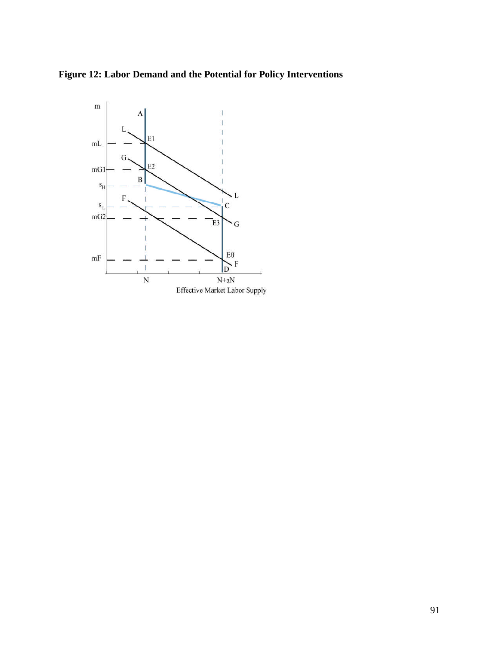**Figure 12: Labor Demand and the Potential for Policy Interventions**

![](_page_93_Figure_1.jpeg)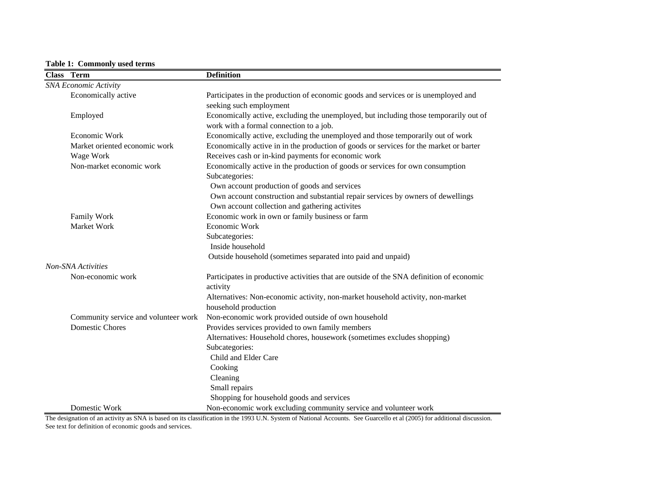**Table 1: Commonly used terms**

| Class Term                           | <b>Definition</b>                                                                                                                |
|--------------------------------------|----------------------------------------------------------------------------------------------------------------------------------|
| <b>SNA Economic Activity</b>         |                                                                                                                                  |
| Economically active                  | Participates in the production of economic goods and services or is unemployed and<br>seeking such employment                    |
| Employed                             | Economically active, excluding the unemployed, but including those temporarily out of<br>work with a formal connection to a job. |
| Economic Work                        | Economically active, excluding the unemployed and those temporarily out of work                                                  |
| Market oriented economic work        | Economically active in in the production of goods or services for the market or barter                                           |
| Wage Work                            | Receives cash or in-kind payments for economic work                                                                              |
| Non-market economic work             | Economically active in the production of goods or services for own consumption<br>Subcategories:                                 |
|                                      | Own account production of goods and services                                                                                     |
|                                      | Own account construction and substantial repair services by owners of dewellings                                                 |
|                                      | Own account collection and gathering activites                                                                                   |
| Family Work                          | Economic work in own or family business or farm                                                                                  |
| Market Work                          | Economic Work                                                                                                                    |
|                                      | Subcategories:<br>Inside household                                                                                               |
|                                      | Outside household (sometimes separated into paid and unpaid)                                                                     |
| Non-SNA Activities                   |                                                                                                                                  |
| Non-economic work                    | Participates in productive activities that are outside of the SNA definition of economic<br>activity                             |
|                                      | Alternatives: Non-economic activity, non-market household activity, non-market<br>household production                           |
| Community service and volunteer work | Non-economic work provided outside of own household                                                                              |
| Domestic Chores                      | Provides services provided to own family members                                                                                 |
|                                      | Alternatives: Household chores, housework (sometimes excludes shopping)                                                          |
|                                      | Subcategories:                                                                                                                   |
|                                      | Child and Elder Care                                                                                                             |
|                                      | Cooking                                                                                                                          |
|                                      | Cleaning                                                                                                                         |
|                                      | Small repairs                                                                                                                    |
|                                      | Shopping for household goods and services                                                                                        |
| Domestic Work                        | Non-economic work excluding community service and volunteer work                                                                 |

The designation of an activity as SNA is based on its classification in the 1993 U.N. System of National Accounts. See Guarcello et al (2005) for additional discussion. See text for definition of economic goods and services.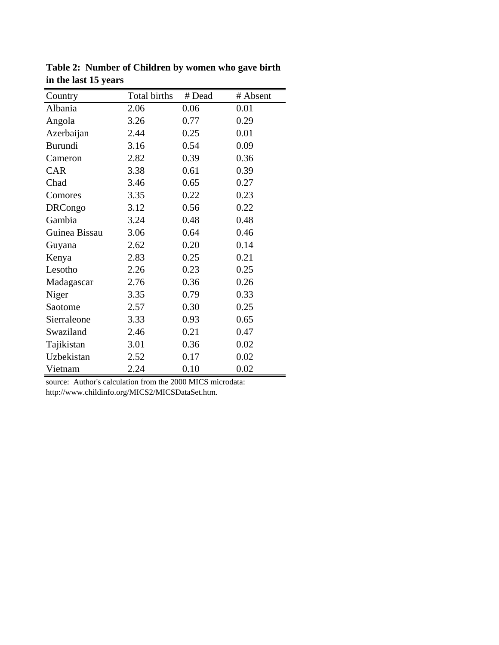| Country        | Total births | # Dead | # Absent |
|----------------|--------------|--------|----------|
| Albania        | 2.06         | 0.06   | 0.01     |
| Angola         | 3.26         | 0.77   | 0.29     |
| Azerbaijan     | 2.44         | 0.25   | 0.01     |
| <b>Burundi</b> | 3.16         | 0.54   | 0.09     |
| Cameron        | 2.82         | 0.39   | 0.36     |
| <b>CAR</b>     | 3.38         | 0.61   | 0.39     |
| Chad           | 3.46         | 0.65   | 0.27     |
| Comores        | 3.35         | 0.22   | 0.23     |
| <b>DRCongo</b> | 3.12         | 0.56   | 0.22     |
| Gambia         | 3.24         | 0.48   | 0.48     |
| Guinea Bissau  | 3.06         | 0.64   | 0.46     |
| Guyana         | 2.62         | 0.20   | 0.14     |
| Kenya          | 2.83         | 0.25   | 0.21     |
| Lesotho        | 2.26         | 0.23   | 0.25     |
| Madagascar     | 2.76         | 0.36   | 0.26     |
| Niger          | 3.35         | 0.79   | 0.33     |
| Saotome        | 2.57         | 0.30   | 0.25     |
| Sierraleone    | 3.33         | 0.93   | 0.65     |
| Swaziland      | 2.46         | 0.21   | 0.47     |
| Tajikistan     | 3.01         | 0.36   | 0.02     |
| Uzbekistan     | 2.52         | 0.17   | 0.02     |
| Vietnam        | 2.24         | 0.10   | 0.02     |

**Table 2: Number of Children by women who gave birth in the last 15 years**

source: Author's calculation from the 2000 MICS microdata: http://www.childinfo.org/MICS2/MICSDataSet.htm.

J,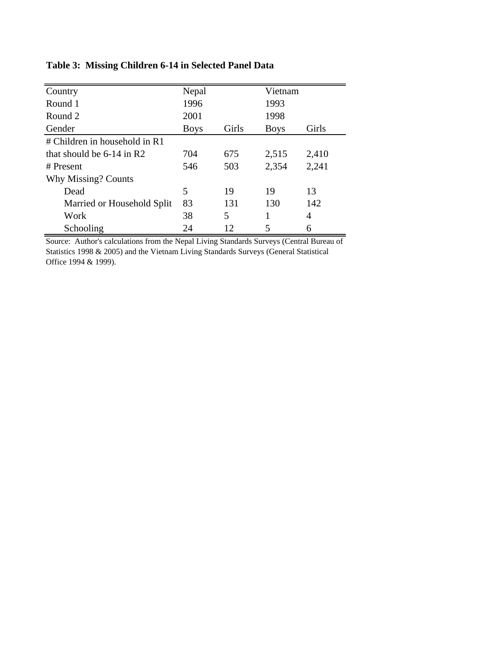## **Table 3: Missing Children 6-14 in Selected Panel Data**

| Country                       | Nepal       |       | Vietnam     |       |
|-------------------------------|-------------|-------|-------------|-------|
| Round 1                       | 1996        |       | 1993        |       |
| Round 2                       | 2001        |       | 1998        |       |
| Gender                        | <b>Boys</b> | Girls | <b>Boys</b> | Girls |
| # Children in household in R1 |             |       |             |       |
| that should be $6-14$ in R2   | 704         | 675   | 2,515       | 2,410 |
| # Present                     | 546         | 503   | 2,354       | 2,241 |
| <b>Why Missing? Counts</b>    |             |       |             |       |
| Dead                          | 5           | 19    | 19          | 13    |
| Married or Household Split    | 83          | 131   | 130         | 142   |
| Work                          | 38          | 5     |             | 4     |
| Schooling                     | 24          | 12    | 5           | 6     |

Source: Author's calculations from the Nepal Living Standards Surveys (Central Bureau of Statistics 1998 & 2005) and the Vietnam Living Standards Surveys (General Statistical Office 1994 & 1999).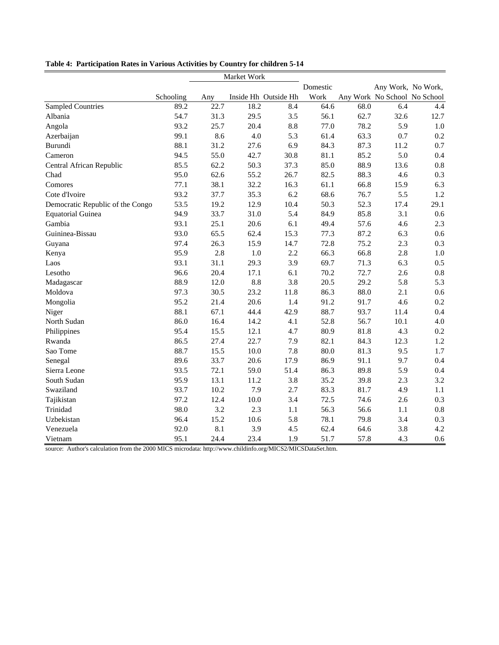|                                  |           |      | Market Work |                      |          |      |                              |         |
|----------------------------------|-----------|------|-------------|----------------------|----------|------|------------------------------|---------|
|                                  |           |      |             |                      | Domestic |      | Any Work, No Work,           |         |
|                                  | Schooling | Any  |             | Inside Hh Outside Hh | Work     |      | Any Work No School No School |         |
| <b>Sampled Countries</b>         | 89.2      | 22.7 | 18.2        | 8.4                  | 64.6     | 68.0 | 6.4                          | 4.4     |
| Albania                          | 54.7      | 31.3 | 29.5        | 3.5                  | 56.1     | 62.7 | 32.6                         | 12.7    |
| Angola                           | 93.2      | 25.7 | 20.4        | 8.8                  | 77.0     | 78.2 | 5.9                          | 1.0     |
| Azerbaijan                       | 99.1      | 8.6  | 4.0         | 5.3                  | 61.4     | 63.3 | 0.7                          | 0.2     |
| Burundi                          | 88.1      | 31.2 | 27.6        | 6.9                  | 84.3     | 87.3 | 11.2                         | 0.7     |
| Cameron                          | 94.5      | 55.0 | 42.7        | 30.8                 | 81.1     | 85.2 | 5.0                          | 0.4     |
| Central African Republic         | 85.5      | 62.2 | 50.3        | 37.3                 | 85.0     | 88.9 | 13.6                         | 0.8     |
| Chad                             | 95.0      | 62.6 | 55.2        | 26.7                 | 82.5     | 88.3 | 4.6                          | 0.3     |
| Comores                          | 77.1      | 38.1 | 32.2        | 16.3                 | 61.1     | 66.8 | 15.9                         | 6.3     |
| Cote d'Ivoire                    | 93.2      | 37.7 | 35.3        | 6.2                  | 68.6     | 76.7 | 5.5                          | 1.2     |
| Democratic Republic of the Congo | 53.5      | 19.2 | 12.9        | 10.4                 | 50.3     | 52.3 | 17.4                         | 29.1    |
| <b>Equatorial Guinea</b>         | 94.9      | 33.7 | 31.0        | 5.4                  | 84.9     | 85.8 | 3.1                          | 0.6     |
| Gambia                           | 93.1      | 25.1 | 20.6        | 6.1                  | 49.4     | 57.6 | 4.6                          | 2.3     |
| Guininea-Bissau                  | 93.0      | 65.5 | 62.4        | 15.3                 | 77.3     | 87.2 | 6.3                          | 0.6     |
| Guyana                           | 97.4      | 26.3 | 15.9        | 14.7                 | 72.8     | 75.2 | 2.3                          | 0.3     |
| Kenya                            | 95.9      | 2.8  | 1.0         | 2.2                  | 66.3     | 66.8 | 2.8                          | $1.0\,$ |
| Laos                             | 93.1      | 31.1 | 29.3        | 3.9                  | 69.7     | 71.3 | 6.3                          | 0.5     |
| Lesotho                          | 96.6      | 20.4 | 17.1        | 6.1                  | 70.2     | 72.7 | 2.6                          | 0.8     |
| Madagascar                       | 88.9      | 12.0 | 8.8         | 3.8                  | 20.5     | 29.2 | 5.8                          | 5.3     |
| Moldova                          | 97.3      | 30.5 | 23.2        | 11.8                 | 86.3     | 88.0 | 2.1                          | 0.6     |
| Mongolia                         | 95.2      | 21.4 | 20.6        | 1.4                  | 91.2     | 91.7 | 4.6                          | 0.2     |
| Niger                            | 88.1      | 67.1 | 44.4        | 42.9                 | 88.7     | 93.7 | 11.4                         | 0.4     |
| North Sudan                      | 86.0      | 16.4 | 14.2        | 4.1                  | 52.8     | 56.7 | 10.1                         | 4.0     |
| Philippines                      | 95.4      | 15.5 | 12.1        | 4.7                  | 80.9     | 81.8 | 4.3                          | 0.2     |
| Rwanda                           | 86.5      | 27.4 | 22.7        | 7.9                  | 82.1     | 84.3 | 12.3                         | 1.2     |
| Sao Tome                         | 88.7      | 15.5 | 10.0        | 7.8                  | 80.0     | 81.3 | 9.5                          | 1.7     |
| Senegal                          | 89.6      | 33.7 | 20.6        | 17.9                 | 86.9     | 91.1 | 9.7                          | 0.4     |
| Sierra Leone                     | 93.5      | 72.1 | 59.0        | 51.4                 | 86.3     | 89.8 | 5.9                          | 0.4     |
| South Sudan                      | 95.9      | 13.1 | 11.2        | 3.8                  | 35.2     | 39.8 | 2.3                          | 3.2     |
| Swaziland                        | 93.7      | 10.2 | 7.9         | 2.7                  | 83.3     | 81.7 | 4.9                          | 1.1     |
| Tajikistan                       | 97.2      | 12.4 | 10.0        | 3.4                  | 72.5     | 74.6 | 2.6                          | 0.3     |
| Trinidad                         | 98.0      | 3.2  | 2.3         | 1.1                  | 56.3     | 56.6 | 1.1                          | 0.8     |
| Uzbekistan                       | 96.4      | 15.2 | 10.6        | 5.8                  | 78.1     | 79.8 | 3.4                          | 0.3     |
| Venezuela                        | 92.0      | 8.1  | 3.9         | 4.5                  | 62.4     | 64.6 | 3.8                          | 4.2     |
| Vietnam                          | 95.1      | 24.4 | 23.4        | 1.9                  | 51.7     | 57.8 | 4.3                          | 0.6     |

**Table 4: Participation Rates in Various Activities by Country for children 5-14**

source: Author's calculation from the 2000 MICS microdata: http://www.childinfo.org/MICS2/MICSDataSet.htm.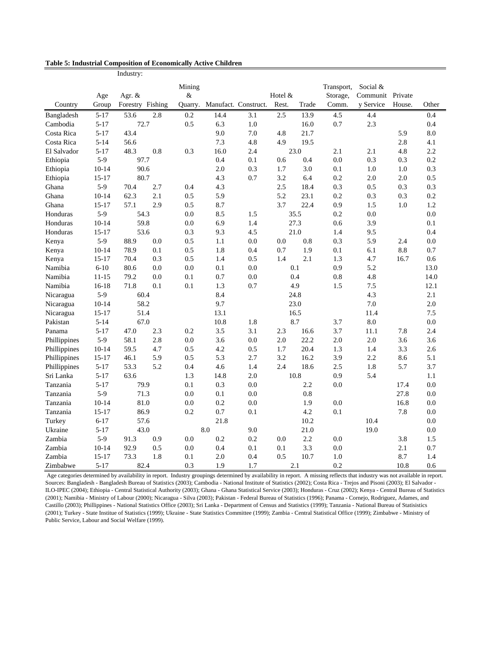|              |           | Industry:        |     |                  |         |                      |         |       |            |           |         |         |
|--------------|-----------|------------------|-----|------------------|---------|----------------------|---------|-------|------------|-----------|---------|---------|
|              |           |                  |     | Mining           |         |                      |         |       | Transport, | Social &  |         |         |
|              | Age       | Agr. &           |     | $\&$             |         |                      | Hotel & |       | Storage,   | Communit  | Private |         |
| Country      | Group     | Forestry Fishing |     | Quarry.          |         | Manufact. Construct. | Rest.   | Trade | Comm.      | y Service | House.  | Other   |
| Bangladesh   | $5-17$    | 53.6             | 2.8 | $\overline{0.2}$ | 14.4    | 3.1                  | 2.5     | 13.9  | 4.5        | 4.4       |         | 0.4     |
| Cambodia     | $5 - 17$  | 72.7             |     | 0.5              | 6.3     | 1.0                  |         | 16.0  | 0.7        | 2.3       |         | 0.4     |
| Costa Rica   | $5 - 17$  | 43.4             |     |                  | 9.0     | 7.0                  | 4.8     | 21.7  |            |           | 5.9     | 8.0     |
| Costa Rica   | $5 - 14$  | 56.6             |     |                  | 7.3     | 4.8                  | 4.9     | 19.5  |            |           | 2.8     | 4.1     |
| El Salvador  | $5 - 17$  | 48.3             | 0.8 | 0.3              | 16.0    | 2.4                  |         | 23.0  | 2.1        | 2.1       | 4.8     | 2.2     |
| Ethiopia     | $5-9$     | 97.7             |     |                  | 0.4     | 0.1                  | 0.6     | 0.4   | 0.0        | 0.3       | 0.3     | 0.2     |
| Ethiopia     | $10-14$   | 90.6             |     |                  | $2.0\,$ | 0.3                  | 1.7     | 3.0   | 0.1        | 1.0       | 1.0     | 0.3     |
| Ethiopia     | 15-17     | 80.7             |     |                  | 4.3     | 0.7                  | 3.2     | 6.4   | 0.2        | 2.0       | 2.0     | 0.5     |
| Ghana        | $5-9$     | 70.4             | 2.7 | 0.4              | 4.3     |                      | 2.5     | 18.4  | 0.3        | 0.5       | 0.3     | 0.3     |
| Ghana        | $10 - 14$ | 62.3             | 2.1 | 0.5              | 5.9     |                      | 5.2     | 23.1  | 0.2        | 0.3       | 0.3     | 0.2     |
| Ghana        | $15 - 17$ | 57.1             | 2.9 | 0.5              | 8.7     |                      | 3.7     | 22.4  | 0.9        | 1.5       | 1.0     | 1.2     |
| Honduras     | $5-9$     | 54.3             |     | 0.0              | 8.5     | 1.5                  |         | 35.5  | 0.2        | 0.0       |         | 0.0     |
| Honduras     | $10 - 14$ | 59.8             |     | 0.0              | 6.9     | 1.4                  |         | 27.3  | 0.6        | 3.9       |         | 0.1     |
| Honduras     | $15 - 17$ | 53.6             |     | 0.3              | 9.3     | 4.5                  |         | 21.0  | 1.4        | 9.5       |         | 0.4     |
| Kenya        | $5-9$     | 88.9             | 0.0 | 0.5              | 1.1     | 0.0                  | 0.0     | 0.8   | 0.3        | 5.9       | 2.4     | 0.0     |
| Kenya        | $10-14$   | 78.9             | 0.1 | 0.5              | 1.8     | 0.4                  | 0.7     | 1.9   | 0.1        | 6.1       | 8.8     | 0.7     |
| Kenya        | $15 - 17$ | 70.4             | 0.3 | 0.5              | 1.4     | 0.5                  | 1.4     | 2.1   | 1.3        | 4.7       | 16.7    | 0.6     |
| Namibia      | $6 - 10$  | 80.6             | 0.0 | 0.0              | 0.1     | 0.0                  |         | 0.1   | 0.9        | 5.2       |         | 13.0    |
| Namibia      | $11 - 15$ | 79.2             | 0.0 | 0.1              | 0.7     | 0.0                  |         | 0.4   | 0.8        | 4.8       |         | 14.0    |
| Namibia      | $16-18$   | 71.8             | 0.1 | 0.1              | 1.3     | 0.7                  |         | 4.9   | 1.5        | 7.5       |         | 12.1    |
| Nicaragua    | $5-9$     | 60.4             |     |                  | 8.4     |                      |         | 24.8  |            | 4.3       |         | 2.1     |
| Nicaragua    | $10 - 14$ | 58.2             |     |                  | 9.7     |                      |         | 23.0  |            | 7.0       |         | 2.0     |
| Nicaragua    | $15 - 17$ | 51.4             |     |                  | 13.1    |                      |         | 16.5  |            | 11.4      |         | 7.5     |
| Pakistan     | $5 - 14$  | 67.0             |     |                  | 10.8    | 1.8                  |         | 8.7   | 3.7        | 8.0       |         | 0.0     |
| Panama       | $5 - 17$  | 47.0             | 2.3 | 0.2              | 3.5     | 3.1                  | 2.3     | 16.6  | 3.7        | 11.1      | 7.8     | 2.4     |
| Phillippines | $5-9$     | 58.1             | 2.8 | 0.0              | 3.6     | 0.0                  | 2.0     | 22.2  | 2.0        | 2.0       | 3.6     | 3.6     |
| Phillippines | $10-14$   | 59.5             | 4.7 | 0.5              | 4.2     | 0.5                  | 1.7     | 20.4  | 1.3        | 1.4       | 3.3     | 2.6     |
| Phillippines | $15 - 17$ | 46.1             | 5.9 | 0.5              | 5.3     | 2.7                  | 3.2     | 16.2  | 3.9        | 2.2       | 8.6     | 5.1     |
| Phillippines | $5 - 17$  | 53.3             | 5.2 | 0.4              | 4.6     | 1.4                  | 2.4     | 18.6  | 2.5        | 1.8       | 5.7     | 3.7     |
| Sri Lanka    | $5 - 17$  | 63.6             |     | 1.3              | 14.8    | 2.0                  |         | 10.8  | 0.9        | 5.4       |         | 1.1     |
| Tanzania     | $5 - 17$  | 79.9             |     | 0.1              | 0.3     | $0.0\,$              |         | 2.2   | 0.0        |           | 17.4    | $0.0\,$ |
| Tanzania     | $5-9$     | 71.3             |     | 0.0              | 0.1     | 0.0                  |         | 0.8   |            |           | 27.8    | 0.0     |
| Tanzania     | $10-14$   | 81.0             |     | 0.0              | 0.2     | 0.0                  |         | 1.9   | 0.0        |           | 16.8    | 0.0     |
| Tanzania     | $15 - 17$ | 86.9             |     | 0.2              | 0.7     | 0.1                  |         | 4.2   | 0.1        |           | 7.8     | 0.0     |
| Turkey       | $6 - 17$  | 57.6             |     |                  | 21.8    |                      |         | 10.2  |            | 10.4      |         | 0.0     |
| Ukraine      | $5 - 17$  | 43.0             |     |                  | 8.0     | 9.0                  |         | 21.0  |            | 19.0      |         | 0.0     |
| Zambia       | $5-9$     | 91.3             | 0.9 | 0.0              | 0.2     | 0.2                  | 0.0     | 2.2   | 0.0        |           | 3.8     | 1.5     |
| Zambia       | $10-14$   | 92.9             | 0.5 | 0.0              | 0.4     | 0.1                  | 0.1     | 3.3   | 0.0        |           | 2.1     | 0.7     |
| Zambia       | $15 - 17$ | 73.3             | 1.8 | 0.1              | 2.0     | 0.4                  | 0.5     | 10.7  | 1.0        |           | 8.7     | 1.4     |
| Zimbabwe     | $5 - 17$  | 82.4             |     | 0.3              | 1.9     | 1.7                  |         | 2.1   | 0.2        |           | 10.8    | 0.6     |

 Age categories determined by availability in report. Industry groupings determined by availability in report. A missing reflects that industry was not available in report. Sources: Bangladesh - Bangladesh Bureau of Statistics (2003); Cambodia - National Institute of Statistics (2002); Costa Rica - Trejos and Pisoni (2003); El Salvador - ILO-IPEC (2004); Ethiopia - Central Statistical Authority (2003); Ghana - Ghana Statistical Service (2003); Honduras - Cruz (2002); Kenya - Central Bureau of Statistics (2001); Namibia - Ministry of Labour (2000); Nicaragua - Silva (2003); Pakistan - Federal Bureau of Statistics (1996); Panama - Cornejo, Rodriguez, Adames, and Castillo (2003); Phillippines - National Statistics Office (2003); Sri Lanka - Department of Census and Statistics (1999); Tanzania - National Bureau of Statisistics (2001); Turkey - State Institue of Statistics (1999); Ukraine - State Statistics Committee (1999); Zambia - Central Statistical Office (1999); Zimbabwe - Ministry of Public Service, Labour and Social Welfare (1999).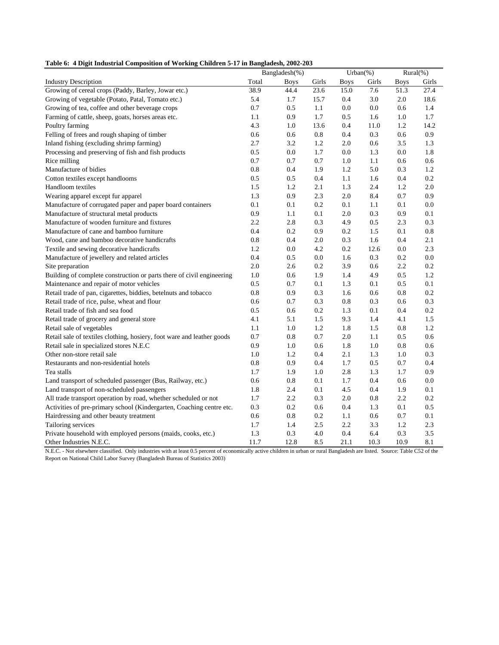|  |  |  | Table 6: 4 Digit Industrial Composition of Working Children 5-17 in Bangladesh, 2002-203 |  |
|--|--|--|------------------------------------------------------------------------------------------|--|
|  |  |  |                                                                                          |  |

|                                                                        |       | Bangladesh(%) |         |             | Urban $(\%)$ |             | $Rural(\% )$ |
|------------------------------------------------------------------------|-------|---------------|---------|-------------|--------------|-------------|--------------|
| <b>Industry Description</b>                                            | Total | <b>Boys</b>   | Girls   | <b>Boys</b> | Girls        | <b>Boys</b> | Girls        |
| Growing of cereal crops (Paddy, Barley, Jowar etc.)                    | 38.9  | 44.4          | 23.6    | 15.0        | 7.6          | 51.3        | 27.4         |
| Growing of vegetable (Potato, Patal, Tomato etc.)                      | 5.4   | 1.7           | 15.7    | 0.4         | 3.0          | 2.0         | 18.6         |
| Growing of tea, coffee and other beverage crops                        | 0.7   | 0.5           | 1.1     | 0.0         | 0.0          | 0.6         | 1.4          |
| Farming of cattle, sheep, goats, horses areas etc.                     | 1.1   | 0.9           | 1.7     | 0.5         | 1.6          | 1.0         | 1.7          |
| Poultry farming                                                        | 4.3   | 1.0           | 13.6    | 0.4         | 11.0         | 1.2         | 14.2         |
| Felling of frees and rough shaping of timber                           | 0.6   | 0.6           | 0.8     | 0.4         | 0.3          | 0.6         | 0.9          |
| Inland fishing (excluding shrimp farming)                              | 2.7   | 3.2           | 1.2     | 2.0         | 0.6          | 3.5         | 1.3          |
| Processing and preserving of fish and fish products                    | 0.5   | 0.0           | 1.7     | 0.0         | 1.3          | 0.0         | 1.8          |
| Rice milling                                                           | 0.7   | 0.7           | $0.7\,$ | $1.0\,$     | 1.1          | 0.6         | 0.6          |
| Manufacture of bidies                                                  | 0.8   | 0.4           | 1.9     | 1.2         | 5.0          | 0.3         | 1.2          |
| Cotton textiles except handlooms                                       | 0.5   | 0.5           | 0.4     | 1.1         | 1.6          | 0.4         | 0.2          |
| Handloom textiles                                                      | 1.5   | 1.2           | 2.1     | 1.3         | 2.4          | 1.2         | $2.0\,$      |
| Wearing apparel except fur apparel                                     | 1.3   | 0.9           | 2.3     | 2.0         | 8.4          | 0.7         | 0.9          |
| Manufacture of corrugated paper and paper board containers             | 0.1   | 0.1           | 0.2     | 0.1         | 1.1          | 0.1         | 0.0          |
| Manufacture of structural metal products                               | 0.9   | 1.1           | 0.1     | 2.0         | 0.3          | 0.9         | 0.1          |
| Manufacture of wooden furniture and fixtures                           | 2.2   | 2.8           | 0.3     | 4.9         | 0.5          | 2.3         | 0.3          |
| Manufacture of cane and bamboo furniture                               | 0.4   | 0.2           | 0.9     | 0.2         | 1.5          | 0.1         | 0.8          |
| Wood, cane and bamboo decorative handicrafts                           | 0.8   | 0.4           | $2.0\,$ | 0.3         | 1.6          | 0.4         | 2.1          |
| Textile and sewing decorative handicrafts                              | 1.2   | 0.0           | 4.2     | 0.2         | 12.6         | 0.0         | 2.3          |
| Manufacture of jewellery and related articles                          | 0.4   | 0.5           | 0.0     | 1.6         | 0.3          | 0.2         | 0.0          |
| Site preparation                                                       | 2.0   | 2.6           | 0.2     | 3.9         | 0.6          | 2.2         | 0.2          |
| Building of complete construction or parts there of civil engineering  | 1.0   | 0.6           | 1.9     | 1.4         | 4.9          | 0.5         | 1.2          |
| Maintenance and repair of motor vehicles                               | 0.5   | 0.7           | 0.1     | 1.3         | 0.1          | 0.5         | 0.1          |
| Retail trade of pan, cigarettes, biddies, betelnuts and tobacco        | 0.8   | 0.9           | 0.3     | 1.6         | 0.6          | 0.8         | 0.2          |
| Retail trade of rice, pulse, wheat and flour                           | 0.6   | 0.7           | 0.3     | 0.8         | 0.3          | 0.6         | 0.3          |
| Retail trade of fish and sea food                                      | 0.5   | 0.6           | 0.2     | 1.3         | 0.1          | 0.4         | 0.2          |
| Retail trade of grocery and general store                              | 4.1   | 5.1           | 1.5     | 9.3         | 1.4          | 4.1         | 1.5          |
| Retail sale of vegetables                                              | 1.1   | 1.0           | 1.2     | 1.8         | 1.5          | 0.8         | 1.2          |
| Retail sale of textiles clothing, hosiery, foot ware and leather goods | 0.7   | 0.8           | $0.7\,$ | 2.0         | 1.1          | 0.5         | 0.6          |
| Retail sale in specialized stores N.E.C                                | 0.9   | 1.0           | 0.6     | 1.8         | 1.0          | 0.8         | 0.6          |
| Other non-store retail sale                                            | 1.0   | 1.2           | 0.4     | 2.1         | 1.3          | 1.0         | 0.3          |
| Restaurants and non-residential hotels                                 | 0.8   | 0.9           | 0.4     | 1.7         | 0.5          | 0.7         | 0.4          |
| Tea stalls                                                             | 1.7   | 1.9           | 1.0     | 2.8         | 1.3          | 1.7         | 0.9          |
| Land transport of scheduled passenger (Bus, Railway, etc.)             | 0.6   | 0.8           | 0.1     | 1.7         | 0.4          | 0.6         | $0.0\,$      |
| Land transport of non-scheduled passengers                             | 1.8   | 2.4           | 0.1     | 4.5         | 0.4          | 1.9         | 0.1          |
| All trade transport operation by road, whether scheduled or not        | 1.7   | 2.2           | 0.3     | 2.0         | 0.8          | 2.2         | 0.2          |
| Activities of pre-primary school (Kindergarten, Coaching centre etc.   | 0.3   | 0.2           | 0.6     | 0.4         | 1.3          | 0.1         | 0.5          |
| Hairdressing and other beauty treatment                                | 0.6   | 0.8           | 0.2     | 1.1         | 0.6          | 0.7         | 0.1          |
| Tailoring services                                                     | 1.7   | 1.4           | 2.5     | 2.2         | 3.3          | 1.2         | 2.3          |
| Private household with employed persons (maids, cooks, etc.)           | 1.3   | 0.3           | 4.0     | 0.4         | 6.4          | 0.3         | 3.5          |
| Other Industries N.E.C.                                                | 11.7  | 12.8          | 8.5     | 21.1        | 10.3         | 10.9        | 8.1          |

N.E.C. - Not elsewhere classified. Only industries with at least 0.5 percent of economically active children in urban or rural Bangladesh are listed. Source: Table C52 of the Report on National Child Labor Survey (Bangladesh Bureau of Statistics 2003)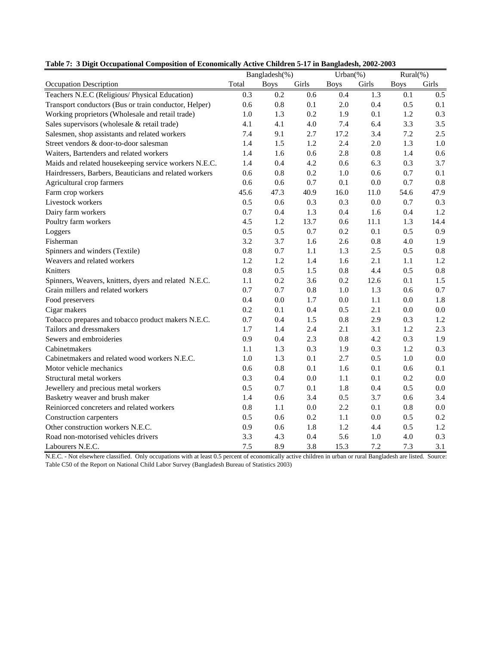| $\frac{1}{2}$                                          |         | Bangladesh(%) |         |             | $Urban(\%)$<br>$Rural(\% )$ |             |       |
|--------------------------------------------------------|---------|---------------|---------|-------------|-----------------------------|-------------|-------|
| Occupation Description                                 | Total   | <b>Boys</b>   | Girls   | <b>Boys</b> | Girls                       | <b>Boys</b> | Girls |
| Teachers N.E.C (Religious/ Physical Education)         | 0.3     | 0.2           | 0.6     | 0.4         | 1.3                         | 0.1         | 0.5   |
| Transport conductors (Bus or train conductor, Helper)  | 0.6     | 0.8           | 0.1     | $2.0\,$     | 0.4                         | 0.5         | 0.1   |
| Working proprietors (Wholesale and retail trade)       | 1.0     | 1.3           | 0.2     | 1.9         | 0.1                         | 1.2         | 0.3   |
| Sales supervisors (wholesale & retail trade)           | 4.1     | 4.1           | 4.0     | 7.4         | 6.4                         | 3.3         | 3.5   |
| Salesmen, shop assistants and related workers          | 7.4     | 9.1           | 2.7     | 17.2        | 3.4                         | 7.2         | 2.5   |
| Street vendors & door-to-door salesman                 | 1.4     | 1.5           | 1.2     | 2.4         | 2.0                         | 1.3         | 1.0   |
| Waiters, Bartenders and related workers                | 1.4     | 1.6           | 0.6     | 2.8         | 0.8                         | 1.4         | 0.6   |
| Maids and related housekeeping service workers N.E.C.  | 1.4     | 0.4           | 4.2     | 0.6         | 6.3                         | 0.3         | 3.7   |
| Hairdressers, Barbers, Beauticians and related workers | 0.6     | 0.8           | 0.2     | $1.0\,$     | 0.6                         | 0.7         | 0.1   |
| Agricultural crop farmers                              | 0.6     | 0.6           | 0.7     | 0.1         | 0.0                         | 0.7         | 0.8   |
| Farm crop workers                                      | 45.6    | 47.3          | 40.9    | 16.0        | 11.0                        | 54.6        | 47.9  |
| Livestock workers                                      | 0.5     | 0.6           | 0.3     | 0.3         | $0.0\,$                     | 0.7         | 0.3   |
| Dairy farm workers                                     | 0.7     | 0.4           | 1.3     | 0.4         | 1.6                         | 0.4         | 1.2   |
| Poultry farm workers                                   | 4.5     | 1.2           | 13.7    | 0.6         | 11.1                        | 1.3         | 14.4  |
| Loggers                                                | 0.5     | 0.5           | 0.7     | 0.2         | 0.1                         | 0.5         | 0.9   |
| Fisherman                                              | 3.2     | 3.7           | 1.6     | 2.6         | 0.8                         | 4.0         | 1.9   |
| Spinners and winders (Textile)                         | $0.8\,$ | 0.7           | $1.1\,$ | 1.3         | 2.5                         | 0.5         | 0.8   |
| Weavers and related workers                            | 1.2     | 1.2           | 1.4     | 1.6         | 2.1                         | 1.1         | 1.2   |
| Knitters                                               | 0.8     | 0.5           | 1.5     | 0.8         | 4.4                         | 0.5         | 0.8   |
| Spinners, Weavers, knitters, dyers and related N.E.C.  | 1.1     | 0.2           | 3.6     | 0.2         | 12.6                        | 0.1         | 1.5   |
| Grain millers and related workers                      | 0.7     | 0.7           | $0.8\,$ | 1.0         | 1.3                         | 0.6         | 0.7   |
| Food preservers                                        | 0.4     | 0.0           | 1.7     | 0.0         | 1.1                         | 0.0         | 1.8   |
| Cigar makers                                           | 0.2     | 0.1           | 0.4     | 0.5         | 2.1                         | 0.0         | 0.0   |
| Tobacco prepares and tobacco product makers N.E.C.     | 0.7     | 0.4           | 1.5     | $0.8\,$     | 2.9                         | 0.3         | 1.2   |
| Tailors and dressmakers                                | 1.7     | 1.4           | 2.4     | 2.1         | 3.1                         | 1.2         | 2.3   |
| Sewers and embroideries                                | 0.9     | 0.4           | 2.3     | $0.8\,$     | 4.2                         | 0.3         | 1.9   |
| Cabinetmakers                                          | 1.1     | 1.3           | 0.3     | 1.9         | 0.3                         | $1.2\,$     | 0.3   |
| Cabinetmakers and related wood workers N.E.C.          | 1.0     | 1.3           | 0.1     | 2.7         | 0.5                         | $1.0\,$     | 0.0   |
| Motor vehicle mechanics                                | 0.6     | $0.8\,$       | 0.1     | 1.6         | 0.1                         | 0.6         | 0.1   |
| Structural metal workers                               | 0.3     | 0.4           | 0.0     | $1.1\,$     | 0.1                         | 0.2         | 0.0   |
| Jewellery and precious metal workers                   | 0.5     | 0.7           | 0.1     | 1.8         | 0.4                         | 0.5         | 0.0   |
| Basketry weaver and brush maker                        | 1.4     | 0.6           | 3.4     | $0.5\,$     | 3.7                         | 0.6         | 3.4   |
| Reiniorced concreters and related workers              | 0.8     | 1.1           | 0.0     | 2.2         | 0.1                         | 0.8         | 0.0   |
| Construction carpenters                                | 0.5     | 0.6           | 0.2     | 1.1         | 0.0                         | 0.5         | 0.2   |
| Other construction workers N.E.C.                      | 0.9     | 0.6           | 1.8     | 1.2         | 4.4                         | 0.5         | 1.2   |
| Road non-motorised vehicles drivers                    | 3.3     | 4.3           | 0.4     | 5.6         | 1.0                         | 4.0         | 0.3   |
| Labourers N.E.C.                                       | 7.5     | 8.9           | 3.8     | 15.3        | 7.2                         | 7.3         | 3.1   |

**Table 7: 3 Digit Occupational Composition of Economically Active Children 5-17 in Bangladesh, 2002-2003**

N.E.C. - Not elsewhere classified. Only occupations with at least 0.5 percent of economically active children in urban or rural Bangladesh are listed. Source: Table C50 of the Report on National Child Labor Survey (Bangladesh Bureau of Statistics 2003)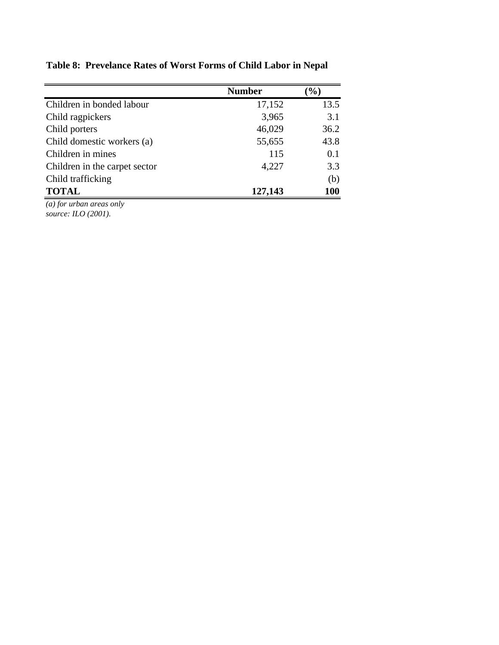|                               | <b>Number</b> | $(\%)$     |
|-------------------------------|---------------|------------|
| Children in bonded labour     | 17,152        | 13.5       |
| Child ragpickers              | 3,965         | 3.1        |
| Child porters                 | 46,029        | 36.2       |
| Child domestic workers (a)    | 55,655        | 43.8       |
| Children in mines             | 115           | 0.1        |
| Children in the carpet sector | 4,227         | 3.3        |
| Child trafficking             |               | (b)        |
| <b>TOTAL</b>                  | 127,143       | <b>100</b> |

**Table 8: Prevelance Rates of Worst Forms of Child Labor in Nepal**

*(a) for urban areas only source: ILO (2001).*